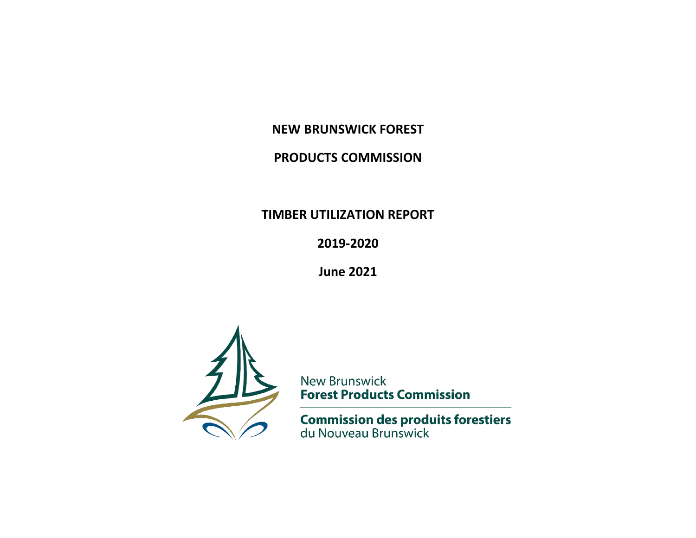## **NEW BRUNSWICK FOREST**

## **PRODUCTS COMMISSION**

## **TIMBER UTILIZATION REPORT**

**2019-2020**

**June 2021**



**New Brunswick Forest Products Commission** 

**Commission des produits forestiers**<br>du Nouveau Brunswick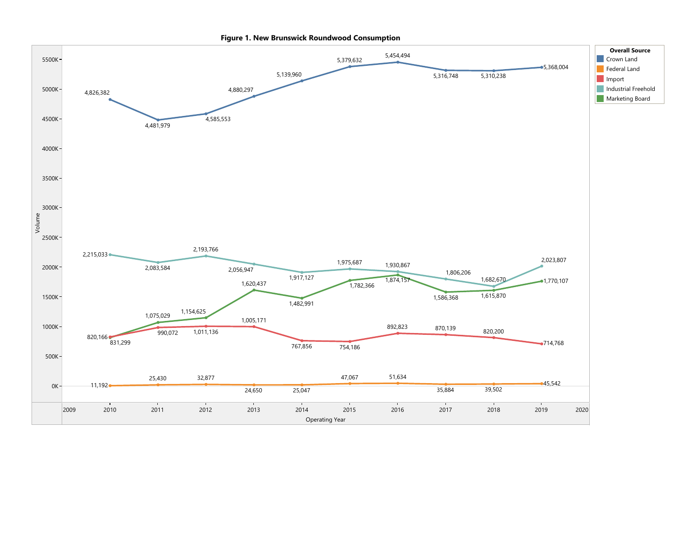

Figure 1. New Brunswick Roundwood Consumption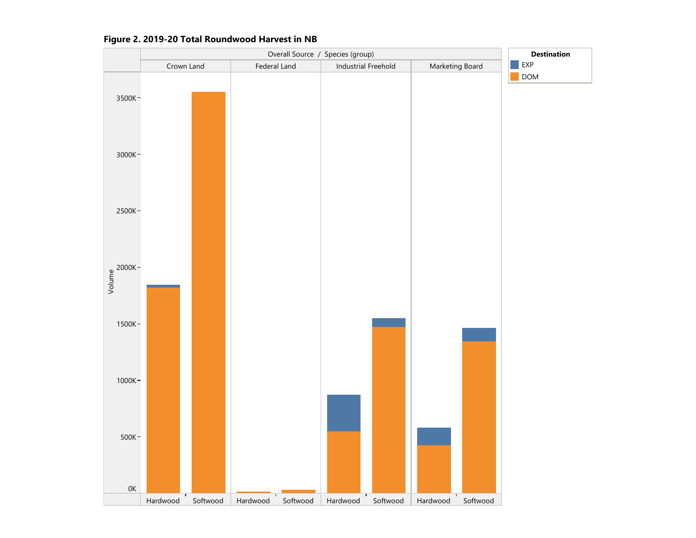

#### Figure 2. 2019-20 Total Roundwood Harvest in NB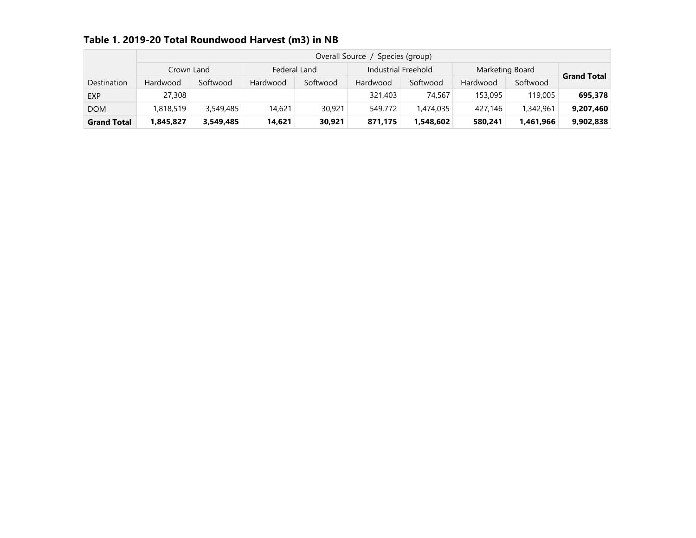| Table 1. 2019-20 Total Roundwood Harvest (m3) in NB |  |  |  |  |  |  |  |
|-----------------------------------------------------|--|--|--|--|--|--|--|
|-----------------------------------------------------|--|--|--|--|--|--|--|

|                    |            | Overall Source<br>Species (group) |              |          |                     |           |                 |           |                    |  |  |  |  |
|--------------------|------------|-----------------------------------|--------------|----------|---------------------|-----------|-----------------|-----------|--------------------|--|--|--|--|
|                    | Crown Land |                                   | Federal Land |          | Industrial Freehold |           | Marketing Board |           |                    |  |  |  |  |
| Destination        | Hardwood   | Softwood                          | Hardwood     | Softwood | Hardwood            | Softwood  | Hardwood        | Softwood  | <b>Grand Total</b> |  |  |  |  |
| <b>EXP</b>         | 27,308     |                                   |              |          | 321,403             | 74,567    | 153,095         | 119,005   | 695,378            |  |  |  |  |
| <b>DOM</b>         | 1,818,519  | 3,549,485                         | 14,621       | 30,921   | 549,772             | 1,474,035 | 427,146         | 1,342,961 | 9,207,460          |  |  |  |  |
| <b>Grand Total</b> | 1,845,827  | 3,549,485                         | 14,621       | 30,921   | 871,175             | 1.548.602 | 580.241         | 1,461,966 | 9,902,838          |  |  |  |  |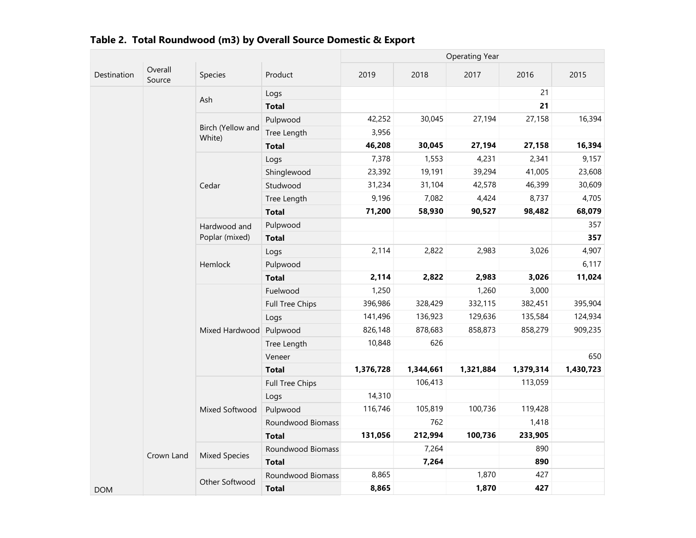|             |                   |                             |                   | <b>Operating Year</b> |           |           |           |           |  |
|-------------|-------------------|-----------------------------|-------------------|-----------------------|-----------|-----------|-----------|-----------|--|
| Destination | Overall<br>Source | Species                     | Product           | 2019                  | 2018      | 2017      | 2016      | 2015      |  |
|             |                   |                             | Logs              |                       |           |           | 21        |           |  |
|             |                   | Ash                         | <b>Total</b>      |                       |           |           | 21        |           |  |
|             |                   |                             | Pulpwood          | 42,252                | 30,045    | 27,194    | 27,158    | 16,394    |  |
|             |                   | Birch (Yellow and<br>White) | Tree Length       | 3,956                 |           |           |           |           |  |
|             |                   |                             | <b>Total</b>      | 46,208                | 30,045    | 27,194    | 27,158    | 16,394    |  |
|             |                   |                             | Logs              | 7,378                 | 1,553     | 4,231     | 2,341     | 9,157     |  |
|             |                   |                             | Shinglewood       | 23,392                | 19,191    | 39,294    | 41,005    | 23,608    |  |
|             |                   | Cedar                       | Studwood          | 31,234                | 31,104    | 42,578    | 46,399    | 30,609    |  |
|             |                   |                             | Tree Length       | 9,196                 | 7,082     | 4,424     | 8,737     | 4,705     |  |
|             |                   |                             | <b>Total</b>      | 71,200                | 58,930    | 90,527    | 98,482    | 68,079    |  |
|             |                   | Hardwood and                | Pulpwood          |                       |           |           |           | 357       |  |
|             |                   | Poplar (mixed)              | <b>Total</b>      |                       |           |           |           | 357       |  |
|             |                   | Logs                        | 2,114             | 2,822                 | 2,983     | 3,026     | 4,907     |           |  |
|             |                   | Hemlock                     | Pulpwood          |                       |           |           |           | 6,117     |  |
|             |                   |                             | <b>Total</b>      | 2,114                 | 2,822     | 2,983     | 3,026     | 11,024    |  |
|             |                   |                             | Fuelwood          | 1,250                 |           | 1,260     | 3,000     |           |  |
|             |                   |                             | Full Tree Chips   | 396,986               | 328,429   | 332,115   | 382,451   | 395,904   |  |
|             |                   |                             | Logs              | 141,496               | 136,923   | 129,636   | 135,584   | 124,934   |  |
|             |                   | Mixed Hardwood              | Pulpwood          | 826,148               | 878,683   | 858,873   | 858,279   | 909,235   |  |
|             |                   |                             | Tree Length       | 10,848                | 626       |           |           |           |  |
|             |                   |                             | Veneer            |                       |           |           |           | 650       |  |
|             |                   |                             | <b>Total</b>      | 1,376,728             | 1,344,661 | 1,321,884 | 1,379,314 | 1,430,723 |  |
|             |                   |                             | Full Tree Chips   |                       | 106,413   |           | 113,059   |           |  |
|             |                   |                             | Logs              | 14,310                |           |           |           |           |  |
|             |                   | Mixed Softwood              | Pulpwood          | 116,746               | 105,819   | 100,736   | 119,428   |           |  |
|             |                   | Roundwood Biomass           |                   | 762                   |           | 1,418     |           |           |  |
|             |                   |                             | <b>Total</b>      | 131,056               | 212,994   | 100,736   | 233,905   |           |  |
|             |                   | <b>Mixed Species</b>        | Roundwood Biomass |                       | 7,264     |           | 890       |           |  |
|             | Crown Land        |                             | <b>Total</b>      |                       | 7,264     |           | 890       |           |  |
| <b>DOM</b>  |                   |                             | Roundwood Biomass | 8,865                 |           | 1,870     | 427       |           |  |
|             |                   | Other Softwood              | <b>Total</b>      | 8,865                 |           | 1,870     | 427       |           |  |

| Table 2. Total Roundwood (m3) by Overall Source Domestic & Export |  |
|-------------------------------------------------------------------|--|
|                                                                   |  |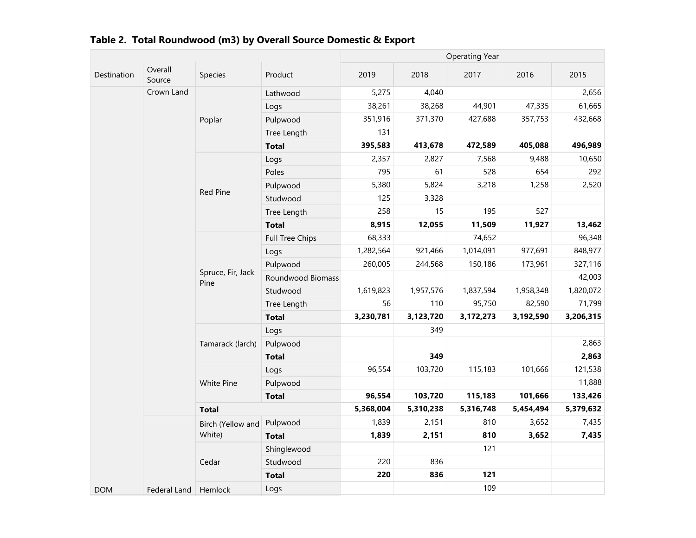|             |                   |                           |                        | <b>Operating Year</b> |           |           |           |           |  |
|-------------|-------------------|---------------------------|------------------------|-----------------------|-----------|-----------|-----------|-----------|--|
| Destination | Overall<br>Source | Species                   | Product                | 2019                  | 2018      | 2017      | 2016      | 2015      |  |
|             | Crown Land        |                           | Lathwood               | 5,275                 | 4,040     |           |           | 2,656     |  |
|             |                   |                           | Logs                   | 38,261                | 38,268    | 44,901    | 47,335    | 61,665    |  |
|             |                   | Poplar                    | Pulpwood               | 351,916               | 371,370   | 427,688   | 357,753   | 432,668   |  |
|             |                   |                           | Tree Length            | 131                   |           |           |           |           |  |
|             |                   |                           | <b>Total</b>           | 395,583               | 413,678   | 472,589   | 405,088   | 496,989   |  |
|             |                   |                           | Logs                   | 2,357                 | 2,827     | 7,568     | 9,488     | 10,650    |  |
|             |                   | Poles                     | 795                    | 61                    | 528       | 654       | 292       |           |  |
|             |                   | Red Pine                  | Pulpwood               | 5,380                 | 5,824     | 3,218     | 1,258     | 2,520     |  |
|             |                   |                           | Studwood               | 125                   | 3,328     |           |           |           |  |
|             |                   | Tree Length               | 258                    | 15                    | 195       | 527       |           |           |  |
|             |                   | <b>Total</b>              | 8,915                  | 12,055                | 11,509    | 11,927    | 13,462    |           |  |
|             |                   |                           | <b>Full Tree Chips</b> | 68,333                |           | 74,652    |           | 96,348    |  |
|             |                   |                           | Logs                   | 1,282,564             | 921,466   | 1,014,091 | 977,691   | 848,977   |  |
|             |                   | Spruce, Fir, Jack<br>Pine | Pulpwood               | 260,005               | 244,568   | 150,186   | 173,961   | 327,116   |  |
|             |                   |                           | Roundwood Biomass      |                       |           |           |           | 42,003    |  |
|             |                   |                           | Studwood               | 1,619,823             | 1,957,576 | 1,837,594 | 1,958,348 | 1,820,072 |  |
|             |                   |                           | Tree Length            | 56                    | 110       | 95,750    | 82,590    | 71,799    |  |
|             |                   |                           | <b>Total</b>           | 3,230,781             | 3,123,720 | 3,172,273 | 3,192,590 | 3,206,315 |  |
|             |                   |                           | Logs                   |                       | 349       |           |           |           |  |
|             |                   | Tamarack (larch)          | Pulpwood               |                       |           |           |           | 2,863     |  |
|             |                   |                           | <b>Total</b>           |                       | 349       |           |           | 2,863     |  |
|             |                   |                           | Logs                   | 96,554                | 103,720   | 115,183   | 101,666   | 121,538   |  |
|             |                   | White Pine                | Pulpwood               |                       |           |           |           | 11,888    |  |
|             |                   |                           | <b>Total</b>           | 96,554                | 103,720   | 115,183   | 101,666   | 133,426   |  |
|             |                   | <b>Total</b>              |                        | 5,368,004             | 5,310,238 | 5,316,748 | 5,454,494 | 5,379,632 |  |
|             |                   | Birch (Yellow and         | Pulpwood               | 1,839                 | 2,151     | 810       | 3,652     | 7,435     |  |
|             |                   | White)                    | <b>Total</b>           | 1,839                 | 2,151     | 810       | 3,652     | 7,435     |  |
|             |                   |                           | Shinglewood            |                       |           | 121       |           |           |  |
|             |                   | Cedar                     | Studwood               | 220                   | 836       |           |           |           |  |
|             |                   |                           | <b>Total</b>           | 220                   | 836       | 121       |           |           |  |
| <b>DOM</b>  | Federal Land      | Hemlock                   | Logs                   |                       |           | 109       |           |           |  |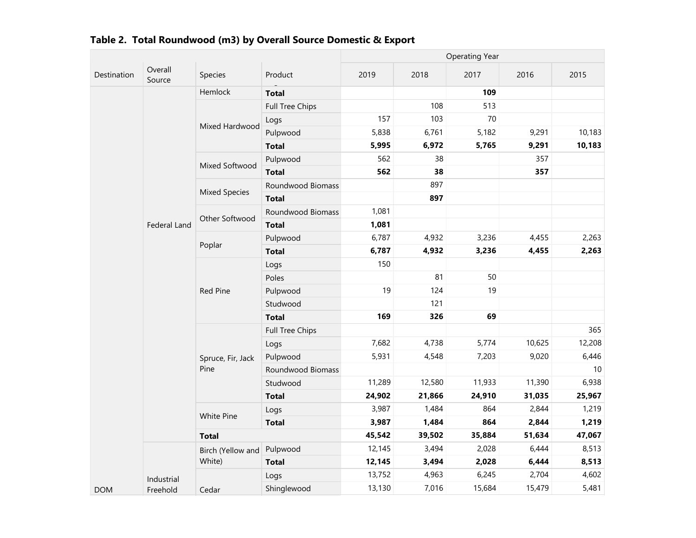|             |                     |                      |                   |        |        | <b>Operating Year</b> |        |        |
|-------------|---------------------|----------------------|-------------------|--------|--------|-----------------------|--------|--------|
| Destination | Overall<br>Source   | Species              | Product           | 2019   | 2018   | 2017                  | 2016   | 2015   |
|             |                     | Hemlock              | <b>Total</b>      |        |        | 109                   |        |        |
|             |                     |                      | Full Tree Chips   |        | 108    | 513                   |        |        |
|             |                     |                      | Logs              | 157    | 103    | 70                    |        |        |
|             |                     | Mixed Hardwood       | Pulpwood          | 5,838  | 6,761  | 5,182                 | 9,291  | 10,183 |
|             |                     |                      | <b>Total</b>      | 5,995  | 6,972  | 5,765                 | 9,291  | 10,183 |
|             |                     | Mixed Softwood       | Pulpwood          | 562    | 38     |                       | 357    |        |
|             |                     |                      | <b>Total</b>      | 562    | 38     |                       | 357    |        |
|             |                     |                      | Roundwood Biomass |        | 897    |                       |        |        |
|             |                     | <b>Mixed Species</b> | <b>Total</b>      |        | 897    |                       |        |        |
|             |                     | Other Softwood       | Roundwood Biomass | 1,081  |        |                       |        |        |
|             | <b>Federal Land</b> |                      | <b>Total</b>      | 1,081  |        |                       |        |        |
|             |                     |                      | Pulpwood          | 6,787  | 4,932  | 3,236                 | 4,455  | 2,263  |
|             |                     | Poplar               | <b>Total</b>      | 6,787  | 4,932  | 3,236                 | 4,455  | 2,263  |
|             |                     |                      | Logs              | 150    |        |                       |        |        |
|             |                     |                      | Poles             |        | 81     | 50                    |        |        |
|             |                     | <b>Red Pine</b>      | Pulpwood          | 19     | 124    | 19                    |        |        |
|             |                     |                      | Studwood          |        | 121    |                       |        |        |
|             |                     |                      | <b>Total</b>      | 169    | 326    | 69                    |        |        |
|             |                     |                      | Full Tree Chips   |        |        |                       |        | 365    |
|             |                     |                      | Logs              | 7,682  | 4,738  | 5,774                 | 10,625 | 12,208 |
|             |                     | Spruce, Fir, Jack    | Pulpwood          | 5,931  | 4,548  | 7,203                 | 9,020  | 6,446  |
|             |                     | Pine                 | Roundwood Biomass |        |        |                       |        | 10     |
|             |                     |                      | Studwood          | 11,289 | 12,580 | 11,933                | 11,390 | 6,938  |
|             |                     |                      | <b>Total</b>      | 24,902 | 21,866 | 24,910                | 31,035 | 25,967 |
|             |                     | White Pine           | Logs              | 3,987  | 1,484  | 864                   | 2,844  | 1,219  |
|             |                     |                      | <b>Total</b>      | 3,987  | 1,484  | 864                   | 2,844  | 1,219  |
|             |                     | <b>Total</b>         |                   | 45,542 | 39,502 | 35,884                | 51,634 | 47,067 |
|             |                     | Birch (Yellow and    | Pulpwood          | 12,145 | 3,494  | 2,028                 | 6,444  | 8,513  |
|             |                     | White)               | <b>Total</b>      | 12,145 | 3,494  | 2,028                 | 6,444  | 8,513  |
|             | Industrial          |                      | Logs              | 13,752 | 4,963  | 6,245                 | 2,704  | 4,602  |
| <b>DOM</b>  | Freehold            | Cedar                | Shinglewood       | 13,130 | 7,016  | 15,684                | 15,479 | 5,481  |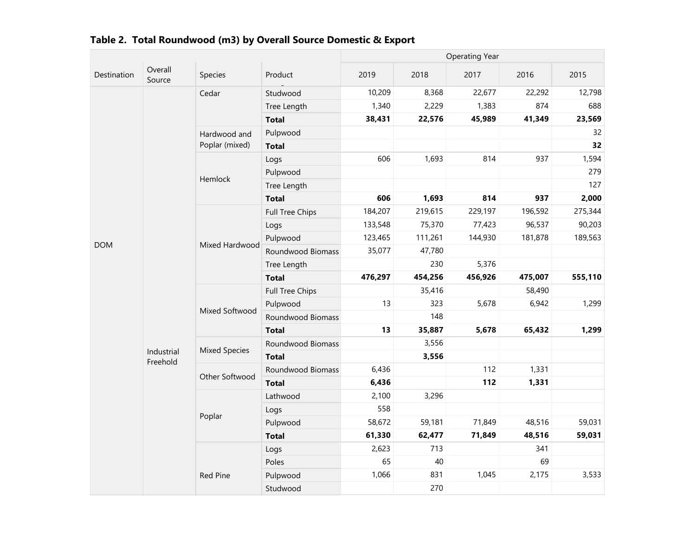|             |                        |                      |                   |         |         | <b>Operating Year</b> |         |         |
|-------------|------------------------|----------------------|-------------------|---------|---------|-----------------------|---------|---------|
| Destination | Overall<br>Source      | Species              | Product           | 2019    | 2018    | 2017                  | 2016    | 2015    |
|             |                        | Cedar                | Studwood          | 10,209  | 8,368   | 22,677                | 22,292  | 12,798  |
|             |                        |                      | Tree Length       | 1,340   | 2,229   | 1,383                 | 874     | 688     |
|             |                        |                      | <b>Total</b>      | 38,431  | 22,576  | 45,989                | 41,349  | 23,569  |
|             |                        | Hardwood and         | Pulpwood          |         |         |                       |         | 32      |
|             |                        | Poplar (mixed)       | <b>Total</b>      |         |         |                       |         | 32      |
|             |                        |                      | Logs              | 606     | 1,693   | 814                   | 937     | 1,594   |
|             |                        |                      | Pulpwood          |         |         |                       |         | 279     |
|             |                        | Hemlock              | Tree Length       |         |         |                       |         | 127     |
|             |                        |                      | <b>Total</b>      | 606     | 1,693   | 814                   | 937     | 2,000   |
|             |                        |                      | Full Tree Chips   | 184,207 | 219,615 | 229,197               | 196,592 | 275,344 |
| <b>DOM</b>  |                        | Logs                 | 133,548           | 75,370  | 77,423  | 96,537                | 90,203  |         |
|             |                        | Pulpwood             | 123,465           | 111,261 | 144,930 | 181,878               | 189,563 |         |
|             | Mixed Hardwood         | Roundwood Biomass    | 35,077            | 47,780  |         |                       |         |         |
|             |                        |                      | Tree Length       |         | 230     | 5,376                 |         |         |
|             |                        |                      | <b>Total</b>      | 476,297 | 454,256 | 456,926               | 475,007 | 555,110 |
|             |                        |                      | Full Tree Chips   |         | 35,416  |                       | 58,490  |         |
|             |                        | Mixed Softwood       | Pulpwood          | 13      | 323     | 5,678                 | 6,942   | 1,299   |
|             |                        |                      | Roundwood Biomass |         | 148     |                       |         |         |
|             |                        |                      | <b>Total</b>      | 13      | 35,887  | 5,678                 | 65,432  | 1,299   |
|             |                        | <b>Mixed Species</b> | Roundwood Biomass |         | 3,556   |                       |         |         |
|             | Industrial<br>Freehold |                      | <b>Total</b>      |         | 3,556   |                       |         |         |
|             |                        | Other Softwood       | Roundwood Biomass | 6,436   |         | 112                   | 1,331   |         |
|             |                        |                      | <b>Total</b>      | 6,436   |         | 112                   | 1,331   |         |
|             |                        |                      | Lathwood          | 2,100   | 3,296   |                       |         |         |
|             |                        |                      | Logs              | 558     |         |                       |         |         |
|             |                        | Poplar               | Pulpwood          | 58,672  | 59,181  | 71,849                | 48,516  | 59,031  |
|             |                        | <b>Total</b>         | 61,330            | 62,477  | 71,849  | 48,516                | 59,031  |         |
|             |                        |                      | Logs              | 2,623   | 713     |                       | 341     |         |
|             |                        |                      | Poles             | 65      | 40      |                       | 69      |         |
|             |                        | <b>Red Pine</b>      | Pulpwood          | 1,066   | 831     | 1,045                 | 2,175   | 3,533   |
|             |                        |                      | Studwood          |         | 270     |                       |         |         |

| Table 2. Total Roundwood (m3) by Overall Source Domestic & Export |  |
|-------------------------------------------------------------------|--|
|                                                                   |  |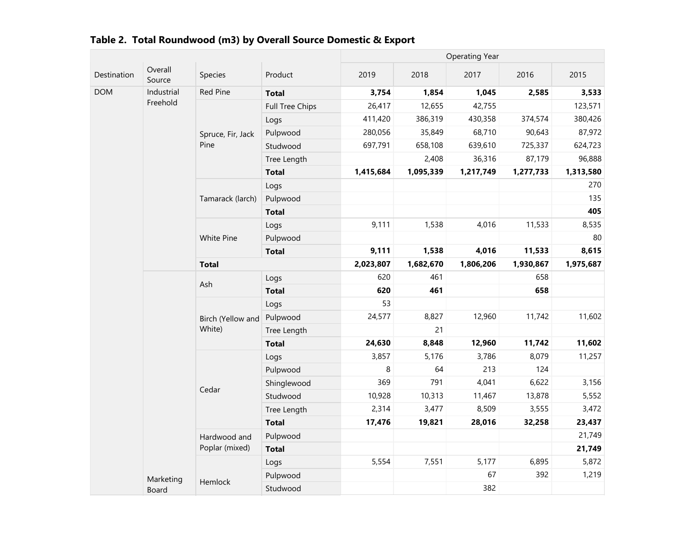|             |                   |                   |                 |           |           | <b>Operating Year</b> |           |           |
|-------------|-------------------|-------------------|-----------------|-----------|-----------|-----------------------|-----------|-----------|
| Destination | Overall<br>Source | Species           | Product         | 2019      | 2018      | 2017                  | 2016      | 2015      |
| <b>DOM</b>  | Industrial        | Red Pine          | <b>Total</b>    | 3,754     | 1,854     | 1,045                 | 2,585     | 3,533     |
|             | Freehold          |                   | Full Tree Chips | 26,417    | 12,655    | 42,755                |           | 123,571   |
|             |                   |                   | Logs            | 411,420   | 386,319   | 430,358               | 374,574   | 380,426   |
|             |                   | Spruce, Fir, Jack | Pulpwood        | 280,056   | 35,849    | 68,710                | 90,643    | 87,972    |
|             |                   | Pine              | Studwood        | 697,791   | 658,108   | 639,610               | 725,337   | 624,723   |
|             |                   |                   | Tree Length     |           | 2,408     | 36,316                | 87,179    | 96,888    |
|             |                   |                   | <b>Total</b>    | 1,415,684 | 1,095,339 | 1,217,749             | 1,277,733 | 1,313,580 |
|             |                   |                   | Logs            |           |           |                       |           | 270       |
|             |                   | Tamarack (larch)  | Pulpwood        |           |           |                       |           | 135       |
|             |                   |                   | <b>Total</b>    |           |           |                       |           | 405       |
|             |                   | White Pine        | Logs            | 9,111     | 1,538     | 4,016                 | 11,533    | 8,535     |
|             |                   |                   | Pulpwood        |           |           |                       |           | 80        |
|             |                   |                   | <b>Total</b>    | 9,111     | 1,538     | 4,016                 | 11,533    | 8,615     |
|             |                   | <b>Total</b>      |                 | 2,023,807 | 1,682,670 | 1,806,206             | 1,930,867 | 1,975,687 |
|             |                   | Ash               | Logs            | 620       | 461       |                       | 658       |           |
|             |                   |                   | <b>Total</b>    | 620       | 461       |                       | 658       |           |
|             |                   | Birch (Yellow and | Logs            | 53        |           |                       |           |           |
|             |                   |                   | Pulpwood        | 24,577    | 8,827     | 12,960                | 11,742    | 11,602    |
|             |                   | White)            | Tree Length     |           | 21        |                       |           |           |
|             |                   |                   | <b>Total</b>    | 24,630    | 8,848     | 12,960                | 11,742    | 11,602    |
|             |                   |                   | Logs            | 3,857     | 5,176     | 3,786                 | 8,079     | 11,257    |
|             |                   |                   | Pulpwood        | 8         | 64        | 213                   | 124       |           |
|             |                   | Cedar             | Shinglewood     | 369       | 791       | 4,041                 | 6,622     | 3,156     |
|             |                   |                   | Studwood        | 10,928    | 10,313    | 11,467                | 13,878    | 5,552     |
|             |                   |                   | Tree Length     | 2,314     | 3,477     | 8,509                 | 3,555     | 3,472     |
|             |                   |                   | <b>Total</b>    | 17,476    | 19,821    | 28,016                | 32,258    | 23,437    |
|             |                   | Hardwood and      | Pulpwood        |           |           |                       |           | 21,749    |
|             |                   | Poplar (mixed)    | <b>Total</b>    |           |           |                       |           | 21,749    |
|             |                   |                   | Logs            | 5,554     | 7,551     | 5,177                 | 6,895     | 5,872     |
|             | Marketing         |                   | Pulpwood        |           |           | 67                    | 392       | 1,219     |
|             | Board             | Hemlock           | Studwood        |           |           | 382                   |           |           |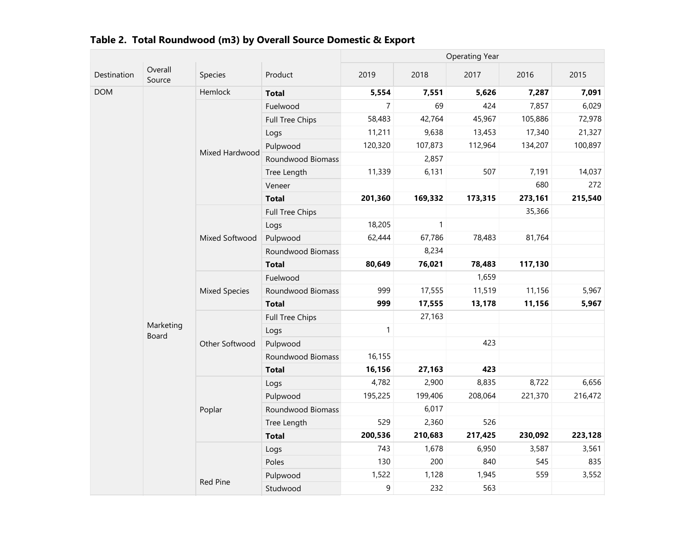|             |                    |                      |                        |                |         | <b>Operating Year</b> |         |         |
|-------------|--------------------|----------------------|------------------------|----------------|---------|-----------------------|---------|---------|
| Destination | Overall<br>Source  | Species              | Product                | 2019           | 2018    | 2017                  | 2016    | 2015    |
| <b>DOM</b>  |                    | Hemlock              | <b>Total</b>           | 5,554          | 7,551   | 5,626                 | 7,287   | 7,091   |
|             |                    |                      | Fuelwood               | $\overline{7}$ | 69      | 424                   | 7,857   | 6,029   |
|             |                    |                      | <b>Full Tree Chips</b> | 58,483         | 42,764  | 45,967                | 105,886 | 72,978  |
|             |                    |                      | Logs                   | 11,211         | 9,638   | 13,453                | 17,340  | 21,327  |
|             |                    | Mixed Hardwood       | Pulpwood               | 120,320        | 107,873 | 112,964               | 134,207 | 100,897 |
|             |                    |                      | Roundwood Biomass      |                | 2,857   |                       |         |         |
|             |                    |                      | Tree Length            | 11,339         | 6,131   | 507                   | 7,191   | 14,037  |
|             |                    |                      | Veneer                 |                |         |                       | 680     | 272     |
|             |                    |                      | <b>Total</b>           | 201,360        | 169,332 | 173,315               | 273,161 | 215,540 |
|             |                    |                      | <b>Full Tree Chips</b> |                |         |                       | 35,366  |         |
|             |                    | Logs                 | 18,205                 | $\mathbf{1}$   |         |                       |         |         |
|             |                    | Mixed Softwood       | Pulpwood               | 62,444         | 67,786  | 78,483                | 81,764  |         |
|             |                    | Roundwood Biomass    |                        | 8,234          |         |                       |         |         |
|             |                    |                      | <b>Total</b>           | 80,649         | 76,021  | 78,483                | 117,130 |         |
|             |                    | <b>Mixed Species</b> | Fuelwood               |                |         | 1,659                 |         |         |
|             |                    |                      | Roundwood Biomass      | 999            | 17,555  | 11,519                | 11,156  | 5,967   |
|             |                    |                      | <b>Total</b>           | 999            | 17,555  | 13,178                | 11,156  | 5,967   |
|             |                    |                      | Full Tree Chips        |                | 27,163  |                       |         |         |
|             | Marketing<br>Board |                      | Logs                   | $\mathbf{1}$   |         |                       |         |         |
|             |                    | Other Softwood       | Pulpwood               |                |         | 423                   |         |         |
|             |                    |                      | Roundwood Biomass      | 16,155         |         |                       |         |         |
|             |                    |                      | <b>Total</b>           | 16,156         | 27,163  | 423                   |         |         |
|             |                    |                      | Logs                   | 4,782          | 2,900   | 8,835                 | 8,722   | 6,656   |
|             |                    |                      | Pulpwood               | 195,225        | 199,406 | 208,064               | 221,370 | 216,472 |
|             |                    | Poplar               | Roundwood Biomass      |                | 6,017   |                       |         |         |
|             |                    |                      | Tree Length            | 529            | 2,360   | 526                   |         |         |
|             |                    |                      | <b>Total</b>           | 200,536        | 210,683 | 217,425               | 230,092 | 223,128 |
|             |                    |                      | Logs                   | 743            | 1,678   | 6,950                 | 3,587   | 3,561   |
|             |                    |                      | Poles                  | 130            | 200     | 840                   | 545     | 835     |
|             |                    | <b>Red Pine</b>      | Pulpwood               | 1,522          | 1,128   | 1,945                 | 559     | 3,552   |
|             |                    | Studwood             | 9                      | 232            | 563     |                       |         |         |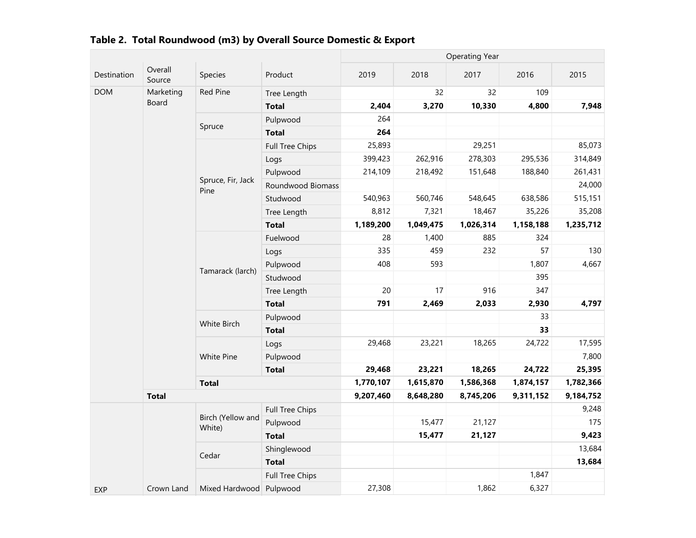|             |                   |                             |                        | <b>Operating Year</b> |           |           |           |           |  |
|-------------|-------------------|-----------------------------|------------------------|-----------------------|-----------|-----------|-----------|-----------|--|
| Destination | Overall<br>Source | Species                     | Product                | 2019                  | 2018      | 2017      | 2016      | 2015      |  |
| <b>DOM</b>  | Marketing         | Red Pine                    | Tree Length            |                       | 32        | 32        | 109       |           |  |
|             | Board             |                             | <b>Total</b>           | 2,404                 | 3,270     | 10,330    | 4,800     | 7,948     |  |
|             |                   | Spruce                      | Pulpwood               | 264                   |           |           |           |           |  |
|             |                   |                             | <b>Total</b>           | 264                   |           |           |           |           |  |
|             |                   |                             | <b>Full Tree Chips</b> | 25,893                |           | 29,251    |           | 85,073    |  |
|             |                   |                             | Logs                   | 399,423               | 262,916   | 278,303   | 295,536   | 314,849   |  |
|             |                   |                             | Pulpwood               | 214,109               | 218,492   | 151,648   | 188,840   | 261,431   |  |
|             |                   | Spruce, Fir, Jack<br>Pine   | Roundwood Biomass      |                       |           |           |           | 24,000    |  |
|             |                   |                             | Studwood               | 540,963               | 560,746   | 548,645   | 638,586   | 515,151   |  |
|             |                   |                             | Tree Length            | 8,812                 | 7,321     | 18,467    | 35,226    | 35,208    |  |
|             |                   |                             | <b>Total</b>           | 1,189,200             | 1,049,475 | 1,026,314 | 1,158,188 | 1,235,712 |  |
|             |                   |                             | Fuelwood               | 28                    | 1,400     | 885       | 324       |           |  |
|             |                   | Tamarack (larch)            | Logs                   | 335                   | 459       | 232       | 57        | 130       |  |
|             |                   |                             | Pulpwood               | 408                   | 593       |           | 1,807     | 4,667     |  |
|             |                   |                             | Studwood               |                       |           |           | 395       |           |  |
|             |                   |                             | Tree Length            | 20                    | 17        | 916       | 347       |           |  |
|             |                   |                             | <b>Total</b>           | 791                   | 2,469     | 2,033     | 2,930     | 4,797     |  |
|             |                   | White Birch                 | Pulpwood               |                       |           |           | 33        |           |  |
|             |                   |                             | <b>Total</b>           |                       |           |           | 33        |           |  |
|             |                   |                             | Logs                   | 29,468                | 23,221    | 18,265    | 24,722    | 17,595    |  |
|             |                   | White Pine                  | Pulpwood               |                       |           |           |           | 7,800     |  |
|             |                   |                             | <b>Total</b>           | 29,468                | 23,221    | 18,265    | 24,722    | 25,395    |  |
|             |                   | <b>Total</b>                |                        | 1,770,107             | 1,615,870 | 1,586,368 | 1,874,157 | 1,782,366 |  |
|             | <b>Total</b>      |                             |                        | 9,207,460             | 8,648,280 | 8,745,206 | 9,311,152 | 9,184,752 |  |
|             |                   |                             | <b>Full Tree Chips</b> |                       |           |           |           | 9,248     |  |
|             |                   | Birch (Yellow and<br>White) | Pulpwood               |                       | 15,477    | 21,127    |           | 175       |  |
|             |                   |                             | <b>Total</b>           |                       | 15,477    | 21,127    |           | 9,423     |  |
|             |                   | Cedar                       | Shinglewood            |                       |           |           |           | 13,684    |  |
|             |                   |                             | <b>Total</b>           |                       |           |           |           | 13,684    |  |
|             |                   |                             | Full Tree Chips        |                       |           |           | 1,847     |           |  |
| <b>EXP</b>  | Crown Land        | Mixed Hardwood Pulpwood     |                        | 27,308                |           | 1,862     | 6,327     |           |  |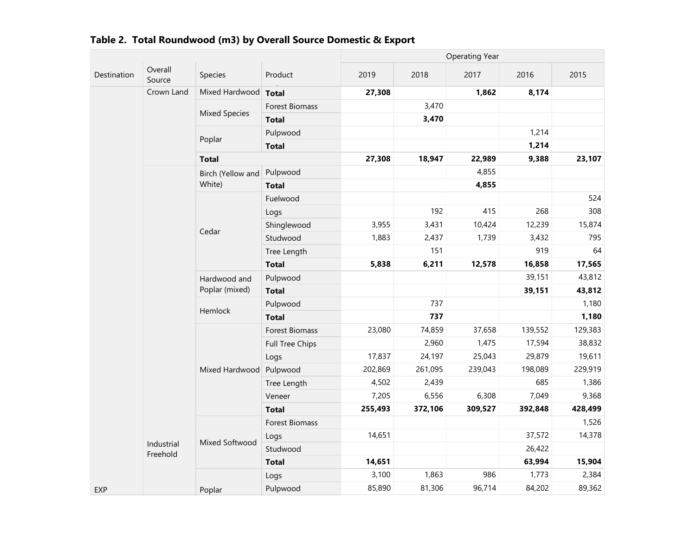|             |                   |                                           |                 |         |         | <b>Operating Year</b> |         |         |
|-------------|-------------------|-------------------------------------------|-----------------|---------|---------|-----------------------|---------|---------|
| Destination | Overall<br>Source | Species                                   | Product         | 2019    | 2018    | 2017                  | 2016    | 2015    |
|             | Crown Land        | Mixed Hardwood                            | <b>Total</b>    | 27,308  |         | 1,862                 | 8,174   |         |
|             |                   |                                           | Forest Biomass  |         | 3,470   |                       |         |         |
|             |                   | <b>Mixed Species</b>                      | <b>Total</b>    |         | 3,470   |                       |         |         |
|             |                   |                                           | Pulpwood        |         |         |                       | 1,214   |         |
|             |                   | Poplar                                    | <b>Total</b>    |         |         |                       | 1,214   |         |
|             |                   | <b>Total</b>                              |                 | 27,308  | 18,947  | 22,989                | 9,388   | 23,107  |
|             |                   | Birch (Yellow and                         | Pulpwood        |         |         | 4,855                 |         |         |
|             |                   | White)                                    | <b>Total</b>    |         |         | 4,855                 |         |         |
|             |                   |                                           | Fuelwood        |         |         |                       |         | 524     |
|             |                   |                                           | Logs            |         | 192     | 415                   | 268     | 308     |
|             |                   | Cedar                                     | Shinglewood     | 3,955   | 3,431   | 10,424                | 12,239  | 15,874  |
|             |                   | Studwood                                  | 1,883           | 2,437   | 1,739   | 3,432                 | 795     |         |
|             |                   |                                           | Tree Length     |         | 151     |                       | 919     | 64      |
|             |                   |                                           | <b>Total</b>    | 5,838   | 6,211   | 12,578                | 16,858  | 17,565  |
|             |                   | Hardwood and<br>Poplar (mixed)<br>Hemlock | Pulpwood        |         |         |                       | 39,151  | 43,812  |
|             |                   |                                           | <b>Total</b>    |         |         |                       | 39,151  | 43,812  |
|             |                   |                                           | Pulpwood        |         | 737     |                       |         | 1,180   |
|             |                   |                                           | <b>Total</b>    |         | 737     |                       |         | 1,180   |
|             |                   |                                           | Forest Biomass  | 23,080  | 74,859  | 37,658                | 139,552 | 129,383 |
|             |                   |                                           | Full Tree Chips |         | 2,960   | 1,475                 | 17,594  | 38,832  |
|             |                   |                                           | Logs            | 17,837  | 24,197  | 25,043                | 29,879  | 19,611  |
|             |                   | Mixed Hardwood                            | Pulpwood        | 202,869 | 261,095 | 239,043               | 198,089 | 229,919 |
|             |                   |                                           | Tree Length     | 4,502   | 2,439   |                       | 685     | 1,386   |
|             |                   |                                           | Veneer          | 7,205   | 6,556   | 6,308                 | 7,049   | 9,368   |
|             |                   |                                           | <b>Total</b>    | 255,493 | 372,106 | 309,527               | 392,848 | 428,499 |
|             |                   |                                           | Forest Biomass  |         |         |                       |         | 1,526   |
|             | Industrial        | Mixed Softwood                            | Logs            | 14,651  |         |                       | 37,572  | 14,378  |
|             | Freehold          |                                           | Studwood        |         |         |                       | 26,422  |         |
|             |                   |                                           | <b>Total</b>    | 14,651  |         |                       | 63,994  | 15,904  |
|             |                   |                                           | Logs            | 3,100   | 1,863   | 986                   | 1,773   | 2,384   |
| <b>EXP</b>  |                   | Poplar                                    | Pulpwood        | 85,890  | 81,306  | 96,714                | 84,202  | 89,362  |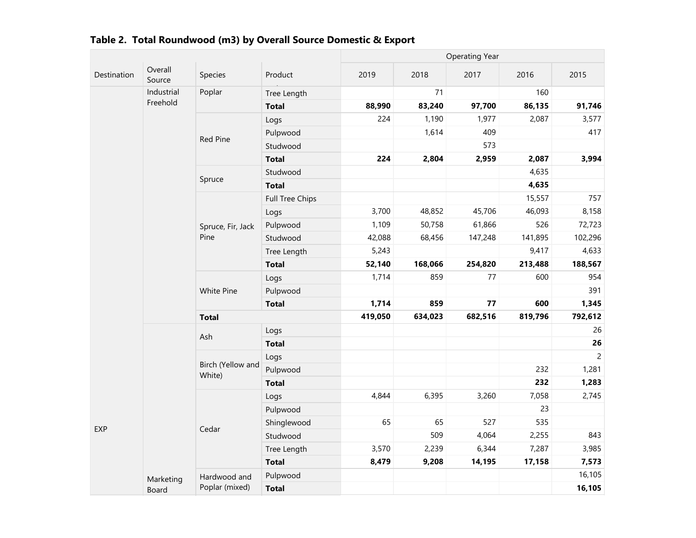|             |                   |                             |                 | <b>Operating Year</b> |         |         |         |                |  |
|-------------|-------------------|-----------------------------|-----------------|-----------------------|---------|---------|---------|----------------|--|
| Destination | Overall<br>Source | Species                     | Product         | 2019                  | 2018    | 2017    | 2016    | 2015           |  |
|             | Industrial        | Poplar                      | Tree Length     |                       | 71      |         | 160     |                |  |
|             | Freehold          |                             | <b>Total</b>    | 88,990                | 83,240  | 97,700  | 86,135  | 91,746         |  |
|             |                   |                             | Logs            | 224                   | 1,190   | 1,977   | 2,087   | 3,577          |  |
|             |                   |                             | Pulpwood        |                       | 1,614   | 409     |         | 417            |  |
|             |                   | Red Pine                    | Studwood        |                       |         | 573     |         |                |  |
|             |                   |                             | <b>Total</b>    | 224                   | 2,804   | 2,959   | 2,087   | 3,994          |  |
|             |                   |                             | Studwood        |                       |         |         | 4,635   |                |  |
|             |                   | Spruce                      | <b>Total</b>    |                       |         |         | 4,635   |                |  |
|             |                   |                             | Full Tree Chips |                       |         |         | 15,557  | 757            |  |
|             |                   |                             | Logs            | 3,700                 | 48,852  | 45,706  | 46,093  | 8,158          |  |
|             |                   | Spruce, Fir, Jack           | Pulpwood        | 1,109                 | 50,758  | 61,866  | 526     | 72,723         |  |
|             |                   | Pine                        | Studwood        | 42,088                | 68,456  | 147,248 | 141,895 | 102,296        |  |
|             |                   |                             | Tree Length     | 5,243                 |         |         | 9,417   | 4,633          |  |
|             |                   |                             | <b>Total</b>    | 52,140                | 168,066 | 254,820 | 213,488 | 188,567        |  |
|             |                   |                             | Logs            | 1,714                 | 859     | 77      | 600     | 954            |  |
|             |                   | White Pine                  | Pulpwood        |                       |         |         |         | 391            |  |
|             |                   |                             | <b>Total</b>    | 1,714                 | 859     | 77      | 600     | 1,345          |  |
|             |                   | <b>Total</b>                |                 | 419,050               | 634,023 | 682,516 | 819,796 | 792,612        |  |
|             |                   |                             | Logs            |                       |         |         |         | 26             |  |
|             |                   | Ash                         | <b>Total</b>    |                       |         |         |         | 26             |  |
|             |                   |                             | Logs            |                       |         |         |         | $\overline{2}$ |  |
|             |                   | Birch (Yellow and<br>White) | Pulpwood        |                       |         |         | 232     | 1,281          |  |
|             |                   |                             | <b>Total</b>    |                       |         |         | 232     | 1,283          |  |
|             |                   |                             | Logs            | 4,844                 | 6,395   | 3,260   | 7,058   | 2,745          |  |
|             |                   |                             | Pulpwood        |                       |         |         | 23      |                |  |
| EXP         |                   |                             | Shinglewood     | 65                    | 65      | 527     | 535     |                |  |
|             |                   | Cedar                       | Studwood        |                       | 509     | 4,064   | 2,255   | 843            |  |
|             |                   |                             | Tree Length     | 3,570                 | 2,239   | 6,344   | 7,287   | 3,985          |  |
|             |                   |                             | <b>Total</b>    | 8,479                 | 9,208   | 14,195  | 17,158  | 7,573          |  |
|             | Marketing         | Hardwood and                | Pulpwood        |                       |         |         |         | 16,105         |  |
|             | Board             | Poplar (mixed)              | <b>Total</b>    |                       |         |         |         | 16,105         |  |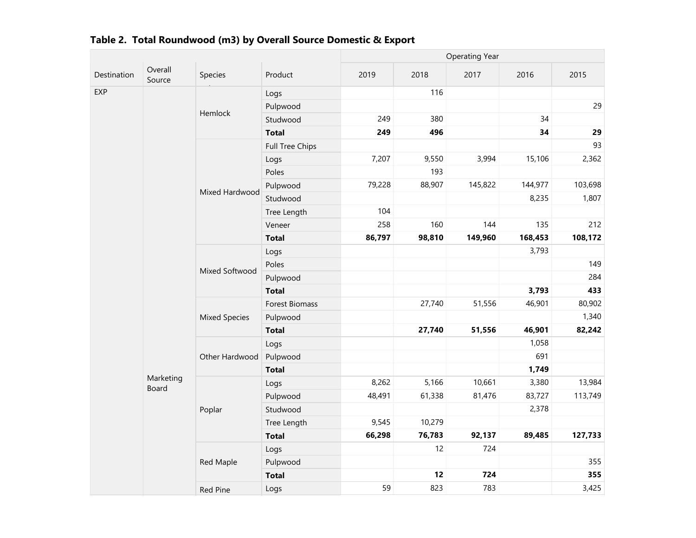|             |                    |                      |                 | <b>Operating Year</b> |        |         |         |         |  |  |
|-------------|--------------------|----------------------|-----------------|-----------------------|--------|---------|---------|---------|--|--|
| Destination | Overall<br>Source  | Species              | Product         | 2019                  | 2018   | 2017    | 2016    | 2015    |  |  |
| EXP         |                    |                      | Logs            |                       | 116    |         |         |         |  |  |
|             |                    | Hemlock              | Pulpwood        |                       |        |         |         | 29      |  |  |
|             |                    |                      | Studwood        | 249                   | 380    |         | 34      |         |  |  |
|             |                    |                      | <b>Total</b>    | 249                   | 496    |         | 34      | 29      |  |  |
|             |                    |                      | Full Tree Chips |                       |        |         |         | 93      |  |  |
|             |                    |                      | Logs            | 7,207                 | 9,550  | 3,994   | 15,106  | 2,362   |  |  |
|             |                    |                      | Poles           |                       | 193    |         |         |         |  |  |
|             |                    |                      | Pulpwood        | 79,228                | 88,907 | 145,822 | 144,977 | 103,698 |  |  |
|             |                    | Mixed Hardwood       | Studwood        |                       |        |         | 8,235   | 1,807   |  |  |
|             |                    |                      | Tree Length     | 104                   |        |         |         |         |  |  |
|             |                    |                      | Veneer          | 258                   | 160    | 144     | 135     | 212     |  |  |
|             |                    |                      | <b>Total</b>    | 86,797                | 98,810 | 149,960 | 168,453 | 108,172 |  |  |
|             |                    |                      | Logs            |                       |        |         | 3,793   |         |  |  |
|             |                    | Mixed Softwood       | Poles           |                       |        |         |         | 149     |  |  |
|             |                    |                      | Pulpwood        |                       |        |         |         | 284     |  |  |
|             |                    |                      | <b>Total</b>    |                       |        |         | 3,793   | 433     |  |  |
|             |                    |                      | Forest Biomass  |                       | 27,740 | 51,556  | 46,901  | 80,902  |  |  |
|             |                    | <b>Mixed Species</b> | Pulpwood        |                       |        |         |         | 1,340   |  |  |
|             |                    |                      | <b>Total</b>    |                       | 27,740 | 51,556  | 46,901  | 82,242  |  |  |
|             |                    |                      | Logs            |                       |        |         | 1,058   |         |  |  |
|             |                    | Other Hardwood       | Pulpwood        |                       |        |         | 691     |         |  |  |
|             |                    |                      | <b>Total</b>    |                       |        |         | 1,749   |         |  |  |
|             | Marketing<br>Board |                      | Logs            | 8,262                 | 5,166  | 10,661  | 3,380   | 13,984  |  |  |
|             |                    |                      | Pulpwood        | 48,491                | 61,338 | 81,476  | 83,727  | 113,749 |  |  |
|             |                    | Poplar               | Studwood        |                       |        |         | 2,378   |         |  |  |
|             |                    |                      | Tree Length     | 9,545                 | 10,279 |         |         |         |  |  |
|             |                    |                      | <b>Total</b>    | 66,298                | 76,783 | 92,137  | 89,485  | 127,733 |  |  |
|             |                    |                      | Logs            |                       | 12     | 724     |         |         |  |  |
|             |                    | Red Maple            | Pulpwood        |                       |        |         |         | 355     |  |  |
|             |                    |                      | <b>Total</b>    |                       | 12     | 724     |         | 355     |  |  |
|             |                    | <b>Red Pine</b>      | Logs            | 59                    | 823    | 783     |         | 3,425   |  |  |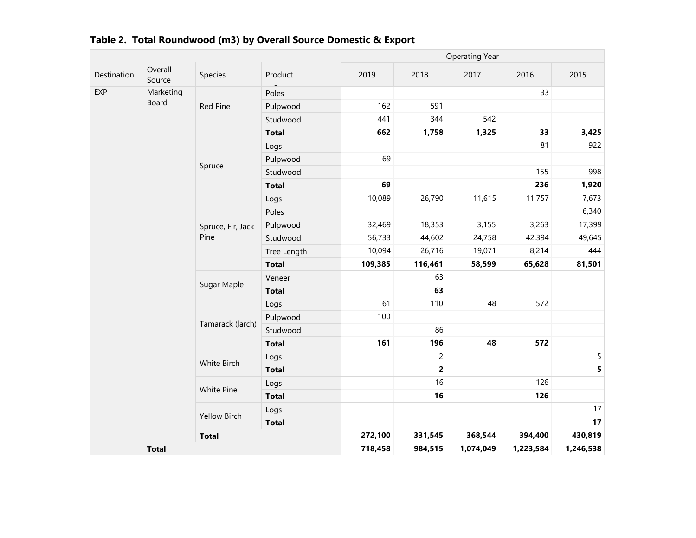|             |                   |                           |              |         |                | <b>Operating Year</b> |           |             |
|-------------|-------------------|---------------------------|--------------|---------|----------------|-----------------------|-----------|-------------|
| Destination | Overall<br>Source | Species                   | Product      | 2019    | 2018           | 2017                  | 2016      | 2015        |
| EXP         | Marketing         |                           | Poles        |         |                |                       | 33        |             |
|             | Board             | Red Pine                  | Pulpwood     | 162     | 591            |                       |           |             |
|             |                   |                           | Studwood     | 441     | 344            | 542                   |           |             |
|             |                   |                           | <b>Total</b> | 662     | 1,758          | 1,325                 | 33        | 3,425       |
|             |                   |                           | Logs         |         |                |                       | 81        | 922         |
|             |                   |                           | Pulpwood     | 69      |                |                       |           |             |
|             |                   | Spruce                    | Studwood     |         |                |                       | 155       | 998         |
|             |                   |                           | <b>Total</b> | 69      |                |                       | 236       | 1,920       |
|             |                   |                           | Logs         | 10,089  | 26,790         | 11,615                | 11,757    | 7,673       |
|             |                   |                           | Poles        |         |                |                       |           | 6,340       |
|             |                   | Spruce, Fir, Jack<br>Pine | Pulpwood     | 32,469  | 18,353         | 3,155                 | 3,263     | 17,399      |
|             |                   |                           | Studwood     | 56,733  | 44,602         | 24,758                | 42,394    | 49,645      |
|             |                   |                           | Tree Length  | 10,094  | 26,716         | 19,071                | 8,214     | 444         |
|             |                   |                           | <b>Total</b> | 109,385 | 116,461        | 58,599                | 65,628    | 81,501      |
|             |                   | Sugar Maple               | Veneer       |         | 63             |                       |           |             |
|             |                   |                           | <b>Total</b> |         | 63             |                       |           |             |
|             |                   |                           | Logs         | 61      | 110            | 48                    | 572       |             |
|             |                   | Tamarack (larch)          | Pulpwood     | 100     |                |                       |           |             |
|             |                   |                           | Studwood     |         | 86             |                       |           |             |
|             |                   |                           | <b>Total</b> | 161     | 196            | 48                    | 572       |             |
|             |                   | White Birch               | Logs         |         | $\overline{c}$ |                       |           | $\mathsf S$ |
|             |                   |                           | <b>Total</b> |         | $\overline{2}$ |                       |           | 5           |
|             |                   | White Pine                | Logs         |         | 16             |                       | 126       |             |
|             |                   |                           | <b>Total</b> |         | 16             |                       | 126       |             |
|             |                   | <b>Yellow Birch</b>       | Logs         |         |                |                       |           | 17          |
|             |                   |                           | <b>Total</b> |         |                |                       |           | 17          |
|             |                   | <b>Total</b>              |              | 272,100 | 331,545        | 368,544               | 394,400   | 430,819     |
|             | <b>Total</b>      |                           |              | 718,458 | 984,515        | 1,074,049             | 1,223,584 | 1,246,538   |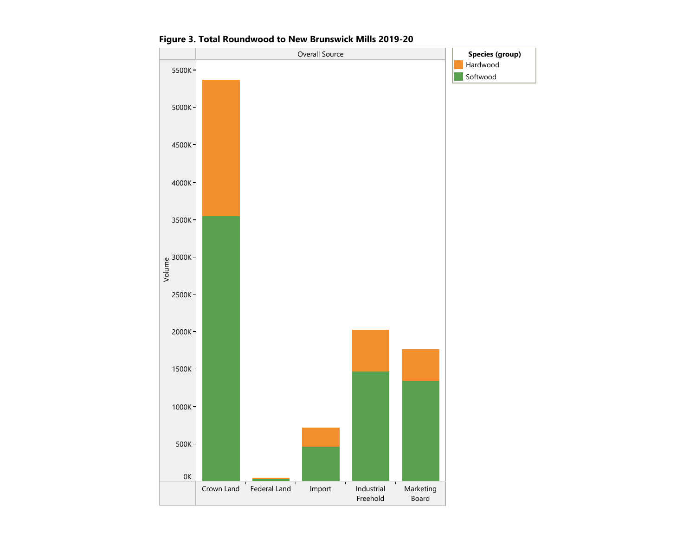

Figure 3. Total Roundwood to New Brunswick Mills 2019-20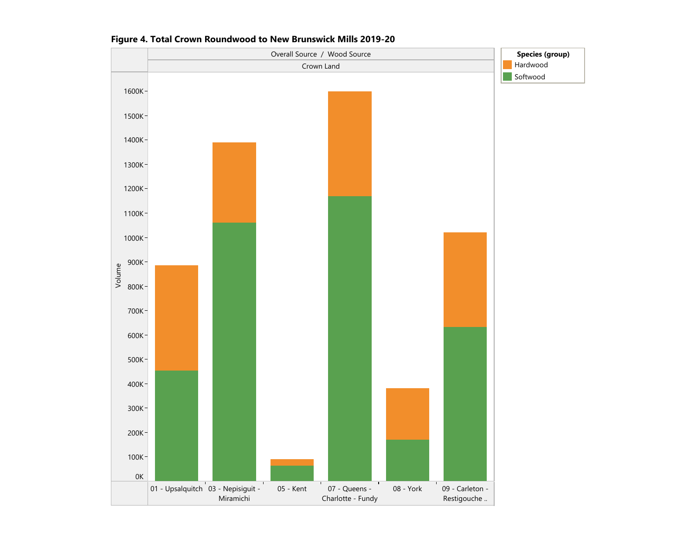

Figure 4. Total Crown Roundwood to New Brunswick Mills 2019-20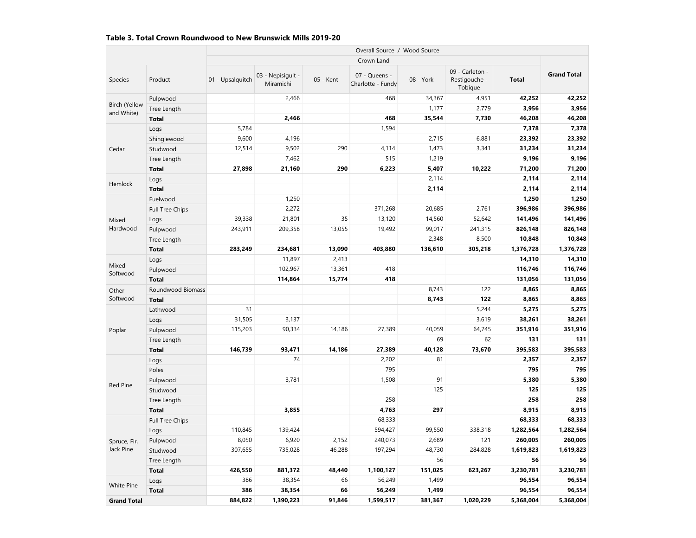#### Table 3. Total Crown Roundwood to New Brunswick Mills 2019-20

|                                    |                   |                  | Overall Source / Wood Source   |           |                                    |           |                                             |              |                    |  |  |  |
|------------------------------------|-------------------|------------------|--------------------------------|-----------|------------------------------------|-----------|---------------------------------------------|--------------|--------------------|--|--|--|
|                                    |                   |                  |                                |           | Crown Land                         |           |                                             |              |                    |  |  |  |
| Species                            | Product           | 01 - Upsalquitch | 03 - Nepisiquit -<br>Miramichi | 05 - Kent | 07 - Queens -<br>Charlotte - Fundy | 08 - York | 09 - Carleton -<br>Restigouche -<br>Tobique | <b>Total</b> | <b>Grand Total</b> |  |  |  |
|                                    | Pulpwood          |                  | 2,466                          |           | 468                                | 34,367    | 4,951                                       | 42,252       | 42,252             |  |  |  |
| <b>Birch (Yellow</b><br>and White) | Tree Length       |                  |                                |           |                                    | 1,177     | 2,779                                       | 3,956        | 3,956              |  |  |  |
|                                    | <b>Total</b>      |                  | 2,466                          |           | 468                                | 35,544    | 7,730                                       | 46,208       | 46,208             |  |  |  |
|                                    | Logs              | 5,784            |                                |           | 1,594                              |           |                                             | 7,378        | 7,378              |  |  |  |
|                                    | Shinglewood       | 9,600            | 4,196                          |           |                                    | 2,715     | 6,881                                       | 23,392       | 23,392             |  |  |  |
| Cedar                              | Studwood          | 12,514           | 9,502                          | 290       | 4,114                              | 1,473     | 3,341                                       | 31,234       | 31,234             |  |  |  |
|                                    | Tree Length       |                  | 7,462                          |           | 515                                | 1,219     |                                             | 9,196        | 9,196              |  |  |  |
|                                    | <b>Total</b>      | 27,898           | 21,160                         | 290       | 6,223                              | 5,407     | 10,222                                      | 71,200       | 71,200             |  |  |  |
|                                    | Logs              |                  |                                |           |                                    | 2,114     |                                             | 2,114        | 2,114              |  |  |  |
| Hemlock                            | <b>Total</b>      |                  |                                |           |                                    | 2,114     |                                             | 2,114        | 2,114              |  |  |  |
|                                    | Fuelwood          |                  | 1,250                          |           |                                    |           |                                             | 1,250        | 1,250              |  |  |  |
|                                    | Full Tree Chips   |                  | 2,272                          |           | 371,268                            | 20,685    | 2,761                                       | 396,986      | 396,986            |  |  |  |
| Mixed                              | Logs              | 39,338           | 21,801                         | 35        | 13,120                             | 14,560    | 52,642                                      | 141,496      | 141,496            |  |  |  |
| Hardwood                           | Pulpwood          | 243,911          | 209,358                        | 13,055    | 19,492                             | 99,017    | 241,315                                     | 826,148      | 826,148            |  |  |  |
|                                    | Tree Length       |                  |                                |           |                                    | 2,348     | 8,500                                       | 10,848       | 10,848             |  |  |  |
|                                    | <b>Total</b>      | 283,249          | 234,681                        | 13,090    | 403,880                            | 136,610   | 305,218                                     | 1,376,728    | 1,376,728          |  |  |  |
|                                    | Logs              |                  | 11,897                         | 2,413     |                                    |           |                                             | 14,310       | 14,310             |  |  |  |
| Mixed<br>Softwood                  | Pulpwood          |                  | 102,967                        | 13,361    | 418                                |           |                                             | 116,746      | 116,746            |  |  |  |
|                                    | <b>Total</b>      |                  | 114,864                        | 15,774    | 418                                |           |                                             | 131,056      | 131,056            |  |  |  |
| Other                              | Roundwood Biomass |                  |                                |           |                                    | 8,743     | 122                                         | 8,865        | 8,865              |  |  |  |
| Softwood                           | <b>Total</b>      |                  |                                |           |                                    | 8,743     | 122                                         | 8,865        | 8,865              |  |  |  |
|                                    | Lathwood          | 31               |                                |           |                                    |           | 5,244                                       | 5,275        | 5,275              |  |  |  |
|                                    | Logs              | 31,505           | 3,137                          |           |                                    |           | 3,619                                       | 38,261       | 38,261             |  |  |  |
| Poplar                             | Pulpwood          | 115,203          | 90,334                         | 14,186    | 27,389                             | 40,059    | 64,745                                      | 351,916      | 351,916            |  |  |  |
|                                    | Tree Length       |                  |                                |           |                                    | 69        | 62                                          | 131          | 131                |  |  |  |
|                                    | <b>Total</b>      | 146,739          | 93,471                         | 14,186    | 27,389                             | 40,128    | 73,670                                      | 395,583      | 395,583            |  |  |  |
|                                    | Logs              |                  | 74                             |           | 2,202                              | 81        |                                             | 2,357        | 2,357              |  |  |  |
|                                    | Poles             |                  |                                |           | 795                                |           |                                             | 795          | 795                |  |  |  |
|                                    | Pulpwood          |                  | 3,781                          |           | 1,508                              | 91        |                                             | 5,380        | 5,380              |  |  |  |
| <b>Red Pine</b>                    | Studwood          |                  |                                |           |                                    | 125       |                                             | 125          | 125                |  |  |  |
|                                    | Tree Length       |                  |                                |           | 258                                |           |                                             | 258          | 258                |  |  |  |
|                                    | <b>Total</b>      |                  | 3,855                          |           | 4,763                              | 297       |                                             | 8,915        | 8,915              |  |  |  |
|                                    | Full Tree Chips   |                  |                                |           | 68,333                             |           |                                             | 68,333       | 68,333             |  |  |  |
|                                    | Logs              | 110,845          | 139,424                        |           | 594,427                            | 99,550    | 338,318                                     | 1,282,564    | 1,282,564          |  |  |  |
| Spruce, Fir,                       | Pulpwood          | 8,050            | 6,920                          | 2,152     | 240,073                            | 2,689     | 121                                         | 260,005      | 260,005            |  |  |  |
| Jack Pine                          | Studwood          | 307,655          | 735,028                        | 46,288    | 197,294                            | 48,730    | 284,828                                     | 1,619,823    | 1,619,823          |  |  |  |
|                                    | Tree Length       |                  |                                |           |                                    | 56        |                                             | 56           | 56                 |  |  |  |
|                                    | <b>Total</b>      | 426,550          | 881,372                        | 48,440    | 1,100,127                          | 151,025   | 623,267                                     | 3,230,781    | 3,230,781          |  |  |  |
|                                    | Logs              | 386              | 38,354                         | 66        | 56,249                             | 1,499     |                                             | 96,554       | 96,554             |  |  |  |
| <b>White Pine</b>                  | <b>Total</b>      | 386              | 38,354                         | 66        | 56,249                             | 1,499     |                                             | 96,554       | 96,554             |  |  |  |
| <b>Grand Total</b>                 |                   | 884,822          | 1,390,223                      | 91,846    | 1,599,517                          | 381,367   | 1,020,229                                   | 5,368,004    | 5,368,004          |  |  |  |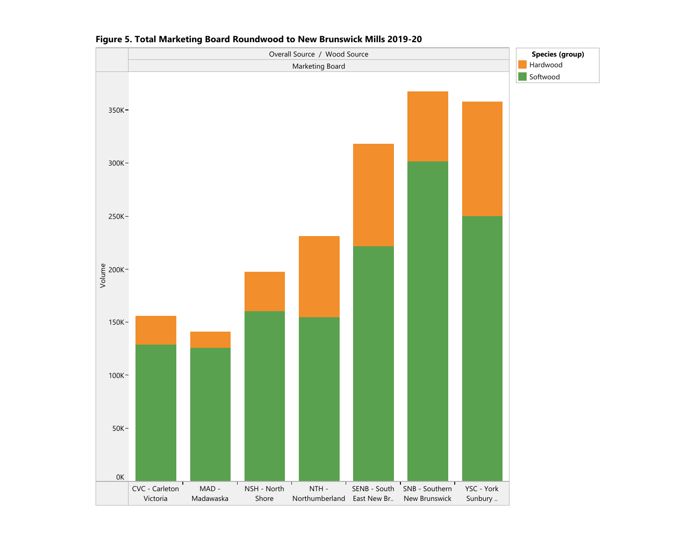

#### Figure 5. Total Marketing Board Roundwood to New Brunswick Mills 2019-20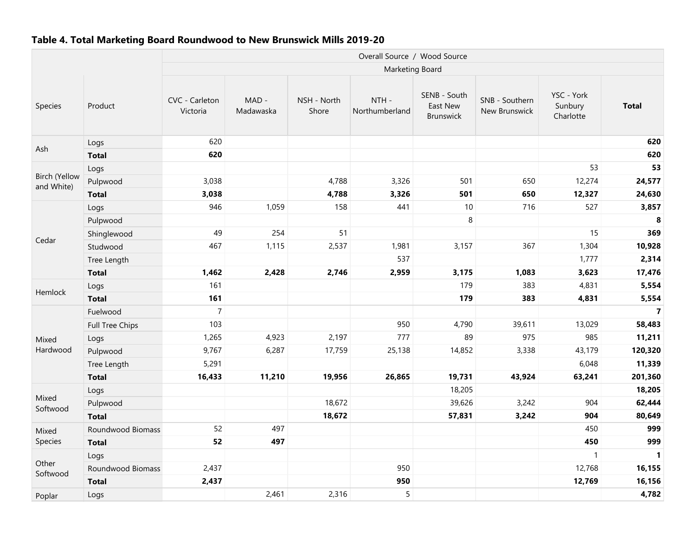#### Table 4. Total Marketing Board Roundwood to New Brunswick Mills 2019-20

|                             |                   |                            |                    |                      | Overall Source / Wood Source |                                              |                                 |                                    |              |
|-----------------------------|-------------------|----------------------------|--------------------|----------------------|------------------------------|----------------------------------------------|---------------------------------|------------------------------------|--------------|
|                             |                   |                            |                    |                      | <b>Marketing Board</b>       |                                              |                                 |                                    |              |
| Species                     | Product           | CVC - Carleton<br>Victoria | MAD -<br>Madawaska | NSH - North<br>Shore | NTH-<br>Northumberland       | SENB - South<br>East New<br><b>Brunswick</b> | SNB - Southern<br>New Brunswick | YSC - York<br>Sunbury<br>Charlotte | <b>Total</b> |
|                             | Logs              | 620                        |                    |                      |                              |                                              |                                 |                                    | 620          |
| Ash                         | <b>Total</b>      | 620                        |                    |                      |                              |                                              |                                 |                                    | 620          |
|                             | Logs              |                            |                    |                      |                              |                                              |                                 | 53                                 | 53           |
| Birch (Yellow<br>and White) | Pulpwood          | 3,038                      |                    | 4,788                | 3,326                        | 501                                          | 650                             | 12,274                             | 24,577       |
|                             | <b>Total</b>      | 3,038                      |                    | 4,788                | 3,326                        | 501                                          | 650                             | 12,327                             | 24,630       |
|                             | Logs              | 946                        | 1,059              | 158                  | 441                          | 10                                           | 716                             | 527                                | 3,857        |
|                             | Pulpwood          |                            |                    |                      |                              | $\,8\,$                                      |                                 |                                    | 8            |
| Cedar                       | Shinglewood       | 49                         | 254                | 51                   |                              |                                              |                                 | 15                                 | 369          |
|                             | Studwood          | 467                        | 1,115              | 2,537                | 1,981                        | 3,157                                        | 367                             | 1,304                              | 10,928       |
|                             | Tree Length       |                            |                    |                      | 537                          |                                              |                                 | 1,777                              | 2,314        |
|                             | <b>Total</b>      | 1,462                      | 2,428              | 2,746                | 2,959                        | 3,175                                        | 1,083                           | 3,623                              | 17,476       |
| Hemlock                     | Logs              | 161                        |                    |                      |                              | 179                                          | 383                             | 4,831                              | 5,554        |
|                             | <b>Total</b>      | 161                        |                    |                      |                              | 179                                          | 383                             | 4,831                              | 5,554        |
|                             | Fuelwood          | $\overline{7}$             |                    |                      |                              |                                              |                                 |                                    | $\mathbf{7}$ |
|                             | Full Tree Chips   | 103                        |                    |                      | 950                          | 4,790                                        | 39,611                          | 13,029                             | 58,483       |
| Mixed                       | Logs              | 1,265                      | 4,923              | 2,197                | 777                          | 89                                           | 975                             | 985                                | 11,211       |
| Hardwood                    | Pulpwood          | 9,767                      | 6,287              | 17,759               | 25,138                       | 14,852                                       | 3,338                           | 43,179                             | 120,320      |
|                             | Tree Length       | 5,291                      |                    |                      |                              |                                              |                                 | 6,048                              | 11,339       |
|                             | <b>Total</b>      | 16,433                     | 11,210             | 19,956               | 26,865                       | 19,731                                       | 43,924                          | 63,241                             | 201,360      |
| Mixed                       | Logs              |                            |                    |                      |                              | 18,205                                       |                                 |                                    | 18,205       |
| Softwood                    | Pulpwood          |                            |                    | 18,672               |                              | 39,626                                       | 3,242                           | 904                                | 62,444       |
|                             | <b>Total</b>      |                            |                    | 18,672               |                              | 57,831                                       | 3,242                           | 904                                | 80,649       |
| Mixed                       | Roundwood Biomass | 52                         | 497                |                      |                              |                                              |                                 | 450                                | 999          |
| Species                     | <b>Total</b>      | 52                         | 497                |                      |                              |                                              |                                 | 450                                | 999          |
| Other                       | Logs              |                            |                    |                      |                              |                                              |                                 | $\mathbf{1}$                       | $\mathbf{1}$ |
| Softwood                    | Roundwood Biomass | 2,437                      |                    |                      | 950                          |                                              |                                 | 12,768                             | 16,155       |
|                             | <b>Total</b>      | 2,437                      |                    |                      | 950                          |                                              |                                 | 12,769                             | 16,156       |
| Poplar                      | Logs              |                            | 2,461              | 2,316                | 5                            |                                              |                                 |                                    | 4,782        |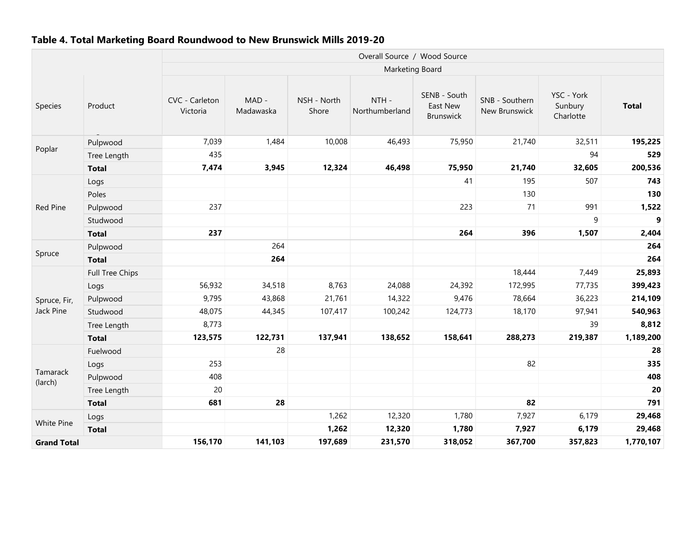#### Table 4. Total Marketing Board Roundwood to New Brunswick Mills 2019-20

|                     |                 | Overall Source / Wood Source |                    |                      |                        |                                       |                                        |                                    |                  |  |  |  |
|---------------------|-----------------|------------------------------|--------------------|----------------------|------------------------|---------------------------------------|----------------------------------------|------------------------------------|------------------|--|--|--|
|                     |                 |                              |                    |                      | Marketing Board        |                                       |                                        |                                    |                  |  |  |  |
| Species             | Product         | CVC - Carleton<br>Victoria   | MAD -<br>Madawaska | NSH - North<br>Shore | NTH-<br>Northumberland | SENB - South<br>East New<br>Brunswick | SNB - Southern<br><b>New Brunswick</b> | YSC - York<br>Sunbury<br>Charlotte | <b>Total</b>     |  |  |  |
|                     | Pulpwood        | 7,039                        | 1,484              | 10,008               | 46,493                 | 75,950                                | 21,740                                 | 32,511                             | 195,225          |  |  |  |
| Poplar              | Tree Length     | 435                          |                    |                      |                        |                                       |                                        | 94                                 | 529              |  |  |  |
|                     | <b>Total</b>    | 7,474                        | 3,945              | 12,324               | 46,498                 | 75,950                                | 21,740                                 | 32,605                             | 200,536          |  |  |  |
|                     | Logs            |                              |                    |                      |                        | 41                                    | 195                                    | 507                                | 743              |  |  |  |
|                     | Poles           |                              |                    |                      |                        |                                       | 130                                    |                                    | 130              |  |  |  |
| <b>Red Pine</b>     | Pulpwood        | 237                          |                    |                      |                        | 223                                   | 71                                     | 991                                | 1,522            |  |  |  |
|                     | Studwood        |                              |                    |                      |                        |                                       |                                        | 9                                  | $\boldsymbol{9}$ |  |  |  |
|                     | <b>Total</b>    | 237                          |                    |                      |                        | 264                                   | 396                                    | 1,507                              | 2,404            |  |  |  |
|                     | Pulpwood        |                              | 264                |                      |                        |                                       |                                        |                                    | 264              |  |  |  |
| Spruce              | <b>Total</b>    |                              | 264                |                      |                        |                                       |                                        |                                    | 264              |  |  |  |
|                     | Full Tree Chips |                              |                    |                      |                        |                                       | 18,444                                 | 7,449                              | 25,893           |  |  |  |
|                     | Logs            | 56,932                       | 34,518             | 8,763                | 24,088                 | 24,392                                | 172,995                                | 77,735                             | 399,423          |  |  |  |
| Spruce, Fir,        | Pulpwood        | 9,795                        | 43,868             | 21,761               | 14,322                 | 9,476                                 | 78,664                                 | 36,223                             | 214,109          |  |  |  |
| Jack Pine           | Studwood        | 48,075                       | 44,345             | 107,417              | 100,242                | 124,773                               | 18,170                                 | 97,941                             | 540,963          |  |  |  |
|                     | Tree Length     | 8,773                        |                    |                      |                        |                                       |                                        | 39                                 | 8,812            |  |  |  |
|                     | <b>Total</b>    | 123,575                      | 122,731            | 137,941              | 138,652                | 158,641                               | 288,273                                | 219,387                            | 1,189,200        |  |  |  |
|                     | Fuelwood        |                              | 28                 |                      |                        |                                       |                                        |                                    | 28               |  |  |  |
|                     | Logs            | 253                          |                    |                      |                        |                                       | 82                                     |                                    | 335              |  |  |  |
| Tamarack<br>(larch) | Pulpwood        | 408                          |                    |                      |                        |                                       |                                        |                                    | 408              |  |  |  |
|                     | Tree Length     | 20                           |                    |                      |                        |                                       |                                        |                                    | 20               |  |  |  |
|                     | <b>Total</b>    | 681                          | 28                 |                      |                        |                                       | 82                                     |                                    | 791              |  |  |  |
| White Pine          | Logs            |                              |                    | 1,262                | 12,320                 | 1,780                                 | 7,927                                  | 6,179                              | 29,468           |  |  |  |
|                     | <b>Total</b>    |                              |                    | 1,262                | 12,320                 | 1,780                                 | 7,927                                  | 6,179                              | 29,468           |  |  |  |
| <b>Grand Total</b>  |                 | 156,170                      | 141,103            | 197,689              | 231,570                | 318,052                               | 367,700                                | 357,823                            | 1,770,107        |  |  |  |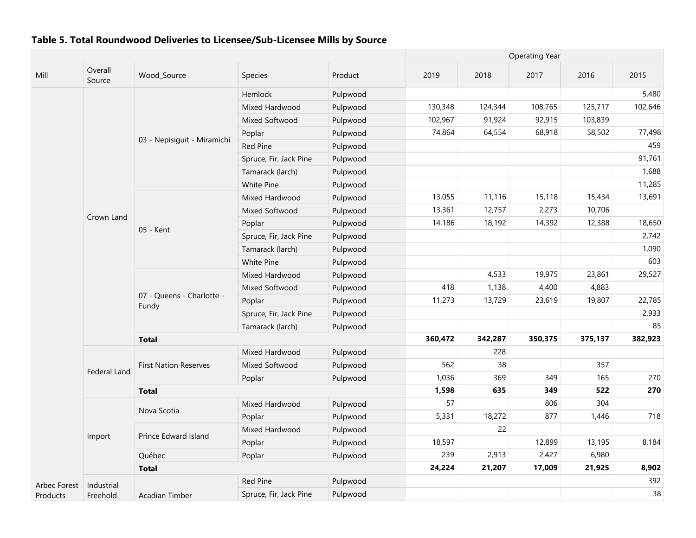|              |                   |                                    |                        |          |         |         | <b>Operating Year</b> |         |         |
|--------------|-------------------|------------------------------------|------------------------|----------|---------|---------|-----------------------|---------|---------|
| Mill         | Overall<br>Source | Wood_Source                        | <b>Species</b>         | Product  | 2019    | 2018    | 2017                  | 2016    | 2015    |
|              |                   |                                    | Hemlock                | Pulpwood |         |         |                       |         | 5,480   |
|              |                   |                                    | Mixed Hardwood         | Pulpwood | 130,348 | 124,344 | 108,765               | 125,717 | 102,646 |
|              |                   |                                    | Mixed Softwood         | Pulpwood | 102,967 | 91,924  | 92,915                | 103,839 |         |
|              |                   |                                    | Poplar                 | Pulpwood | 74,864  | 64,554  | 68,918                | 58,502  | 77,498  |
|              |                   | 03 - Nepisiguit - Miramichi        | Red Pine               | Pulpwood |         |         |                       |         | 459     |
|              |                   |                                    | Spruce, Fir, Jack Pine | Pulpwood |         |         |                       |         | 91,761  |
|              |                   |                                    | Tamarack (larch)       | Pulpwood |         |         |                       |         | 1,688   |
|              |                   |                                    | White Pine             | Pulpwood |         |         |                       |         | 11,285  |
|              |                   |                                    | Mixed Hardwood         | Pulpwood | 13,055  | 11,116  | 15,118                | 15,434  | 13,691  |
|              |                   |                                    | Mixed Softwood         | Pulpwood | 13,361  | 12,757  | 2,273                 | 10,706  |         |
|              | Crown Land        |                                    | Poplar                 | Pulpwood | 14,186  | 18,192  | 14,392                | 12,388  | 18,650  |
|              |                   | 05 - Kent                          | Spruce, Fir, Jack Pine | Pulpwood |         |         |                       |         | 2,742   |
|              |                   |                                    | Tamarack (larch)       | Pulpwood |         |         |                       |         | 1,090   |
|              |                   |                                    | White Pine             | Pulpwood |         |         |                       |         | 603     |
|              |                   |                                    | Mixed Hardwood         | Pulpwood |         | 4,533   | 19,975                | 23,861  | 29,527  |
|              |                   | 07 - Queens - Charlotte -<br>Fundy | Mixed Softwood         | Pulpwood | 418     | 1,138   | 4,400                 | 4,883   |         |
|              |                   |                                    | Poplar                 | Pulpwood | 11,273  | 13,729  | 23,619                | 19,807  | 22,785  |
|              |                   |                                    | Spruce, Fir, Jack Pine | Pulpwood |         |         |                       |         | 2,933   |
|              |                   |                                    | Tamarack (larch)       | Pulpwood |         |         |                       |         | 85      |
|              |                   | <b>Total</b>                       |                        |          | 360,472 | 342,287 | 350,375               | 375,137 | 382,923 |
|              |                   |                                    | Mixed Hardwood         | Pulpwood |         | 228     |                       |         |         |
|              |                   | <b>First Nation Reserves</b>       | Mixed Softwood         | Pulpwood | 562     | 38      |                       | 357     |         |
|              | Federal Land      |                                    | Poplar                 | Pulpwood | 1,036   | 369     | 349                   | 165     | 270     |
|              |                   | <b>Total</b>                       |                        |          | 1,598   | 635     | 349                   | 522     | 270     |
|              |                   |                                    | Mixed Hardwood         | Pulpwood | 57      |         | 806                   | 304     |         |
|              |                   | Nova Scotia                        | Poplar                 | Pulpwood | 5,331   | 18,272  | 877                   | 1,446   | 718     |
|              |                   |                                    | Mixed Hardwood         | Pulpwood |         | 22      |                       |         |         |
|              | Import            | Prince Edward Island               | Poplar                 | Pulpwood | 18,597  |         | 12,899                | 13,195  | 8,184   |
|              |                   | Québec                             | Poplar                 | Pulpwood | 239     | 2,913   | 2,427                 | 6,980   |         |
|              |                   | <b>Total</b>                       |                        |          | 24,224  | 21,207  | 17,009                | 21,925  | 8,902   |
| Arbec Forest | Industrial        |                                    | Red Pine               | Pulpwood |         |         |                       |         | 392     |
| Products     | Freehold          | <b>Acadian Timber</b>              | Spruce, Fir, Jack Pine | Pulpwood |         |         |                       |         | 38      |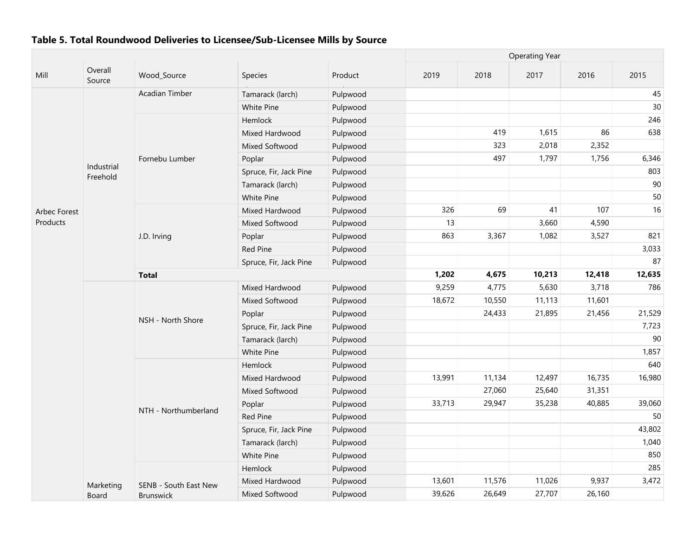|                     |                        |                       |                        |          |        |        | <b>Operating Year</b> |        |        |
|---------------------|------------------------|-----------------------|------------------------|----------|--------|--------|-----------------------|--------|--------|
| Mill                | Overall<br>Source      | Wood_Source           | Species                | Product  | 2019   | 2018   | 2017                  | 2016   | 2015   |
|                     |                        | <b>Acadian Timber</b> | Tamarack (larch)       | Pulpwood |        |        |                       |        | 45     |
|                     |                        |                       | White Pine             | Pulpwood |        |        |                       |        | 30     |
|                     |                        |                       | Hemlock                | Pulpwood |        |        |                       |        | 246    |
|                     |                        |                       | Mixed Hardwood         | Pulpwood |        | 419    | 1,615                 | 86     | 638    |
|                     |                        |                       | Mixed Softwood         | Pulpwood |        | 323    | 2,018                 | 2,352  |        |
|                     |                        | Fornebu Lumber        | Poplar                 | Pulpwood |        | 497    | 1,797                 | 1,756  | 6,346  |
|                     | Industrial<br>Freehold |                       | Spruce, Fir, Jack Pine | Pulpwood |        |        |                       |        | 803    |
|                     |                        |                       | Tamarack (larch)       | Pulpwood |        |        |                       |        | 90     |
|                     |                        |                       | White Pine             | Pulpwood |        |        |                       |        | 50     |
| <b>Arbec Forest</b> |                        |                       | Mixed Hardwood         | Pulpwood | 326    | 69     | 41                    | 107    | 16     |
| Products            |                        |                       | Mixed Softwood         | Pulpwood | 13     |        | 3,660                 | 4,590  |        |
|                     |                        | J.D. Irving           | Poplar                 | Pulpwood | 863    | 3,367  | 1,082                 | 3,527  | 821    |
|                     |                        |                       | <b>Red Pine</b>        | Pulpwood |        |        |                       |        | 3,033  |
|                     |                        |                       | Spruce, Fir, Jack Pine | Pulpwood |        |        |                       |        | 87     |
|                     |                        | <b>Total</b>          | 1,202                  | 4,675    | 10,213 | 12,418 | 12,635                |        |        |
|                     |                        |                       | Mixed Hardwood         | Pulpwood | 9,259  | 4,775  | 5,630                 | 3,718  | 786    |
|                     |                        |                       | Mixed Softwood         | Pulpwood | 18,672 | 10,550 | 11,113                | 11,601 |        |
|                     |                        |                       | Poplar                 | Pulpwood |        | 24,433 | 21,895                | 21,456 | 21,529 |
|                     |                        | NSH - North Shore     | Spruce, Fir, Jack Pine | Pulpwood |        |        |                       |        | 7,723  |
|                     |                        |                       | Tamarack (larch)       | Pulpwood |        |        |                       |        | 90     |
|                     |                        |                       | White Pine             | Pulpwood |        |        |                       |        | 1,857  |
|                     |                        |                       | Hemlock                | Pulpwood |        |        |                       |        | 640    |
|                     |                        |                       | Mixed Hardwood         | Pulpwood | 13,991 | 11,134 | 12,497                | 16,735 | 16,980 |
|                     |                        |                       | Mixed Softwood         | Pulpwood |        | 27,060 | 25,640                | 31,351 |        |
|                     |                        |                       | Poplar                 | Pulpwood | 33,713 | 29,947 | 35,238                | 40,885 | 39,060 |
|                     |                        | NTH - Northumberland  | Red Pine               | Pulpwood |        |        |                       |        | 50     |
|                     |                        |                       | Spruce, Fir, Jack Pine | Pulpwood |        |        |                       |        | 43,802 |
|                     |                        |                       | Tamarack (larch)       | Pulpwood |        |        |                       |        | 1,040  |
|                     |                        |                       | <b>White Pine</b>      | Pulpwood |        |        |                       |        | 850    |
|                     |                        |                       | Hemlock                | Pulpwood |        |        |                       |        | 285    |
|                     | Marketing              | SENB - South East New | Mixed Hardwood         | Pulpwood | 13,601 | 11,576 | 11,026                | 9,937  | 3,472  |
|                     | Board                  | Brunswick             | Mixed Softwood         | Pulpwood | 39,626 | 26,649 | 27,707                | 26,160 |        |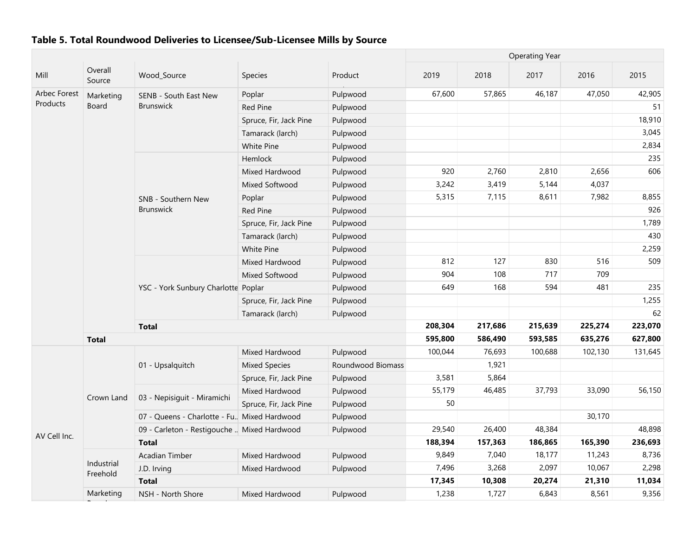|              |                        | <b>Operating Year</b>                        |                        |                   |         |         |         |         |         |
|--------------|------------------------|----------------------------------------------|------------------------|-------------------|---------|---------|---------|---------|---------|
| Mill         | Overall<br>Source      | Wood_Source                                  | Species                | Product           | 2019    | 2018    | 2017    | 2016    | 2015    |
| Arbec Forest | Marketing              | SENB - South East New                        | Poplar                 | Pulpwood          | 67,600  | 57,865  | 46,187  | 47,050  | 42,905  |
| Products     | Board                  | <b>Brunswick</b>                             | Red Pine               | Pulpwood          |         |         |         |         | 51      |
|              |                        |                                              | Spruce, Fir, Jack Pine | Pulpwood          |         |         |         |         | 18,910  |
|              |                        |                                              | Tamarack (larch)       | Pulpwood          |         |         |         |         | 3,045   |
|              |                        |                                              | White Pine             | Pulpwood          |         |         |         |         | 2,834   |
|              |                        |                                              | Hemlock                | Pulpwood          |         |         |         |         | 235     |
|              |                        |                                              | Mixed Hardwood         | Pulpwood          | 920     | 2,760   | 2,810   | 2,656   | 606     |
|              |                        |                                              | Mixed Softwood         | Pulpwood          | 3,242   | 3,419   | 5,144   | 4,037   |         |
|              |                        | SNB - Southern New                           | Poplar                 | Pulpwood          | 5,315   | 7,115   | 8,611   | 7,982   | 8,855   |
|              |                        | <b>Brunswick</b>                             | <b>Red Pine</b>        | Pulpwood          |         |         |         |         | 926     |
|              |                        |                                              | Spruce, Fir, Jack Pine | Pulpwood          |         |         |         |         | 1,789   |
|              |                        |                                              | Tamarack (larch)       | Pulpwood          |         |         |         |         | 430     |
|              |                        |                                              | White Pine             | Pulpwood          |         |         |         |         | 2,259   |
|              |                        |                                              | Mixed Hardwood         | Pulpwood          | 812     | 127     | 830     | 516     | 509     |
|              |                        |                                              | Mixed Softwood         | Pulpwood          | 904     | 108     | 717     | 709     |         |
|              |                        | YSC - York Sunbury Charlotte Poplar          |                        | Pulpwood          | 649     | 168     | 594     | 481     | 235     |
|              |                        |                                              | Spruce, Fir, Jack Pine | Pulpwood          |         |         |         |         | 1,255   |
|              |                        |                                              | Tamarack (larch)       | Pulpwood          |         |         |         |         | 62      |
|              |                        | <b>Total</b>                                 |                        |                   | 208,304 | 217,686 | 215,639 | 225,274 | 223,070 |
|              | <b>Total</b>           |                                              |                        |                   | 595,800 | 586,490 | 593,585 | 635,276 | 627,800 |
|              |                        |                                              | Mixed Hardwood         | Pulpwood          | 100,044 | 76,693  | 100,688 | 102,130 | 131,645 |
|              |                        | 01 - Upsalquitch                             | <b>Mixed Species</b>   | Roundwood Biomass |         | 1,921   |         |         |         |
|              |                        |                                              | Spruce, Fir, Jack Pine | Pulpwood          | 3,581   | 5,864   |         |         |         |
|              |                        |                                              | Mixed Hardwood         | Pulpwood          | 55,179  | 46,485  | 37,793  | 33,090  | 56,150  |
|              | Crown Land             | 03 - Nepisiguit - Miramichi                  | Spruce, Fir, Jack Pine | Pulpwood          | 50      |         |         |         |         |
|              |                        | 07 - Queens - Charlotte - Fu. Mixed Hardwood |                        | Pulpwood          |         |         |         | 30,170  |         |
|              |                        | 09 - Carleton - Restigouche  Mixed Hardwood  |                        | Pulpwood          | 29,540  | 26,400  | 48,384  |         | 48,898  |
| AV Cell Inc. |                        | <b>Total</b>                                 |                        |                   | 188,394 | 157,363 | 186,865 | 165,390 | 236,693 |
|              |                        | Acadian Timber                               | Mixed Hardwood         | Pulpwood          | 9,849   | 7,040   | 18,177  | 11,243  | 8,736   |
|              | Industrial<br>Freehold | J.D. Irving                                  | Mixed Hardwood         | Pulpwood          | 7,496   | 3,268   | 2,097   | 10,067  | 2,298   |
|              |                        | <b>Total</b>                                 |                        |                   | 17,345  | 10,308  | 20,274  | 21,310  | 11,034  |
|              | Marketing              | NSH - North Shore                            | Mixed Hardwood         | Pulpwood          | 1,238   | 1,727   | 6,843   | 8,561   | 9,356   |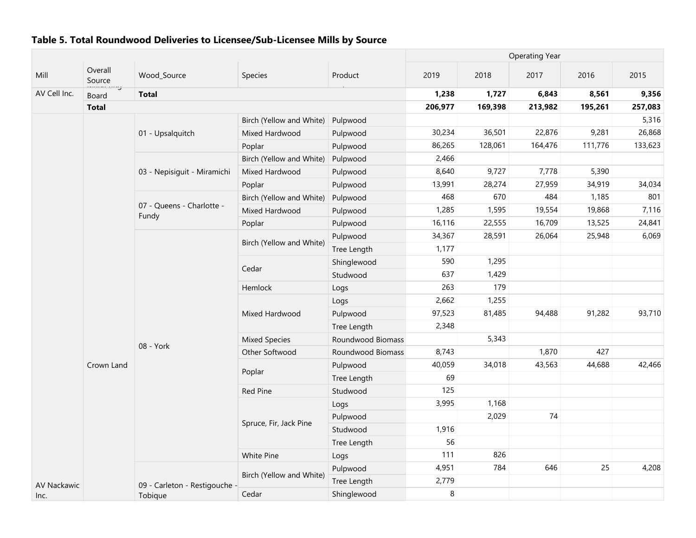|                    |                              |                                    |                          |                   | <b>Operating Year</b> |         |         |         |         |
|--------------------|------------------------------|------------------------------------|--------------------------|-------------------|-----------------------|---------|---------|---------|---------|
| Mill               | Overall<br>Source<br>mancang | Wood_Source                        | Species                  | Product           | 2019                  | 2018    | 2017    | 2016    | 2015    |
| AV Cell Inc.       | Board                        | <b>Total</b>                       |                          |                   | 1,238                 | 1,727   | 6,843   | 8,561   | 9,356   |
|                    | <b>Total</b>                 |                                    |                          |                   | 206,977               | 169,398 | 213,982 | 195,261 | 257,083 |
|                    |                              |                                    | Birch (Yellow and White) | Pulpwood          |                       |         |         |         | 5,316   |
|                    |                              | 01 - Upsalquitch                   | Mixed Hardwood           | Pulpwood          | 30,234                | 36,501  | 22,876  | 9,281   | 26,868  |
|                    |                              |                                    | Poplar                   | Pulpwood          | 86,265                | 128,061 | 164,476 | 111,776 | 133,623 |
|                    |                              |                                    | Birch (Yellow and White) | Pulpwood          | 2,466                 |         |         |         |         |
|                    |                              | 03 - Nepisiguit - Miramichi        | Mixed Hardwood           | Pulpwood          | 8,640                 | 9,727   | 7,778   | 5,390   |         |
|                    |                              |                                    | Poplar                   | Pulpwood          | 13,991                | 28,274  | 27,959  | 34,919  | 34,034  |
|                    |                              |                                    | Birch (Yellow and White) | Pulpwood          | 468                   | 670     | 484     | 1,185   | 801     |
|                    |                              | 07 - Queens - Charlotte -<br>Fundy | Mixed Hardwood           | Pulpwood          | 1,285                 | 1,595   | 19,554  | 19,868  | 7,116   |
|                    |                              |                                    | Poplar                   | Pulpwood          | 16,116                | 22,555  | 16,709  | 13,525  | 24,841  |
|                    |                              |                                    |                          | Pulpwood          | 34,367                | 28,591  | 26,064  | 25,948  | 6,069   |
|                    |                              |                                    | Birch (Yellow and White) | Tree Length       | 1,177                 |         |         |         |         |
|                    |                              |                                    |                          | Shinglewood       | 590                   | 1,295   |         |         |         |
|                    |                              |                                    | Cedar                    | Studwood          | 637                   | 1,429   |         |         |         |
|                    |                              |                                    | Hemlock                  | Logs              | 263                   | 179     |         |         |         |
|                    |                              |                                    |                          | Logs              | 2,662                 | 1,255   |         |         |         |
|                    |                              |                                    | Mixed Hardwood           | Pulpwood          | 97,523                | 81,485  | 94,488  | 91,282  | 93,710  |
|                    |                              |                                    |                          | Tree Length       | 2,348                 |         |         |         |         |
|                    |                              |                                    | <b>Mixed Species</b>     | Roundwood Biomass |                       | 5,343   |         |         |         |
|                    |                              | 08 - York                          | Other Softwood           | Roundwood Biomass | 8,743                 |         | 1,870   | 427     |         |
|                    | Crown Land                   |                                    |                          | Pulpwood          | 40,059                | 34,018  | 43,563  | 44,688  | 42,466  |
|                    |                              |                                    | Poplar                   | Tree Length       | 69                    |         |         |         |         |
|                    |                              |                                    | Red Pine                 | Studwood          | 125                   |         |         |         |         |
|                    |                              |                                    |                          | Logs              | 3,995                 | 1,168   |         |         |         |
|                    |                              |                                    |                          | Pulpwood          |                       | 2,029   | 74      |         |         |
|                    |                              | Spruce, Fir, Jack Pine             | Studwood                 | 1,916             |                       |         |         |         |         |
|                    |                              |                                    | Tree Length              | 56                |                       |         |         |         |         |
|                    |                              |                                    | White Pine               | Logs              | 111                   | 826     |         |         |         |
|                    |                              |                                    |                          | Pulpwood          | 4,951                 | 784     | 646     | 25      | 4,208   |
| <b>AV Nackawic</b> |                              | 09 - Carleton - Restigouche -      | Birch (Yellow and White) | Tree Length       | 2,779                 |         |         |         |         |
| Inc.               |                              | Tobique                            | Cedar                    | Shinglewood       | 8                     |         |         |         |         |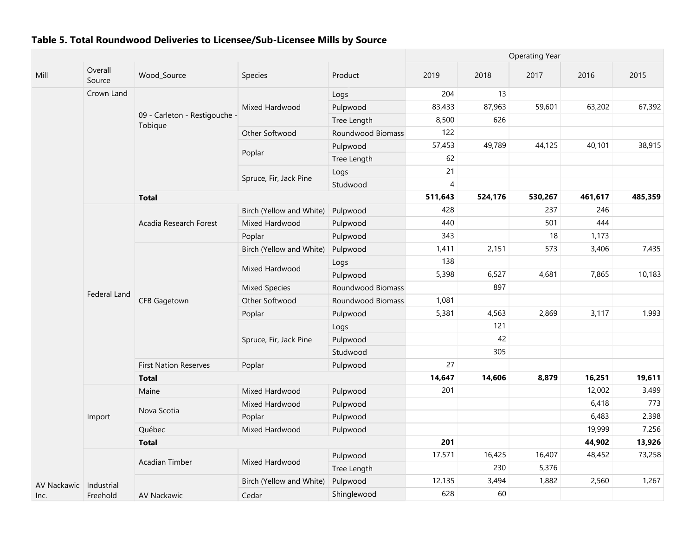|             |                   |                                          |                          |                   | <b>Operating Year</b> |         |         |         |         |
|-------------|-------------------|------------------------------------------|--------------------------|-------------------|-----------------------|---------|---------|---------|---------|
| Mill        | Overall<br>Source | Wood_Source                              | Species                  | Product           | 2019                  | 2018    | 2017    | 2016    | 2015    |
|             | Crown Land        |                                          |                          | Logs              | 204                   | 13      |         |         |         |
|             |                   |                                          | Mixed Hardwood           | Pulpwood          | 83,433                | 87,963  | 59,601  | 63,202  | 67,392  |
|             |                   | 09 - Carleton - Restigouche -<br>Tobique |                          | Tree Length       | 8,500                 | 626     |         |         |         |
|             |                   |                                          | Other Softwood           | Roundwood Biomass | 122                   |         |         |         |         |
|             |                   |                                          |                          | Pulpwood          | 57,453                | 49,789  | 44,125  | 40,101  | 38,915  |
|             |                   |                                          | Poplar                   | Tree Length       | 62                    |         |         |         |         |
|             |                   |                                          |                          | Logs              | 21                    |         |         |         |         |
|             |                   |                                          | Spruce, Fir, Jack Pine   | Studwood          | 4                     |         |         |         |         |
|             |                   | <b>Total</b>                             |                          |                   | 511,643               | 524,176 | 530,267 | 461,617 | 485,359 |
|             |                   |                                          | Birch (Yellow and White) | Pulpwood          | 428                   |         | 237     | 246     |         |
|             |                   | Acadia Research Forest                   | Mixed Hardwood           | Pulpwood          | 440                   |         | 501     | 444     |         |
|             |                   |                                          | Poplar                   | Pulpwood          | 343                   |         | 18      | 1,173   |         |
|             |                   |                                          | Birch (Yellow and White) | Pulpwood          | 1,411                 | 2,151   | 573     | 3,406   | 7,435   |
|             |                   |                                          |                          | Logs              | 138                   |         |         |         |         |
|             |                   | <b>CFB Gagetown</b>                      | Mixed Hardwood           | Pulpwood          | 5,398                 | 6,527   | 4,681   | 7,865   | 10,183  |
|             |                   |                                          | <b>Mixed Species</b>     | Roundwood Biomass |                       | 897     |         |         |         |
|             | Federal Land      |                                          | Other Softwood           | Roundwood Biomass | 1,081                 |         |         |         |         |
|             |                   |                                          | Poplar                   | Pulpwood          | 5,381                 | 4,563   | 2,869   | 3,117   | 1,993   |
|             |                   |                                          |                          | Logs              |                       | 121     |         |         |         |
|             |                   |                                          | Spruce, Fir, Jack Pine   | Pulpwood          |                       | 42      |         |         |         |
|             |                   |                                          |                          | Studwood          |                       | 305     |         |         |         |
|             |                   | <b>First Nation Reserves</b>             | Poplar                   | Pulpwood          | 27                    |         |         |         |         |
|             |                   | <b>Total</b>                             |                          |                   | 14,647                | 14,606  | 8,879   | 16,251  | 19,611  |
|             |                   | Maine                                    | Mixed Hardwood           | Pulpwood          | 201                   |         |         | 12,002  | 3,499   |
|             |                   | Nova Scotia                              | Mixed Hardwood           | Pulpwood          |                       |         |         | 6,418   | 773     |
|             | Import            |                                          | Poplar                   | Pulpwood          |                       |         |         | 6,483   | 2,398   |
|             |                   | Québec                                   | Mixed Hardwood           | Pulpwood          |                       |         |         | 19,999  | 7,256   |
|             |                   | <b>Total</b>                             |                          |                   | 201                   |         |         | 44,902  | 13,926  |
|             |                   | <b>Acadian Timber</b>                    | Mixed Hardwood           | Pulpwood          | 17,571                | 16,425  | 16,407  | 48,452  | 73,258  |
|             |                   |                                          |                          | Tree Length       |                       | 230     | 5,376   |         |         |
| AV Nackawic | Industrial        |                                          | Birch (Yellow and White) | Pulpwood          | 12,135                | 3,494   | 1,882   | 2,560   | 1,267   |
| Inc.        | Freehold          | <b>AV Nackawic</b>                       | Cedar                    | Shinglewood       | 628                   | 60      |         |         |         |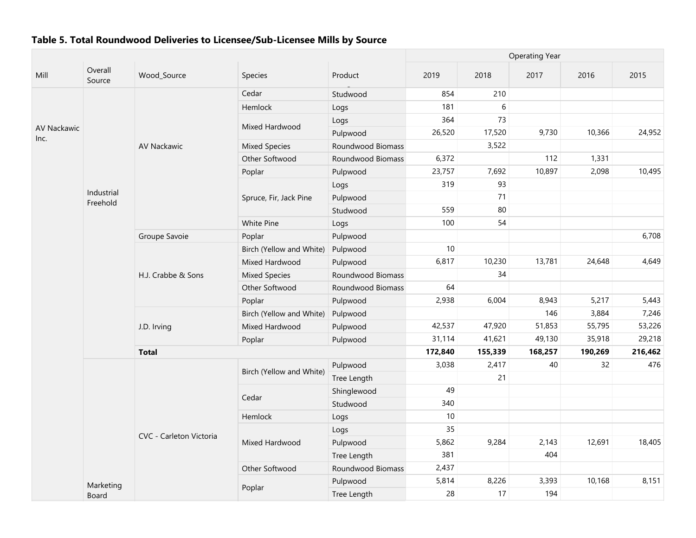|                     |                        |                         |                          |                   | <b>Operating Year</b> |         |         |         |         |
|---------------------|------------------------|-------------------------|--------------------------|-------------------|-----------------------|---------|---------|---------|---------|
| Mill                | Overall<br>Source      | Wood_Source             | Species                  | Product           | 2019                  | 2018    | 2017    | 2016    | 2015    |
|                     |                        |                         | Cedar                    | Studwood          | 854                   | 210     |         |         |         |
|                     |                        |                         | Hemlock                  | Logs              | 181                   | 6       |         |         |         |
|                     |                        |                         |                          | Logs              | 364                   | 73      |         |         |         |
| AV Nackawic<br>Inc. |                        |                         | Mixed Hardwood           | Pulpwood          | 26,520                | 17,520  | 9,730   | 10,366  | 24,952  |
|                     |                        | <b>AV Nackawic</b>      | <b>Mixed Species</b>     | Roundwood Biomass |                       | 3,522   |         |         |         |
|                     |                        |                         | Other Softwood           | Roundwood Biomass | 6,372                 |         | 112     | 1,331   |         |
|                     |                        |                         | Poplar                   | Pulpwood          | 23,757                | 7,692   | 10,897  | 2,098   | 10,495  |
|                     |                        |                         |                          | Logs              | 319                   | 93      |         |         |         |
|                     | Industrial<br>Freehold |                         | Spruce, Fir, Jack Pine   | Pulpwood          |                       | 71      |         |         |         |
|                     |                        |                         |                          | Studwood          | 559                   | 80      |         |         |         |
|                     |                        |                         | <b>White Pine</b>        | Logs              | 100                   | 54      |         |         |         |
|                     |                        | Groupe Savoie           | Poplar                   | Pulpwood          |                       |         |         |         | 6,708   |
|                     |                        |                         | Birch (Yellow and White) | Pulpwood          | 10                    |         |         |         |         |
|                     |                        |                         | Mixed Hardwood           | Pulpwood          | 6,817                 | 10,230  | 13,781  | 24,648  | 4,649   |
|                     |                        | H.J. Crabbe & Sons      | <b>Mixed Species</b>     | Roundwood Biomass |                       | 34      |         |         |         |
|                     |                        |                         | Other Softwood           | Roundwood Biomass | 64                    |         |         |         |         |
|                     |                        |                         | Poplar                   | Pulpwood          | 2,938                 | 6,004   | 8,943   | 5,217   | 5,443   |
|                     |                        |                         | Birch (Yellow and White) | Pulpwood          |                       |         | 146     | 3,884   | 7,246   |
|                     |                        | J.D. Irving             | Mixed Hardwood           | Pulpwood          | 42,537                | 47,920  | 51,853  | 55,795  | 53,226  |
|                     |                        |                         | Poplar                   | Pulpwood          | 31,114                | 41,621  | 49,130  | 35,918  | 29,218  |
|                     |                        | <b>Total</b>            |                          |                   | 172,840               | 155,339 | 168,257 | 190,269 | 216,462 |
|                     |                        |                         | Birch (Yellow and White) | Pulpwood          | 3,038                 | 2,417   | 40      | 32      | 476     |
|                     |                        |                         |                          | Tree Length       |                       | 21      |         |         |         |
|                     |                        |                         | Cedar                    | Shinglewood       | 49                    |         |         |         |         |
|                     |                        |                         |                          | Studwood          | 340                   |         |         |         |         |
|                     |                        |                         | Hemlock                  | Logs              | 10                    |         |         |         |         |
|                     |                        |                         |                          | Logs              | 35                    |         |         |         |         |
|                     |                        | CVC - Carleton Victoria | Mixed Hardwood           | Pulpwood          | 5,862                 | 9,284   | 2,143   | 12,691  | 18,405  |
|                     |                        |                         |                          | Tree Length       | 381                   |         | 404     |         |         |
|                     |                        |                         | Other Softwood           | Roundwood Biomass | 2,437                 |         |         |         |         |
|                     | Marketing              |                         |                          | Pulpwood          | 5,814                 | 8,226   | 3,393   | 10,168  | 8,151   |
|                     | Board                  |                         | Poplar                   | Tree Length       | 28                    | 17      | 194     |         |         |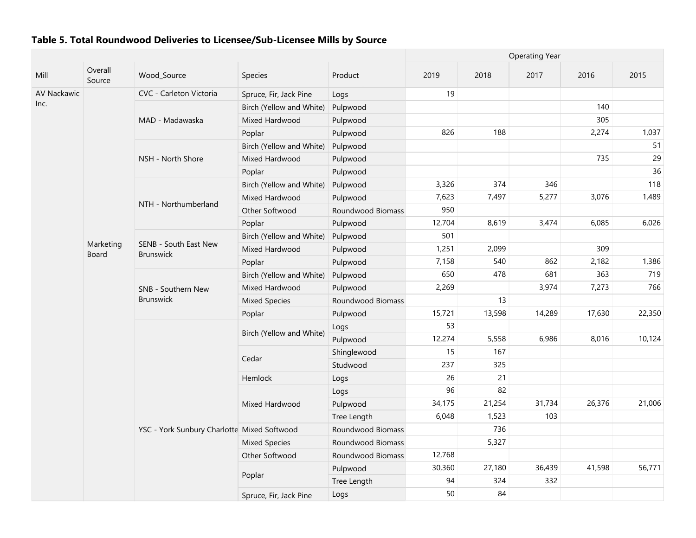|             |                    |                                             |                          |                   | <b>Operating Year</b> |        |        |        |        |  |
|-------------|--------------------|---------------------------------------------|--------------------------|-------------------|-----------------------|--------|--------|--------|--------|--|
| Mill        | Overall<br>Source  | Wood_Source                                 | Species                  | Product           | 2019                  | 2018   | 2017   | 2016   | 2015   |  |
| AV Nackawic |                    | CVC - Carleton Victoria                     | Spruce, Fir, Jack Pine   | Logs              | 19                    |        |        |        |        |  |
| Inc.        |                    |                                             | Birch (Yellow and White) | Pulpwood          |                       |        |        | 140    |        |  |
|             |                    | MAD - Madawaska                             | Mixed Hardwood           | Pulpwood          |                       |        |        | 305    |        |  |
|             |                    |                                             | Poplar                   | Pulpwood          | 826                   | 188    |        | 2,274  | 1,037  |  |
|             |                    |                                             | Birch (Yellow and White) | Pulpwood          |                       |        |        |        | 51     |  |
|             |                    | NSH - North Shore                           | Mixed Hardwood           | Pulpwood          |                       |        |        | 735    | 29     |  |
|             |                    |                                             | Poplar                   | Pulpwood          |                       |        |        |        | 36     |  |
|             |                    |                                             | Birch (Yellow and White) | Pulpwood          | 3,326                 | 374    | 346    |        | 118    |  |
|             |                    |                                             | Mixed Hardwood           | Pulpwood          | 7,623                 | 7,497  | 5,277  | 3,076  | 1,489  |  |
|             |                    | NTH - Northumberland                        | Other Softwood           | Roundwood Biomass | 950                   |        |        |        |        |  |
|             |                    |                                             | Poplar                   | Pulpwood          | 12,704                | 8,619  | 3,474  | 6,085  | 6,026  |  |
|             |                    |                                             | Birch (Yellow and White) | Pulpwood          | 501                   |        |        |        |        |  |
|             | Marketing<br>Board | SENB - South East New<br><b>Brunswick</b>   | Mixed Hardwood           | Pulpwood          | 1,251                 | 2,099  |        | 309    |        |  |
|             |                    |                                             | Poplar                   | Pulpwood          | 7,158                 | 540    | 862    | 2,182  | 1,386  |  |
|             |                    |                                             | Birch (Yellow and White) | Pulpwood          | 650                   | 478    | 681    | 363    | 719    |  |
|             |                    | SNB - Southern New                          | Mixed Hardwood           | Pulpwood          | 2,269                 |        | 3,974  | 7,273  | 766    |  |
|             |                    | <b>Brunswick</b>                            | <b>Mixed Species</b>     | Roundwood Biomass |                       | 13     |        |        |        |  |
|             |                    |                                             | Poplar                   | Pulpwood          | 15,721                | 13,598 | 14,289 | 17,630 | 22,350 |  |
|             |                    |                                             | Birch (Yellow and White) | Logs              | 53                    |        |        |        |        |  |
|             |                    |                                             |                          | Pulpwood          | 12,274                | 5,558  | 6,986  | 8,016  | 10,124 |  |
|             |                    |                                             | Cedar                    | Shinglewood       | 15                    | 167    |        |        |        |  |
|             |                    |                                             |                          | Studwood          | 237                   | 325    |        |        |        |  |
|             |                    |                                             | Hemlock                  | Logs              | 26                    | 21     |        |        |        |  |
|             |                    |                                             |                          | Logs              | 96                    | 82     |        |        |        |  |
|             |                    |                                             | Mixed Hardwood           | Pulpwood          | 34,175                | 21,254 | 31,734 | 26,376 | 21,006 |  |
|             |                    |                                             |                          | Tree Length       | 6,048                 | 1,523  | 103    |        |        |  |
|             |                    | YSC - York Sunbury Charlotte Mixed Softwood |                          | Roundwood Biomass |                       | 736    |        |        |        |  |
|             |                    |                                             | <b>Mixed Species</b>     | Roundwood Biomass |                       | 5,327  |        |        |        |  |
|             |                    |                                             | Other Softwood           | Roundwood Biomass | 12,768                |        |        |        |        |  |
|             |                    |                                             | Poplar                   | Pulpwood          | 30,360                | 27,180 | 36,439 | 41,598 | 56,771 |  |
|             |                    |                                             |                          | Tree Length       | 94                    | 324    | 332    |        |        |  |
|             |                    |                                             | Spruce, Fir, Jack Pine   | Logs              | 50                    | 84     |        |        |        |  |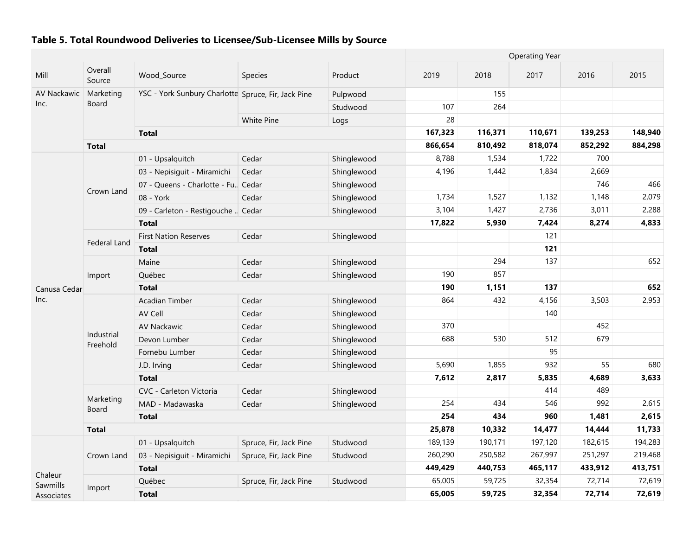|              |                           |                                                     |                        |             | <b>Operating Year</b> |         |         |                                                                                                                                                        |         |  |
|--------------|---------------------------|-----------------------------------------------------|------------------------|-------------|-----------------------|---------|---------|--------------------------------------------------------------------------------------------------------------------------------------------------------|---------|--|
| Mill         | Overall<br>Source         | Wood_Source                                         | Species                | Product     | 2019                  | 2018    | 2017    | 2016                                                                                                                                                   | 2015    |  |
| AV Nackawic  | Marketing                 | YSC - York Sunbury Charlotte Spruce, Fir, Jack Pine |                        | Pulpwood    |                       | 155     |         |                                                                                                                                                        |         |  |
| Inc.         | Board                     |                                                     |                        | Studwood    | 107                   | 264     |         |                                                                                                                                                        |         |  |
|              |                           |                                                     | <b>White Pine</b>      | Logs        | 28                    |         |         |                                                                                                                                                        |         |  |
|              |                           | <b>Total</b>                                        |                        |             | 167,323               | 116,371 | 110,671 | 139,253                                                                                                                                                | 148,940 |  |
|              | <b>Total</b>              |                                                     |                        |             | 866,654               | 810,492 | 818,074 | 852,292<br>700<br>2,669<br>746<br>1,148<br>3,011<br>8,274<br>3,503<br>452<br>679<br>55<br>4,689<br>489<br>992<br>1,481<br>14,444<br>182,615<br>251,297 | 884,298 |  |
|              |                           | 01 - Upsalquitch                                    | Cedar                  | Shinglewood | 8,788                 | 1,534   | 1,722   |                                                                                                                                                        |         |  |
|              |                           | 03 - Nepisiguit - Miramichi                         | Cedar                  | Shinglewood | 4,196                 | 1,442   | 1,834   |                                                                                                                                                        |         |  |
|              |                           | 07 - Queens - Charlotte - Fu., Cedar                |                        | Shinglewood |                       |         |         |                                                                                                                                                        | 466     |  |
|              | Crown Land                | 08 - York                                           | Cedar                  | Shinglewood | 1,734                 | 1,527   | 1,132   |                                                                                                                                                        | 2,079   |  |
|              |                           | 09 - Carleton - Restigouche  Cedar                  |                        | Shinglewood | 3,104                 | 1,427   | 2,736   |                                                                                                                                                        | 2,288   |  |
|              |                           | <b>Total</b>                                        |                        |             | 17,822                | 5,930   | 7,424   |                                                                                                                                                        | 4,833   |  |
|              |                           | <b>First Nation Reserves</b>                        | Cedar                  | Shinglewood |                       |         | 121     |                                                                                                                                                        |         |  |
|              | Federal Land              | <b>Total</b>                                        |                        |             |                       |         | 121     |                                                                                                                                                        |         |  |
|              |                           | Maine                                               | Cedar                  | Shinglewood |                       | 294     | 137     |                                                                                                                                                        | 652     |  |
|              | Import                    | Québec                                              | Cedar                  | Shinglewood | 190                   | 857     |         |                                                                                                                                                        |         |  |
| Canusa Cedar |                           | <b>Total</b>                                        |                        |             | 190                   | 1,151   | 137     |                                                                                                                                                        | 652     |  |
| Inc.         |                           | Acadian Timber                                      | Cedar                  | Shinglewood | 864                   | 432     | 4,156   |                                                                                                                                                        | 2,953   |  |
|              |                           | AV Cell                                             | Cedar                  | Shinglewood |                       |         | 140     |                                                                                                                                                        |         |  |
|              |                           | AV Nackawic                                         | Cedar                  | Shinglewood | 370                   |         |         |                                                                                                                                                        |         |  |
|              | Industrial<br>Freehold    | Devon Lumber                                        | Cedar                  | Shinglewood | 688                   | 530     | 512     |                                                                                                                                                        |         |  |
|              |                           | Fornebu Lumber                                      | Cedar                  | Shinglewood |                       |         | 95      |                                                                                                                                                        |         |  |
|              |                           | J.D. Irving                                         | Cedar                  | Shinglewood | 5,690                 | 1,855   | 932     |                                                                                                                                                        | 680     |  |
|              |                           | <b>Total</b>                                        |                        |             | 7,612                 | 2,817   | 5,835   |                                                                                                                                                        | 3,633   |  |
|              |                           | CVC - Carleton Victoria                             | Cedar                  | Shinglewood |                       |         | 414     |                                                                                                                                                        |         |  |
|              | Marketing<br><b>Board</b> | MAD - Madawaska                                     | Cedar                  | Shinglewood | 254                   | 434     | 546     |                                                                                                                                                        | 2,615   |  |
|              |                           | <b>Total</b>                                        |                        |             | 254                   | 434     | 960     |                                                                                                                                                        | 2,615   |  |
|              | <b>Total</b>              |                                                     |                        |             | 25,878                | 10,332  | 14,477  |                                                                                                                                                        | 11,733  |  |
|              |                           | 01 - Upsalquitch                                    | Spruce, Fir, Jack Pine | Studwood    | 189,139               | 190,171 | 197,120 |                                                                                                                                                        | 194,283 |  |
|              | Crown Land                | 03 - Nepisiguit - Miramichi                         | Spruce, Fir, Jack Pine | Studwood    | 260,290               | 250,582 | 267,997 |                                                                                                                                                        | 219,468 |  |
| Chaleur      |                           | <b>Total</b>                                        |                        |             | 449,429               | 440,753 | 465,117 | 433,912                                                                                                                                                | 413,751 |  |
| Sawmills     |                           | Québec                                              | Spruce, Fir, Jack Pine | Studwood    | 65,005                | 59,725  | 32,354  | 72,714                                                                                                                                                 | 72,619  |  |
| Associates   | Import                    | <b>Total</b>                                        |                        |             | 65,005                | 59,725  | 32,354  | 72,714                                                                                                                                                 | 72,619  |  |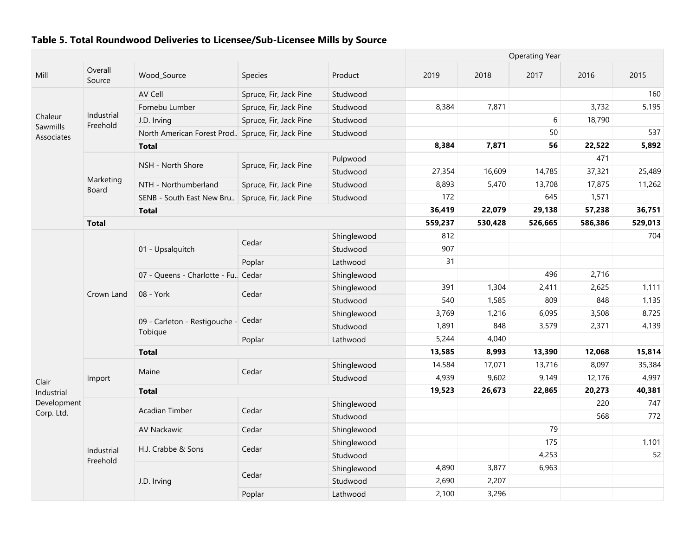|                        |                        |                                                    |                        |             |         | <b>Operating Year</b> |         |                                                                                                                                                                 |         |  |  |
|------------------------|------------------------|----------------------------------------------------|------------------------|-------------|---------|-----------------------|---------|-----------------------------------------------------------------------------------------------------------------------------------------------------------------|---------|--|--|
| Mill                   | Overall<br>Source      | Wood_Source                                        | Species                | Product     | 2019    | 2018                  | 2017    | 2016                                                                                                                                                            | 2015    |  |  |
|                        |                        | AV Cell                                            | Spruce, Fir, Jack Pine | Studwood    |         |                       |         |                                                                                                                                                                 | 160     |  |  |
|                        |                        | Fornebu Lumber                                     | Spruce, Fir, Jack Pine | Studwood    | 8,384   | 7,871                 |         | 3,732                                                                                                                                                           | 5,195   |  |  |
| Chaleur                | Industrial             | J.D. Irving                                        | Spruce, Fir, Jack Pine | Studwood    |         |                       | 6       | 18,790                                                                                                                                                          |         |  |  |
| Sawmills<br>Associates | Freehold               | North American Forest Prod. Spruce, Fir, Jack Pine |                        | Studwood    |         |                       | 50      |                                                                                                                                                                 | 537     |  |  |
|                        |                        | <b>Total</b>                                       |                        |             | 8,384   | 7,871                 | 56      | 22,522<br>471<br>37,321<br>17,875<br>1,571<br>57,238<br>586,386<br>2,716<br>2,625<br>848<br>3,508<br>2,371<br>12,068<br>8,097<br>12,176<br>20,273<br>220<br>568 | 5,892   |  |  |
|                        |                        |                                                    | Spruce, Fir, Jack Pine | Pulpwood    |         |                       |         |                                                                                                                                                                 |         |  |  |
|                        |                        | NSH - North Shore                                  |                        | Studwood    | 27,354  | 16,609                | 14,785  |                                                                                                                                                                 | 25,489  |  |  |
|                        | Marketing              | NTH - Northumberland                               | Spruce, Fir, Jack Pine | Studwood    | 8,893   | 5,470                 | 13,708  |                                                                                                                                                                 | 11,262  |  |  |
|                        | Board                  | SENB - South East New Bru                          | Spruce, Fir, Jack Pine | Studwood    | 172     |                       | 645     |                                                                                                                                                                 |         |  |  |
|                        |                        | <b>Total</b>                                       |                        |             | 36,419  | 22,079                | 29,138  |                                                                                                                                                                 | 36,751  |  |  |
|                        | <b>Total</b>           |                                                    |                        |             | 559,237 | 530,428               | 526,665 |                                                                                                                                                                 | 529,013 |  |  |
|                        |                        |                                                    |                        | Shinglewood | 812     |                       |         |                                                                                                                                                                 | 704     |  |  |
|                        |                        | 01 - Upsalquitch                                   | Cedar                  | Studwood    | 907     |                       |         |                                                                                                                                                                 |         |  |  |
|                        |                        |                                                    | Poplar                 | Lathwood    | 31      |                       |         |                                                                                                                                                                 |         |  |  |
|                        |                        | 07 - Queens - Charlotte - Fu. Cedar                |                        | Shinglewood |         |                       | 496     |                                                                                                                                                                 |         |  |  |
|                        |                        |                                                    |                        | Shinglewood | 391     | 1,304                 | 2,411   |                                                                                                                                                                 | 1,111   |  |  |
|                        | Crown Land             | 08 - York                                          | Cedar                  | Studwood    | 540     | 1,585                 | 809     |                                                                                                                                                                 | 1,135   |  |  |
|                        |                        | 09 - Carleton - Restigouche - Cedar<br>Tobique     |                        | Shinglewood | 3,769   | 1,216                 | 6,095   |                                                                                                                                                                 | 8,725   |  |  |
|                        |                        |                                                    |                        | Studwood    | 1,891   | 848                   | 3,579   |                                                                                                                                                                 | 4,139   |  |  |
|                        |                        |                                                    | Poplar                 | Lathwood    | 5,244   | 4,040                 |         |                                                                                                                                                                 |         |  |  |
|                        |                        | <b>Total</b>                                       |                        |             | 13,585  | 8,993                 | 13,390  |                                                                                                                                                                 | 15,814  |  |  |
|                        |                        |                                                    |                        | Shinglewood | 14,584  | 17,071                | 13,716  |                                                                                                                                                                 | 35,384  |  |  |
| Clair                  | Import                 | Maine                                              | Cedar                  | Studwood    | 4,939   | 9,602                 | 9,149   |                                                                                                                                                                 | 4,997   |  |  |
| Industrial             |                        | <b>Total</b>                                       |                        |             | 19,523  | 26,673                | 22,865  |                                                                                                                                                                 | 40,381  |  |  |
| Development            |                        |                                                    |                        | Shinglewood |         |                       |         |                                                                                                                                                                 | 747     |  |  |
| Corp. Ltd.             |                        | Acadian Timber                                     | Cedar                  | Studwood    |         |                       |         |                                                                                                                                                                 | 772     |  |  |
|                        |                        | AV Nackawic                                        | Cedar                  | Shinglewood |         |                       | 79      |                                                                                                                                                                 |         |  |  |
|                        |                        |                                                    |                        | Shinglewood |         |                       | 175     |                                                                                                                                                                 | 1,101   |  |  |
|                        | Industrial<br>Freehold | H.J. Crabbe & Sons                                 | Cedar                  | Studwood    |         |                       | 4,253   |                                                                                                                                                                 | 52      |  |  |
|                        |                        |                                                    |                        | Shinglewood | 4,890   | 3,877                 | 6,963   |                                                                                                                                                                 |         |  |  |
|                        |                        | J.D. Irving                                        | Cedar                  | Studwood    | 2,690   | 2,207                 |         |                                                                                                                                                                 |         |  |  |
|                        |                        |                                                    | Poplar                 | Lathwood    | 2,100   | 3,296                 |         |                                                                                                                                                                 |         |  |  |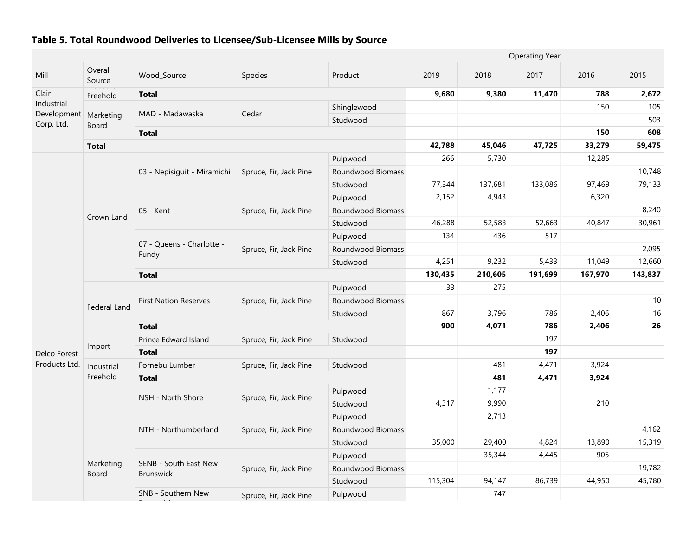|                           | <b>Operating Year</b>     |                                           |                        |                   |         |         |         |         |         |
|---------------------------|---------------------------|-------------------------------------------|------------------------|-------------------|---------|---------|---------|---------|---------|
| Mill                      | Overall<br>Source         | Wood_Source                               | Species                | Product           | 2019    | 2018    | 2017    | 2016    | 2015    |
| Clair                     | Freehold                  | <b>Total</b>                              |                        |                   | 9,680   | 9,380   | 11,470  | 788     | 2,672   |
| Industrial<br>Development |                           | MAD - Madawaska                           | Cedar                  | Shinglewood       |         |         |         | 150     | 105     |
| Corp. Ltd.                | Marketing<br><b>Board</b> |                                           |                        | Studwood          |         |         |         |         | 503     |
|                           |                           | <b>Total</b>                              |                        |                   |         |         |         | 150     | 608     |
|                           | <b>Total</b>              |                                           |                        |                   | 42,788  | 45,046  | 47,725  | 33,279  | 59,475  |
|                           |                           |                                           |                        | Pulpwood          | 266     | 5,730   |         | 12,285  |         |
|                           |                           | 03 - Nepisiguit - Miramichi               | Spruce, Fir, Jack Pine | Roundwood Biomass |         |         |         |         | 10,748  |
|                           |                           |                                           |                        | Studwood          | 77,344  | 137,681 | 133,086 | 97,469  | 79,133  |
|                           |                           |                                           |                        | Pulpwood          | 2,152   | 4,943   |         | 6,320   |         |
|                           | Crown Land                | 05 - Kent                                 | Spruce, Fir, Jack Pine | Roundwood Biomass |         |         |         |         | 8,240   |
|                           |                           |                                           |                        | Studwood          | 46,288  | 52,583  | 52,663  | 40,847  | 30,961  |
|                           |                           |                                           |                        | Pulpwood          | 134     | 436     | 517     |         |         |
|                           |                           | 07 - Queens - Charlotte -<br>Fundy        | Spruce, Fir, Jack Pine | Roundwood Biomass |         |         |         |         | 2,095   |
|                           |                           |                                           |                        | Studwood          | 4,251   | 9,232   | 5,433   | 11,049  | 12,660  |
|                           |                           | <b>Total</b>                              |                        |                   | 130,435 | 210,605 | 191,699 | 167,970 | 143,837 |
|                           |                           |                                           |                        | Pulpwood          | 33      | 275     |         |         |         |
|                           | <b>Federal Land</b>       | <b>First Nation Reserves</b>              | Spruce, Fir, Jack Pine | Roundwood Biomass |         |         |         |         | 10      |
|                           |                           |                                           |                        | Studwood          | 867     | 3,796   | 786     | 2,406   | 16      |
|                           |                           | <b>Total</b>                              |                        |                   | 900     | 4,071   | 786     | 2,406   | 26      |
|                           |                           | Prince Edward Island                      | Spruce, Fir, Jack Pine | Studwood          |         |         | 197     |         |         |
| Delco Forest              | Import                    | <b>Total</b>                              |                        |                   |         |         | 197     |         |         |
| Products Ltd.             | Industrial                | Fornebu Lumber                            | Spruce, Fir, Jack Pine | Studwood          |         | 481     | 4,471   | 3,924   |         |
|                           | Freehold                  | <b>Total</b>                              |                        |                   |         | 481     | 4,471   | 3,924   |         |
|                           |                           |                                           |                        | Pulpwood          |         | 1,177   |         |         |         |
|                           |                           | NSH - North Shore                         | Spruce, Fir, Jack Pine | Studwood          | 4,317   | 9,990   |         | 210     |         |
|                           |                           |                                           |                        | Pulpwood          |         | 2,713   |         |         |         |
|                           |                           | NTH - Northumberland                      | Spruce, Fir, Jack Pine | Roundwood Biomass |         |         |         |         | 4,162   |
|                           |                           |                                           |                        | Studwood          | 35,000  | 29,400  | 4,824   | 13,890  | 15,319  |
|                           |                           |                                           |                        | Pulpwood          |         | 35,344  | 4,445   | 905     |         |
|                           | Marketing<br><b>Board</b> | SENB - South East New<br><b>Brunswick</b> | Spruce, Fir, Jack Pine | Roundwood Biomass |         |         |         |         | 19,782  |
|                           |                           |                                           |                        | Studwood          | 115,304 | 94,147  | 86,739  | 44,950  | 45,780  |
|                           |                           | SNB - Southern New                        | Spruce, Fir, Jack Pine | Pulpwood          |         | 747     |         |         |         |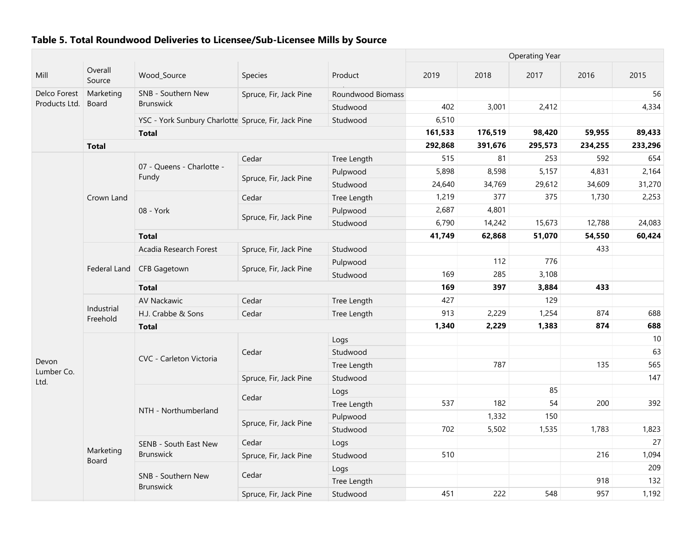| Mill                | Overall<br>Source      | Wood_Source                                         | Species                | Product           | 2019    | 2018    | 2017    | 2016    | 2015    |
|---------------------|------------------------|-----------------------------------------------------|------------------------|-------------------|---------|---------|---------|---------|---------|
| Delco Forest        | Marketing              | SNB - Southern New                                  | Spruce, Fir, Jack Pine | Roundwood Biomass |         |         |         |         | 56      |
| Products Ltd.       | <b>Board</b>           | <b>Brunswick</b>                                    |                        | Studwood          | 402     | 3,001   | 2,412   |         | 4,334   |
|                     |                        | YSC - York Sunbury Charlotte Spruce, Fir, Jack Pine |                        | Studwood          | 6,510   |         |         |         |         |
|                     |                        | <b>Total</b>                                        |                        |                   | 161,533 | 176,519 | 98,420  | 59,955  | 89,433  |
|                     | <b>Total</b>           |                                                     |                        |                   | 292,868 | 391,676 | 295,573 | 234,255 | 233,296 |
|                     |                        |                                                     | Cedar                  | Tree Length       | 515     | 81      | 253     | 592     | 654     |
|                     |                        | 07 - Queens - Charlotte -<br>Fundy                  |                        | Pulpwood          | 5,898   | 8,598   | 5,157   | 4,831   | 2,164   |
|                     |                        |                                                     | Spruce, Fir, Jack Pine | Studwood          | 24,640  | 34,769  | 29,612  | 34,609  | 31,270  |
|                     | Crown Land             |                                                     | Cedar                  | Tree Length       | 1,219   | 377     | 375     | 1,730   | 2,253   |
|                     |                        | 08 - York                                           | Spruce, Fir, Jack Pine | Pulpwood          | 2,687   | 4,801   |         |         |         |
|                     |                        |                                                     |                        | Studwood          | 6,790   | 14,242  | 15,673  | 12,788  | 24,083  |
|                     |                        | <b>Total</b>                                        |                        |                   | 41,749  | 62,868  | 51,070  | 54,550  | 60,424  |
|                     |                        | Acadia Research Forest                              | Spruce, Fir, Jack Pine | Studwood          |         |         |         | 433     |         |
|                     |                        |                                                     |                        | Pulpwood          |         | 112     | 776     |         |         |
|                     | Federal Land           | <b>CFB Gagetown</b>                                 | Spruce, Fir, Jack Pine | Studwood          | 169     | 285     | 3,108   |         |         |
|                     |                        | <b>Total</b>                                        |                        |                   | 169     | 397     | 3,884   | 433     |         |
|                     |                        | AV Nackawic                                         | Cedar                  | Tree Length       | 427     |         | 129     |         |         |
|                     | Industrial<br>Freehold | H.J. Crabbe & Sons                                  | Cedar                  | Tree Length       | 913     | 2,229   | 1,254   | 874     | 688     |
|                     |                        | <b>Total</b>                                        |                        |                   | 1,340   | 2,229   | 1,383   | 874     | 688     |
|                     |                        |                                                     |                        | Logs              |         |         |         |         | 10      |
|                     |                        |                                                     | Cedar                  | Studwood          |         |         |         |         | 63      |
| Devon<br>Lumber Co. |                        | CVC - Carleton Victoria                             |                        | Tree Length       |         | 787     |         | 135     | 565     |
| Ltd.                |                        |                                                     | Spruce, Fir, Jack Pine | Studwood          |         |         |         |         | 147     |
|                     |                        |                                                     |                        | Logs              |         |         | 85      |         |         |
|                     |                        |                                                     | Cedar                  | Tree Length       | 537     | 182     | 54      | 200     | 392     |
|                     |                        | NTH - Northumberland                                |                        | Pulpwood          |         | 1,332   | 150     |         |         |
|                     |                        |                                                     | Spruce, Fir, Jack Pine | Studwood          | 702     | 5,502   | 1,535   | 1,783   | 1,823   |
|                     |                        | SENB - South East New                               | Cedar                  | Logs              |         |         |         |         | 27      |
|                     | Marketing<br>Board     | <b>Brunswick</b>                                    | Spruce, Fir, Jack Pine | Studwood          | 510     |         |         | 216     | 1,094   |
|                     |                        |                                                     |                        | Logs              |         |         |         |         | 209     |
|                     |                        | SNB - Southern New                                  | Cedar                  | Tree Length       |         |         |         | 918     | 132     |
|                     |                        | <b>Brunswick</b>                                    | Spruce, Fir, Jack Pine | Studwood          | 451     | 222     | 548     | 957     | 1,192   |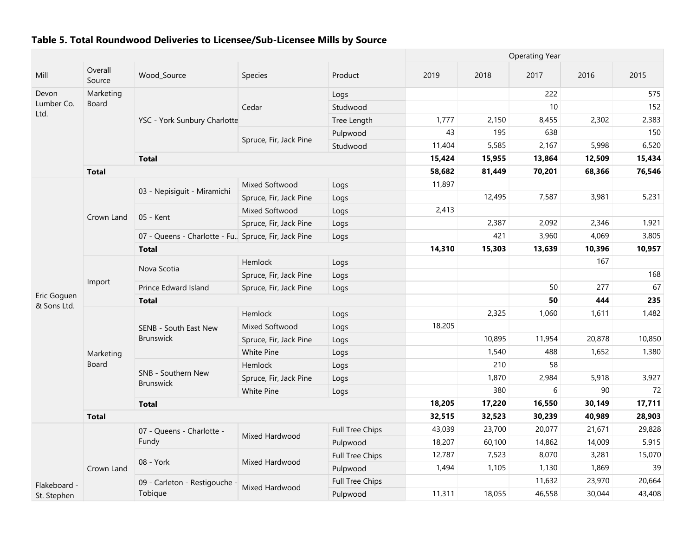|                            |                   |                                                      |                        |                        | <b>Operating Year</b> |        |        |        |        |
|----------------------------|-------------------|------------------------------------------------------|------------------------|------------------------|-----------------------|--------|--------|--------|--------|
| Mill                       | Overall<br>Source | Wood_Source                                          | Species                | Product                | 2019                  | 2018   | 2017   | 2016   | 2015   |
| Devon                      | Marketing         |                                                      |                        | Logs                   |                       |        | 222    |        | 575    |
| Lumber Co.                 | <b>Board</b>      | YSC - York Sunbury Charlotte                         | Cedar                  | Studwood               |                       |        | 10     |        | 152    |
| Ltd.                       |                   |                                                      |                        | Tree Length            | 1,777                 | 2,150  | 8,455  | 2,302  | 2,383  |
|                            |                   |                                                      |                        | Pulpwood               | 43                    | 195    | 638    |        | 150    |
|                            |                   |                                                      | Spruce, Fir, Jack Pine | Studwood               | 11,404                | 5,585  | 2,167  | 5,998  | 6,520  |
|                            |                   | <b>Total</b>                                         |                        |                        | 15,424                | 15,955 | 13,864 | 12,509 | 15,434 |
|                            | <b>Total</b>      |                                                      |                        |                        | 58,682                | 81,449 | 70,201 | 68,366 | 76,546 |
|                            |                   |                                                      | Mixed Softwood         | Logs                   | 11,897                |        |        |        |        |
|                            |                   | 03 - Nepisiguit - Miramichi                          | Spruce, Fir, Jack Pine | Logs                   |                       | 12,495 | 7,587  | 3,981  | 5,231  |
|                            | Crown Land        | 05 - Kent                                            | Mixed Softwood         | Logs                   | 2,413                 |        |        |        |        |
|                            |                   |                                                      | Spruce, Fir, Jack Pine | Logs                   |                       | 2,387  | 2,092  | 2,346  | 1,921  |
|                            |                   | 07 - Queens - Charlotte - Fu. Spruce, Fir, Jack Pine |                        | Logs                   |                       | 421    | 3,960  | 4,069  | 3,805  |
|                            |                   | <b>Total</b>                                         |                        |                        | 14,310                | 15,303 | 13,639 | 10,396 | 10,957 |
|                            |                   |                                                      | Hemlock                | Logs                   |                       |        |        | 167    |        |
|                            | Import            | Nova Scotia                                          | Spruce, Fir, Jack Pine | Logs                   |                       |        |        |        | 168    |
|                            |                   | Prince Edward Island                                 | Spruce, Fir, Jack Pine | Logs                   |                       |        | 50     | 277    | 67     |
|                            |                   | <b>Total</b>                                         |                        |                        |                       |        | 50     | 444    | 235    |
|                            |                   | SENB - South East New<br><b>Brunswick</b>            | Hemlock                | Logs                   |                       | 2,325  | 1,060  | 1,611  | 1,482  |
| Eric Goguen<br>& Sons Ltd. |                   |                                                      | Mixed Softwood         | Logs                   | 18,205                |        |        |        |        |
|                            |                   |                                                      | Spruce, Fir, Jack Pine | Logs                   |                       | 10,895 | 11,954 | 20,878 | 10,850 |
|                            | Marketing         |                                                      | White Pine             | Logs                   |                       | 1,540  | 488    | 1,652  | 1,380  |
|                            | <b>Board</b>      |                                                      | Hemlock                | Logs                   |                       | 210    | 58     |        |        |
|                            |                   | SNB - Southern New<br><b>Brunswick</b>               | Spruce, Fir, Jack Pine | Logs                   |                       | 1,870  | 2,984  | 5,918  | 3,927  |
|                            |                   |                                                      | <b>White Pine</b>      | Logs                   |                       | 380    | 6      | 90     | 72     |
|                            |                   | <b>Total</b>                                         |                        |                        | 18,205                | 17,220 | 16,550 | 30,149 | 17,711 |
|                            | <b>Total</b>      |                                                      |                        |                        | 32,515                | 32,523 | 30,239 | 40,989 | 28,903 |
|                            |                   | 07 - Queens - Charlotte -                            | Mixed Hardwood         | <b>Full Tree Chips</b> | 43,039                | 23,700 | 20,077 | 21,671 | 29,828 |
|                            |                   | Fundy                                                |                        | Pulpwood               | 18,207                | 60,100 | 14,862 | 14,009 | 5,915  |
|                            |                   |                                                      |                        | <b>Full Tree Chips</b> | 12,787                | 7,523  | 8,070  | 3,281  | 15,070 |
|                            | Crown Land        | 08 - York                                            | Mixed Hardwood         | Pulpwood               | 1,494                 | 1,105  | 1,130  | 1,869  | 39     |
| Flakeboard -               |                   | 09 - Carleton - Restigouche -                        |                        | <b>Full Tree Chips</b> |                       |        | 11,632 | 23,970 | 20,664 |
| St. Stephen                |                   | Tobique                                              | Mixed Hardwood         | Pulpwood               | 11,311                | 18,055 | 46,558 | 30,044 | 43,408 |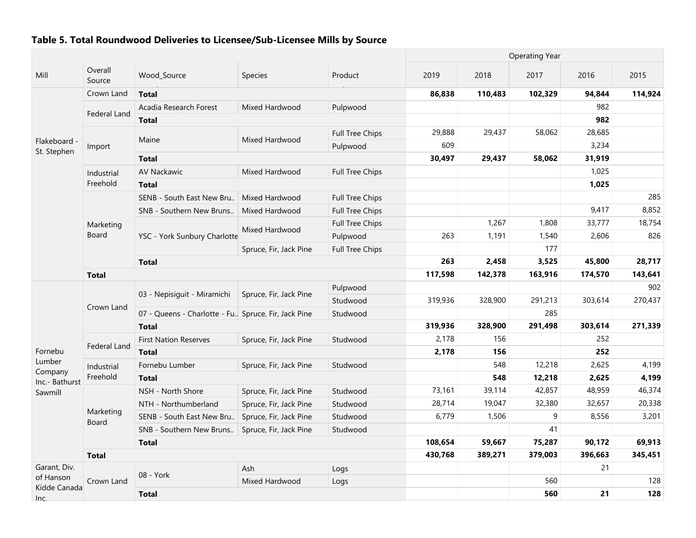|                                                                                                        | <b>Operating Year</b> |                                                       |                        |                        |         |         |         |         |         |
|--------------------------------------------------------------------------------------------------------|-----------------------|-------------------------------------------------------|------------------------|------------------------|---------|---------|---------|---------|---------|
| Mill                                                                                                   | Overall<br>Source     | Wood_Source                                           | <b>Species</b>         | Product                | 2019    | 2018    | 2017    | 2016    | 2015    |
|                                                                                                        | Crown Land            | <b>Total</b>                                          |                        |                        | 86,838  | 110,483 | 102,329 | 94,844  | 114,924 |
|                                                                                                        |                       | Acadia Research Forest                                | Mixed Hardwood         | Pulpwood               |         |         |         | 982     |         |
|                                                                                                        | Federal Land          | <b>Total</b>                                          |                        |                        |         |         |         | 982     |         |
|                                                                                                        |                       |                                                       | Mixed Hardwood         | <b>Full Tree Chips</b> | 29,888  | 29,437  | 58,062  | 28,685  |         |
|                                                                                                        | Import                | Maine                                                 |                        | Pulpwood               | 609     |         |         | 3,234   |         |
|                                                                                                        |                       | <b>Total</b>                                          |                        |                        | 30,497  | 29,437  | 58,062  | 31,919  |         |
|                                                                                                        | Industrial            | <b>AV Nackawic</b>                                    | Mixed Hardwood         | <b>Full Tree Chips</b> |         |         |         | 1,025   |         |
| Flakeboard<br>St. Stephen<br>Fornebu<br>Lumber<br>Company<br>Inc.- Bathurst<br>Sawmill<br>Garant, Div. | Freehold              | <b>Total</b>                                          |                        |                        |         |         |         | 1,025   |         |
|                                                                                                        |                       | SENB - South East New Bru                             | Mixed Hardwood         | <b>Full Tree Chips</b> |         |         |         |         | 285     |
|                                                                                                        |                       | SNB - Southern New Bruns                              | Mixed Hardwood         | <b>Full Tree Chips</b> |         |         |         | 9,417   | 8,852   |
|                                                                                                        | Marketing             |                                                       |                        | <b>Full Tree Chips</b> |         | 1,267   | 1,808   | 33,777  | 18,754  |
|                                                                                                        | Board                 | YSC - York Sunbury Charlotte                          | Mixed Hardwood         | Pulpwood               | 263     | 1,191   | 1,540   | 2,606   | 826     |
|                                                                                                        |                       |                                                       | Spruce, Fir, Jack Pine | <b>Full Tree Chips</b> |         |         | 177     |         |         |
|                                                                                                        |                       | <b>Total</b>                                          |                        |                        | 263     | 2,458   | 3,525   | 45,800  | 28,717  |
|                                                                                                        | <b>Total</b>          |                                                       | 117,598                | 142,378                | 163,916 | 174,570 | 143,641 |         |         |
|                                                                                                        | Crown Land            |                                                       |                        | Pulpwood               |         |         |         |         | 902     |
|                                                                                                        |                       | 03 - Nepisiguit - Miramichi                           | Spruce, Fir, Jack Pine | Studwood               | 319,936 | 328,900 | 291,213 | 303,614 | 270,437 |
|                                                                                                        |                       | 07 - Queens - Charlotte - Fu., Spruce, Fir, Jack Pine |                        | Studwood               |         |         | 285     |         |         |
| of Hanson<br>Kidde Canada<br>Inc.                                                                      |                       | <b>Total</b>                                          |                        |                        | 319,936 | 328,900 | 291,498 | 303,614 | 271,339 |
|                                                                                                        |                       | <b>First Nation Reserves</b>                          | Spruce, Fir, Jack Pine | Studwood               | 2,178   | 156     |         | 252     |         |
|                                                                                                        | Federal Land          | <b>Total</b>                                          |                        |                        | 2,178   | 156     |         | 252     |         |
|                                                                                                        | Industrial            | Fornebu Lumber                                        | Spruce, Fir, Jack Pine | Studwood               |         | 548     | 12,218  | 2,625   | 4,199   |
|                                                                                                        | Freehold              | <b>Total</b>                                          |                        |                        |         | 548     | 12,218  | 2,625   | 4,199   |
|                                                                                                        |                       | NSH - North Shore                                     | Spruce, Fir, Jack Pine | Studwood               | 73,161  | 39,114  | 42,857  | 48,959  | 46,374  |
|                                                                                                        |                       | NTH - Northumberland                                  | Spruce, Fir, Jack Pine | Studwood               | 28,714  | 19,047  | 32,380  | 32,657  | 20,338  |
|                                                                                                        | Marketing<br>Board    | SENB - South East New Bru                             | Spruce, Fir, Jack Pine | Studwood               | 6,779   | 1,506   | 9       | 8,556   | 3,201   |
|                                                                                                        |                       | SNB - Southern New Bruns                              | Spruce, Fir, Jack Pine | Studwood               |         |         | 41      |         |         |
|                                                                                                        |                       | <b>Total</b>                                          |                        |                        | 108,654 | 59,667  | 75,287  | 90,172  | 69,913  |
|                                                                                                        | <b>Total</b>          |                                                       |                        |                        | 430,768 | 389,271 | 379,003 | 396,663 | 345,451 |
|                                                                                                        |                       |                                                       | Ash                    | Logs                   |         |         |         | 21      |         |
|                                                                                                        | Crown Land            | 08 - York                                             | Mixed Hardwood         | Logs                   |         |         | 560     |         | 128     |
|                                                                                                        |                       | <b>Total</b>                                          |                        |                        |         |         | 560     | 21      | 128     |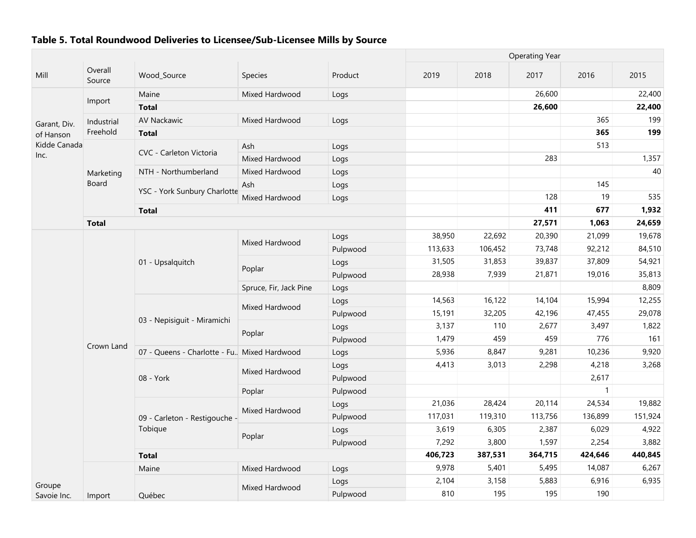|              |                   |                                              |                        |          | <b>Operating Year</b> |         |         |                |                                                                                                                         |  |  |  |  |  |
|--------------|-------------------|----------------------------------------------|------------------------|----------|-----------------------|---------|---------|----------------|-------------------------------------------------------------------------------------------------------------------------|--|--|--|--|--|
| Mill         | Overall<br>Source | Wood_Source                                  | <b>Species</b>         | Product  | 2019                  | 2018    | 2017    | 2016           | 2015                                                                                                                    |  |  |  |  |  |
|              |                   | Maine                                        | Mixed Hardwood         | Logs     |                       |         | 26,600  |                | 22,400                                                                                                                  |  |  |  |  |  |
|              | Import            | <b>Total</b>                                 |                        |          |                       |         | 26,600  |                | 22,400                                                                                                                  |  |  |  |  |  |
| Garant, Div. | Industrial        | AV Nackawic                                  | Mixed Hardwood         | Logs     |                       |         |         | 365            | 199                                                                                                                     |  |  |  |  |  |
| of Hanson    | Freehold          | <b>Total</b>                                 |                        |          |                       |         |         | 365            | 199                                                                                                                     |  |  |  |  |  |
| Kidde Canada |                   |                                              | Ash                    | Logs     |                       |         |         | 513            |                                                                                                                         |  |  |  |  |  |
| Inc.         |                   | CVC - Carleton Victoria                      | Mixed Hardwood         | Logs     |                       |         | 283     |                | 1,357                                                                                                                   |  |  |  |  |  |
|              | Marketing         | NTH - Northumberland                         | Mixed Hardwood         | Logs     |                       |         |         |                | 40                                                                                                                      |  |  |  |  |  |
|              | Board             |                                              | Ash                    | Logs     |                       |         |         | 145            |                                                                                                                         |  |  |  |  |  |
|              |                   | YSC - York Sunbury Charlotte                 | Mixed Hardwood         | Logs     |                       |         | 128     | 19             | 535                                                                                                                     |  |  |  |  |  |
|              |                   | <b>Total</b>                                 |                        |          |                       |         | 411     | 677            | 1,932                                                                                                                   |  |  |  |  |  |
|              | <b>Total</b>      |                                              |                        |          |                       |         | 27,571  | 1,063          | 24,659<br>19,678<br>84,510<br>54,921<br>35,813<br>8,809<br>12,255<br>29,078<br>1,822<br>161<br>9,920<br>3,268<br>19,882 |  |  |  |  |  |
|              |                   |                                              | Mixed Hardwood         | Logs     | 38,950                | 22,692  | 20,390  | 21,099         |                                                                                                                         |  |  |  |  |  |
|              |                   |                                              |                        | Pulpwood | 113,633               | 106,452 | 73,748  | 92,212         |                                                                                                                         |  |  |  |  |  |
|              |                   | 01 - Upsalquitch                             | Poplar                 | Logs     | 31,505                | 31,853  | 39,837  | 37,809         |                                                                                                                         |  |  |  |  |  |
|              |                   |                                              |                        | Pulpwood | 28,938                | 7,939   | 21,871  | 19,016         |                                                                                                                         |  |  |  |  |  |
|              |                   |                                              | Spruce, Fir, Jack Pine | Logs     |                       |         |         |                |                                                                                                                         |  |  |  |  |  |
|              |                   |                                              | Mixed Hardwood         | Logs     | 14,563                | 16,122  | 14,104  | 15,994         |                                                                                                                         |  |  |  |  |  |
|              |                   | 03 - Nepisiguit - Miramichi                  |                        | Pulpwood | 15,191                | 32,205  | 42,196  | 47,455         |                                                                                                                         |  |  |  |  |  |
|              |                   |                                              | Poplar                 | Logs     | 3,137                 | 110     | 2,677   | 3,497          |                                                                                                                         |  |  |  |  |  |
|              |                   |                                              |                        | Pulpwood | 1,479                 | 459     | 459     | 776            |                                                                                                                         |  |  |  |  |  |
|              | Crown Land        | 07 - Queens - Charlotte - Fu. Mixed Hardwood |                        | Logs     | 5,936                 | 8,847   | 9,281   | 10,236         |                                                                                                                         |  |  |  |  |  |
|              |                   |                                              | Mixed Hardwood         | Logs     | 4,413                 | 3,013   | 2,298   | 4,218          |                                                                                                                         |  |  |  |  |  |
|              |                   | 08 - York                                    |                        | Pulpwood |                       |         |         | 2,617          |                                                                                                                         |  |  |  |  |  |
|              |                   |                                              | Poplar                 | Pulpwood |                       |         |         | $\overline{1}$ |                                                                                                                         |  |  |  |  |  |
|              |                   |                                              | Mixed Hardwood         | Logs     | 21,036                | 28,424  | 20,114  | 24,534         |                                                                                                                         |  |  |  |  |  |
|              |                   | 09 - Carleton - Restigouche -                |                        | Pulpwood | 117,031               | 119,310 | 113,756 | 136,899        | 151,924                                                                                                                 |  |  |  |  |  |
|              |                   | Tobique                                      |                        | Logs     | 3,619                 | 6,305   | 2,387   | 6,029          | 4,922                                                                                                                   |  |  |  |  |  |
|              |                   |                                              | Poplar                 | Pulpwood | 7,292                 | 3,800   | 1,597   | 2,254          | 3,882                                                                                                                   |  |  |  |  |  |
|              |                   | <b>Total</b>                                 |                        |          | 406,723               | 387,531 | 364,715 | 424,646        | 440,845                                                                                                                 |  |  |  |  |  |
|              |                   | Maine                                        | Mixed Hardwood         | Logs     | 9,978                 | 5,401   | 5,495   | 14,087         | 6,267                                                                                                                   |  |  |  |  |  |
| Groupe       |                   |                                              |                        | Logs     | 2,104                 | 3,158   | 5,883   | 6,916          | 6,935                                                                                                                   |  |  |  |  |  |
| Savoie Inc.  | Import            | Québec                                       | Mixed Hardwood         | Pulpwood | 810                   | 195     | 195     | 190            |                                                                                                                         |  |  |  |  |  |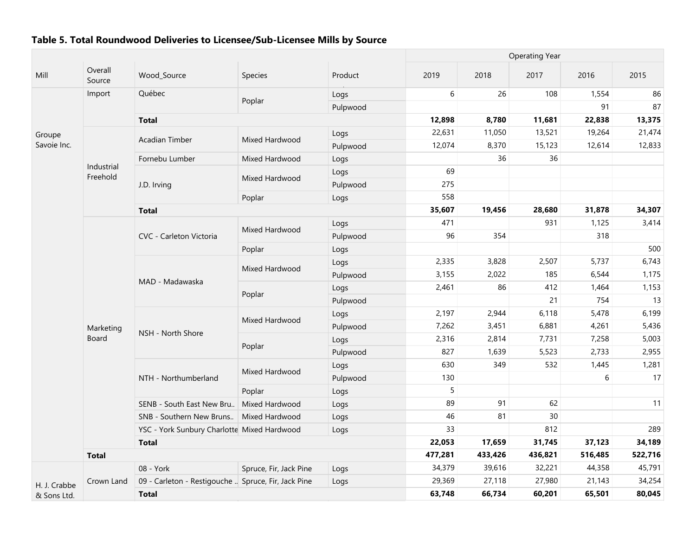|              |                        |                                                     |                        |          |         |         | <b>Operating Year</b> |         |         |
|--------------|------------------------|-----------------------------------------------------|------------------------|----------|---------|---------|-----------------------|---------|---------|
| Mill         | Overall<br>Source      | Wood Source                                         | Species                | Product  | 2019    | 2018    | 2017                  | 2016    | 2015    |
|              | Import                 | Québec                                              |                        | Logs     | 6       | 26      | 108                   | 1,554   | 86      |
|              |                        |                                                     | Poplar                 | Pulpwood |         |         |                       | 91      | 87      |
|              |                        | <b>Total</b>                                        |                        |          | 12,898  | 8,780   | 11,681                | 22,838  | 13,375  |
| Groupe       |                        |                                                     |                        | Logs     | 22,631  | 11,050  | 13,521                | 19,264  | 21,474  |
| Savoie Inc.  |                        | Acadian Timber                                      | Mixed Hardwood         | Pulpwood | 12,074  | 8,370   | 15,123                | 12,614  | 12,833  |
|              |                        | Fornebu Lumber                                      | Mixed Hardwood         | Logs     |         | 36      | 36                    |         |         |
|              | Industrial<br>Freehold |                                                     |                        | Logs     | 69      |         |                       |         |         |
|              |                        | J.D. Irving                                         | Mixed Hardwood         | Pulpwood | 275     |         |                       |         |         |
|              |                        |                                                     | Poplar                 | Logs     | 558     |         |                       |         |         |
|              |                        | <b>Total</b>                                        |                        |          | 35,607  | 19,456  | 28,680                | 31,878  | 34,307  |
|              |                        | CVC - Carleton Victoria                             | Mixed Hardwood         | Logs     | 471     |         | 931                   | 1,125   | 3,414   |
|              |                        |                                                     |                        | Pulpwood | 96      | 354     |                       | 318     |         |
|              |                        |                                                     | Poplar                 | Logs     |         |         |                       |         | 500     |
|              |                        |                                                     | Mixed Hardwood         | Logs     | 2,335   | 3,828   | 2,507                 | 5,737   | 6,743   |
|              |                        | MAD - Madawaska                                     |                        | Pulpwood | 3,155   | 2,022   | 185                   | 6,544   | 1,175   |
|              |                        |                                                     | Poplar                 | Logs     | 2,461   | 86      | 412                   | 1,464   | 1,153   |
|              |                        |                                                     |                        | Pulpwood |         |         | 21                    | 754     | 13      |
|              |                        | NSH - North Shore                                   | Mixed Hardwood         | Logs     | 2,197   | 2,944   | 6,118                 | 5,478   | 6,199   |
|              | Marketing              |                                                     |                        | Pulpwood | 7,262   | 3,451   | 6,881                 | 4,261   | 5,436   |
|              | Board                  |                                                     |                        | Logs     | 2,316   | 2,814   | 7,731                 | 7,258   | 5,003   |
|              |                        |                                                     | Poplar                 | Pulpwood | 827     | 1,639   | 5,523                 | 2,733   | 2,955   |
|              |                        |                                                     | Mixed Hardwood         | Logs     | 630     | 349     | 532                   | 1,445   | 1,281   |
|              |                        | NTH - Northumberland                                |                        | Pulpwood | 130     |         |                       | 6       | 17      |
|              |                        |                                                     | Poplar                 | Logs     | 5       |         |                       |         |         |
|              |                        | SENB - South East New Bru                           | Mixed Hardwood         | Logs     | 89      | 91      | 62                    |         | 11      |
|              |                        | SNB - Southern New Bruns                            | Mixed Hardwood         | Logs     | 46      | 81      | 30                    |         |         |
|              |                        | YSC - York Sunbury Charlotte Mixed Hardwood         |                        | Logs     | 33      |         | 812                   |         | 289     |
|              |                        | <b>Total</b>                                        |                        |          | 22,053  | 17,659  | 31,745                | 37,123  | 34,189  |
|              | <b>Total</b>           |                                                     |                        |          | 477,281 | 433,426 | 436,821               | 516,485 | 522,716 |
|              |                        | 08 - York                                           | Spruce, Fir, Jack Pine | Logs     | 34,379  | 39,616  | 32,221                | 44,358  | 45,791  |
| H. J. Crabbe | Crown Land             | 09 - Carleton - Restigouche  Spruce, Fir, Jack Pine |                        | Logs     | 29,369  | 27,118  | 27,980                | 21,143  | 34,254  |
| & Sons Ltd.  |                        | <b>Total</b>                                        |                        |          | 63,748  | 66,734  | 60,201                | 65,501  | 80,045  |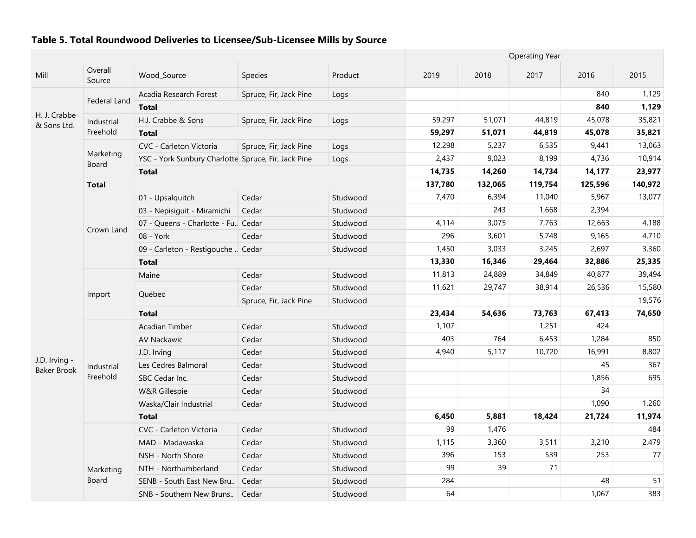|                                     |                    |                                                     |                        |          | <b>Operating Year</b> |         |         |         |         |
|-------------------------------------|--------------------|-----------------------------------------------------|------------------------|----------|-----------------------|---------|---------|---------|---------|
| Mill                                | Overall<br>Source  | Wood_Source                                         | <b>Species</b>         | Product  | 2019                  | 2018    | 2017    | 2016    | 2015    |
|                                     |                    | Acadia Research Forest                              | Spruce, Fir, Jack Pine | Logs     |                       |         |         | 840     | 1,129   |
|                                     | Federal Land       | <b>Total</b>                                        |                        |          |                       |         |         | 840     | 1,129   |
| H. J. Crabbe<br>& Sons Ltd.         | Industrial         | H.J. Crabbe & Sons                                  | Spruce, Fir, Jack Pine | Logs     | 59,297                | 51,071  | 44,819  | 45,078  | 35,821  |
|                                     | Freehold           | <b>Total</b>                                        |                        |          | 59,297                | 51,071  | 44,819  | 45,078  | 35,821  |
|                                     |                    | CVC - Carleton Victoria                             | Spruce, Fir, Jack Pine | Logs     | 12,298                | 5,237   | 6,535   | 9,441   | 13,063  |
|                                     | Marketing<br>Board | YSC - York Sunbury Charlotte Spruce, Fir, Jack Pine |                        | Logs     | 2,437                 | 9,023   | 8,199   | 4,736   | 10,914  |
|                                     |                    | <b>Total</b>                                        |                        |          | 14,735                | 14,260  | 14,734  | 14,177  | 23,977  |
|                                     | <b>Total</b>       |                                                     |                        |          | 137,780               | 132,065 | 119,754 | 125,596 | 140,972 |
|                                     |                    | 01 - Upsalquitch                                    | Cedar                  | Studwood | 7,470                 | 6,394   | 11,040  | 5,967   | 13,077  |
|                                     |                    | 03 - Nepisiguit - Miramichi                         | Cedar                  | Studwood |                       | 243     | 1,668   | 2,394   |         |
|                                     |                    | 07 - Queens - Charlotte - Fu. Cedar                 |                        | Studwood | 4,114                 | 3,075   | 7,763   | 12,663  | 4,188   |
|                                     | Crown Land         | 08 - York                                           | Cedar                  | Studwood | 296                   | 3,601   | 5,748   | 9,165   | 4,710   |
|                                     |                    | 09 - Carleton - Restigouche  Cedar                  |                        | Studwood | 1,450                 | 3,033   | 3,245   | 2,697   | 3,360   |
|                                     |                    | <b>Total</b>                                        |                        |          | 13,330                | 16,346  | 29,464  | 32,886  | 25,335  |
|                                     |                    | Maine                                               | Cedar                  | Studwood | 11,813                | 24,889  | 34,849  | 40,877  | 39,494  |
|                                     | Import             |                                                     | Cedar                  | Studwood | 11,621                | 29,747  | 38,914  | 26,536  | 15,580  |
|                                     |                    | Québec                                              | Spruce, Fir, Jack Pine | Studwood |                       |         |         |         | 19,576  |
|                                     |                    | <b>Total</b>                                        |                        |          | 23,434                | 54,636  | 73,763  | 67,413  | 74,650  |
|                                     |                    | Acadian Timber                                      | Cedar                  | Studwood | 1,107                 |         | 1,251   | 424     |         |
|                                     |                    | <b>AV Nackawic</b>                                  | Cedar                  | Studwood | 403                   | 764     | 6,453   | 1,284   | 850     |
|                                     |                    | J.D. Irving                                         | Cedar                  | Studwood | 4,940                 | 5,117   | 10,720  | 16,991  | 8,802   |
| J.D. Irving -<br><b>Baker Brook</b> | Industrial         | Les Cedres Balmoral                                 | Cedar                  | Studwood |                       |         |         | 45      | 367     |
|                                     | Freehold           | SBC Cedar Inc.                                      | Cedar                  | Studwood |                       |         |         | 1,856   | 695     |
|                                     |                    | W&R Gillespie                                       | Cedar                  | Studwood |                       |         |         | 34      |         |
|                                     |                    | Waska/Clair Industrial                              | Cedar                  | Studwood |                       |         |         | 1,090   | 1,260   |
|                                     |                    | <b>Total</b>                                        |                        |          | 6,450                 | 5,881   | 18,424  | 21,724  | 11,974  |
|                                     |                    | CVC - Carleton Victoria                             | Cedar                  | Studwood | 99                    | 1,476   |         |         | 484     |
|                                     |                    | MAD - Madawaska                                     | Cedar                  | Studwood | 1,115                 | 3,360   | 3,511   | 3,210   | 2,479   |
|                                     |                    | NSH - North Shore                                   | Cedar                  | Studwood | 396                   | 153     | 539     | 253     | 77      |
|                                     | Marketing          | NTH - Northumberland                                | Cedar                  | Studwood | 99                    | 39      | 71      |         |         |
|                                     | Board              | SENB - South East New Bru                           | Cedar                  | Studwood | 284                   |         |         | 48      | 51      |
|                                     |                    | SNB - Southern New Bruns.   Cedar                   |                        | Studwood | 64                    |         |         | 1,067   | 383     |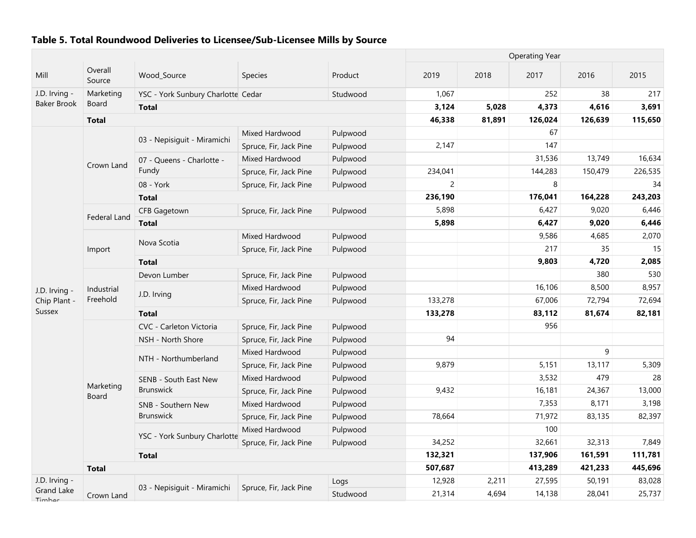|                      |                        |                                    |                        |          |                |        | <b>Operating Year</b> |         |         |
|----------------------|------------------------|------------------------------------|------------------------|----------|----------------|--------|-----------------------|---------|---------|
| Mill                 | Overall<br>Source      | Wood_Source                        | Species                | Product  | 2019           | 2018   | 2017                  | 2016    | 2015    |
| J.D. Irving -        | Marketing              | YSC - York Sunbury Charlotte Cedar |                        | Studwood | 1,067          |        | 252                   | 38      | 217     |
| <b>Baker Brook</b>   | Board                  | <b>Total</b>                       |                        |          | 3,124          | 5,028  | 4,373                 | 4,616   | 3,691   |
|                      | <b>Total</b>           |                                    |                        |          | 46,338         | 81,891 | 126,024               | 126,639 | 115,650 |
|                      |                        | 03 - Nepisiguit - Miramichi        | Mixed Hardwood         | Pulpwood |                |        | 67                    |         |         |
|                      |                        |                                    | Spruce, Fir, Jack Pine | Pulpwood | 2,147          |        | 147                   |         |         |
|                      | Crown Land             | 07 - Queens - Charlotte -          | Mixed Hardwood         | Pulpwood |                |        | 31,536                | 13,749  | 16,634  |
|                      |                        | Fundy                              | Spruce, Fir, Jack Pine | Pulpwood | 234,041        |        | 144,283               | 150,479 | 226,535 |
|                      |                        | 08 - York                          | Spruce, Fir, Jack Pine | Pulpwood | $\overline{c}$ |        | 8                     |         | 34      |
|                      |                        | <b>Total</b>                       |                        |          | 236,190        |        | 176,041               | 164,228 | 243,203 |
|                      | Federal Land           | <b>CFB Gagetown</b>                | Spruce, Fir, Jack Pine | Pulpwood | 5,898          |        | 6,427                 | 9,020   | 6,446   |
|                      |                        | <b>Total</b>                       |                        |          | 5,898          |        | 6,427                 | 9,020   | 6,446   |
|                      |                        | Nova Scotia                        | Mixed Hardwood         | Pulpwood |                |        | 9,586                 | 4,685   | 2,070   |
|                      | Import                 |                                    | Spruce, Fir, Jack Pine | Pulpwood |                |        | 217                   | 35      | 15      |
|                      |                        | <b>Total</b>                       |                        |          |                |        | 9,803                 | 4,720   | 2,085   |
|                      |                        | Devon Lumber                       | Spruce, Fir, Jack Pine | Pulpwood |                |        |                       | 380     | 530     |
| J.D. Irving -        | Industrial<br>Freehold | J.D. Irving                        | Mixed Hardwood         | Pulpwood |                |        | 16,106                | 8,500   | 8,957   |
| Chip Plant -         |                        |                                    | Spruce, Fir, Jack Pine | Pulpwood | 133,278        |        | 67,006                | 72,794  | 72,694  |
| Sussex               |                        | <b>Total</b>                       |                        |          | 133,278        |        | 83,112                | 81,674  | 82,181  |
|                      |                        | CVC - Carleton Victoria            | Spruce, Fir, Jack Pine | Pulpwood |                |        | 956                   |         |         |
|                      |                        | NSH - North Shore                  | Spruce, Fir, Jack Pine | Pulpwood | 94             |        |                       |         |         |
|                      |                        | NTH - Northumberland               | Mixed Hardwood         | Pulpwood |                |        |                       | 9       |         |
|                      |                        |                                    | Spruce, Fir, Jack Pine | Pulpwood | 9,879          |        | 5,151                 | 13,117  | 5,309   |
|                      | Marketing              | SENB - South East New              | Mixed Hardwood         | Pulpwood |                |        | 3,532                 | 479     | 28      |
|                      | Board                  | <b>Brunswick</b>                   | Spruce, Fir, Jack Pine | Pulpwood | 9,432          |        | 16,181                | 24,367  | 13,000  |
|                      |                        | SNB - Southern New                 | Mixed Hardwood         | Pulpwood |                |        | 7,353                 | 8,171   | 3,198   |
|                      |                        | <b>Brunswick</b>                   | Spruce, Fir, Jack Pine | Pulpwood | 78,664         |        | 71,972                | 83,135  | 82,397  |
|                      |                        | YSC - York Sunbury Charlotte       | Mixed Hardwood         | Pulpwood |                |        | 100                   |         |         |
|                      |                        |                                    | Spruce, Fir, Jack Pine | Pulpwood | 34,252         |        | 32,661                | 32,313  | 7,849   |
|                      |                        | <b>Total</b>                       |                        |          | 132,321        |        | 137,906               | 161,591 | 111,781 |
|                      | <b>Total</b>           |                                    |                        |          | 507,687        |        | 413,289               | 421,233 | 445,696 |
| J.D. Irving -        |                        | 03 - Nepisiguit - Miramichi        | Spruce, Fir, Jack Pine | Logs     | 12,928         | 2,211  | 27,595                | 50,191  | 83,028  |
| Grand Lake<br>Timboo | Crown Land             |                                    |                        | Studwood | 21,314         | 4,694  | 14,138                | 28,041  | 25,737  |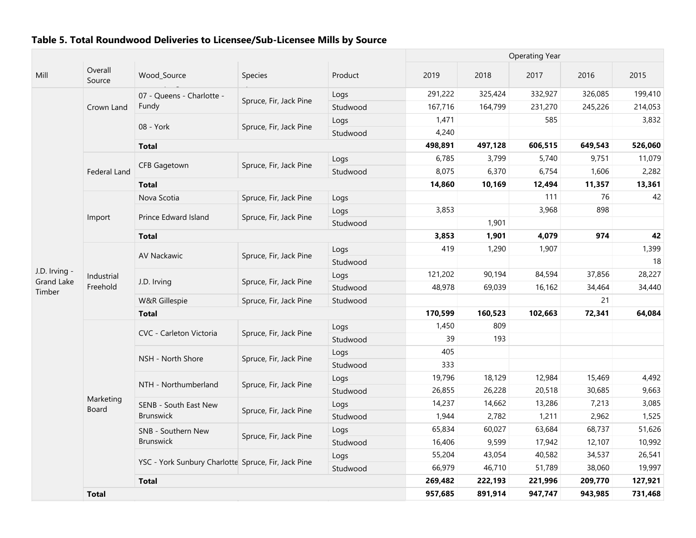|                                    |                     |                                                     |                        | <b>Operating Year</b> |         |         |         |         |         |
|------------------------------------|---------------------|-----------------------------------------------------|------------------------|-----------------------|---------|---------|---------|---------|---------|
| Mill                               | Overall<br>Source   | Wood_Source                                         | Species                | Product               | 2019    | 2018    | 2017    | 2016    | 2015    |
|                                    |                     | 07 - Queens - Charlotte -                           |                        | Logs                  | 291,222 | 325,424 | 332,927 | 326,085 | 199,410 |
|                                    | Crown Land          | Fundy                                               | Spruce, Fir, Jack Pine | Studwood              | 167,716 | 164,799 | 231,270 | 245,226 | 214,053 |
|                                    |                     | 08 - York                                           | Spruce, Fir, Jack Pine | Logs                  | 1,471   |         | 585     |         | 3,832   |
|                                    |                     |                                                     |                        | Studwood              | 4,240   |         |         |         |         |
|                                    |                     | <b>Total</b>                                        |                        |                       | 498,891 | 497,128 | 606,515 | 649,543 | 526,060 |
|                                    |                     | <b>CFB Gagetown</b>                                 | Spruce, Fir, Jack Pine | Logs                  | 6,785   | 3,799   | 5,740   | 9,751   | 11,079  |
|                                    | <b>Federal Land</b> |                                                     |                        | Studwood              | 8,075   | 6,370   | 6,754   | 1,606   | 2,282   |
|                                    |                     | <b>Total</b>                                        |                        |                       | 14,860  | 10,169  | 12,494  | 11,357  | 13,361  |
|                                    |                     | Nova Scotia                                         | Spruce, Fir, Jack Pine | Logs                  |         |         | 111     | 76      | 42      |
|                                    |                     |                                                     |                        | Logs                  | 3,853   |         | 3,968   | 898     |         |
|                                    | Import              | Prince Edward Island                                | Spruce, Fir, Jack Pine | Studwood              |         | 1,901   |         |         |         |
|                                    |                     | <b>Total</b>                                        |                        |                       | 3,853   | 1,901   | 4,079   | 974     | 42      |
| J.D. Irving -<br><b>Grand Lake</b> |                     | <b>AV Nackawic</b>                                  | Spruce, Fir, Jack Pine | Logs                  | 419     | 1,290   | 1,907   |         | 1,399   |
|                                    |                     |                                                     |                        | Studwood              |         |         |         |         | 18      |
|                                    | Industrial          | J.D. Irving                                         | Spruce, Fir, Jack Pine | Logs                  | 121,202 | 90,194  | 84,594  | 37,856  | 28,227  |
| Timber                             | Freehold            |                                                     |                        | Studwood              | 48,978  | 69,039  | 16,162  | 34,464  | 34,440  |
|                                    |                     | W&R Gillespie                                       | Spruce, Fir, Jack Pine | Studwood              |         |         |         | 21      |         |
|                                    |                     | <b>Total</b>                                        |                        |                       | 170,599 | 160,523 | 102,663 | 72,341  | 64,084  |
|                                    |                     | CVC - Carleton Victoria                             | Spruce, Fir, Jack Pine | Logs                  | 1,450   | 809     |         |         |         |
|                                    |                     |                                                     |                        | Studwood              | 39      | 193     |         |         |         |
|                                    |                     | NSH - North Shore                                   | Spruce, Fir, Jack Pine | Logs                  | 405     |         |         |         |         |
|                                    |                     |                                                     |                        | Studwood              | 333     |         |         |         |         |
|                                    |                     | NTH - Northumberland                                | Spruce, Fir, Jack Pine | Logs                  | 19,796  | 18,129  | 12,984  | 15,469  | 4,492   |
|                                    |                     |                                                     |                        | Studwood              | 26,855  | 26,228  | 20,518  | 30,685  | 9,663   |
|                                    | Marketing<br>Board  | SENB - South East New                               | Spruce, Fir, Jack Pine | Logs                  | 14,237  | 14,662  | 13,286  | 7,213   | 3,085   |
|                                    |                     | <b>Brunswick</b>                                    |                        | Studwood              | 1,944   | 2,782   | 1,211   | 2,962   | 1,525   |
|                                    |                     | SNB - Southern New                                  |                        | Logs                  | 65,834  | 60,027  | 63,684  | 68,737  | 51,626  |
|                                    |                     | <b>Brunswick</b>                                    | Spruce, Fir, Jack Pine | Studwood              | 16,406  | 9,599   | 17,942  | 12,107  | 10,992  |
|                                    |                     |                                                     |                        | Logs                  | 55,204  | 43,054  | 40,582  | 34,537  | 26,541  |
|                                    |                     | YSC - York Sunbury Charlotte Spruce, Fir, Jack Pine |                        | Studwood              | 66,979  | 46,710  | 51,789  | 38,060  | 19,997  |
|                                    |                     | <b>Total</b>                                        |                        |                       | 269,482 | 222,193 | 221,996 | 209,770 | 127,921 |
|                                    | <b>Total</b>        |                                                     |                        |                       | 957,685 | 891,914 | 947,747 | 943,985 | 731,468 |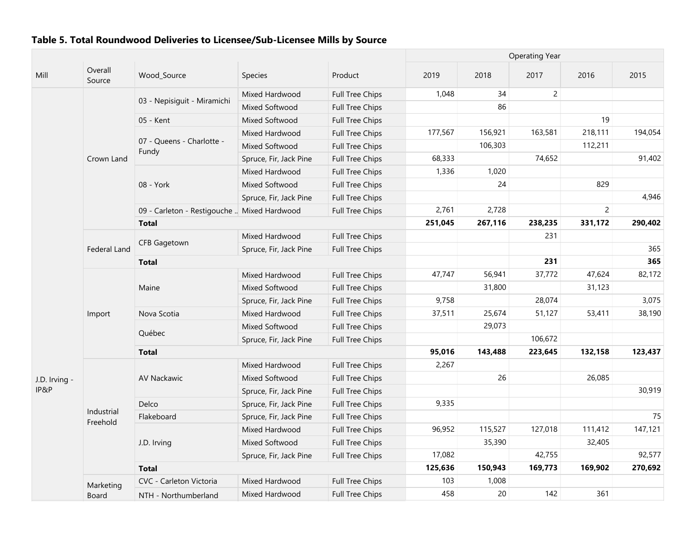|               |                        |                                             |                        |                        | <b>Operating Year</b> |         |                |                |         |  |
|---------------|------------------------|---------------------------------------------|------------------------|------------------------|-----------------------|---------|----------------|----------------|---------|--|
| Mill          | Overall<br>Source      | Wood_Source                                 | Species                | Product                | 2019                  | 2018    | 2017           | 2016           | 2015    |  |
|               |                        |                                             | Mixed Hardwood         | Full Tree Chips        | 1,048                 | 34      | $\overline{2}$ |                |         |  |
|               |                        | 03 - Nepisiguit - Miramichi                 | Mixed Softwood         | Full Tree Chips        |                       | 86      |                |                |         |  |
|               |                        | 05 - Kent                                   | Mixed Softwood         | Full Tree Chips        |                       |         |                | 19             |         |  |
|               |                        |                                             | Mixed Hardwood         | Full Tree Chips        | 177,567               | 156,921 | 163,581        | 218,111        | 194,054 |  |
|               |                        | 07 - Queens - Charlotte -                   | Mixed Softwood         | Full Tree Chips        |                       | 106,303 |                | 112,211        |         |  |
|               | Crown Land             | Fundy                                       | Spruce, Fir, Jack Pine | Full Tree Chips        | 68,333                |         | 74,652         |                | 91,402  |  |
|               |                        |                                             | Mixed Hardwood         | Full Tree Chips        | 1,336                 | 1,020   |                |                |         |  |
|               |                        | 08 - York                                   | Mixed Softwood         | Full Tree Chips        |                       | 24      |                | 829            |         |  |
|               |                        |                                             | Spruce, Fir, Jack Pine | Full Tree Chips        |                       |         |                |                | 4,946   |  |
|               |                        | 09 - Carleton - Restigouche  Mixed Hardwood |                        | Full Tree Chips        | 2,761                 | 2,728   |                | $\overline{2}$ |         |  |
|               |                        | <b>Total</b>                                |                        |                        | 251,045               | 267,116 | 238,235        | 331,172        | 290,402 |  |
|               |                        |                                             | Mixed Hardwood         | Full Tree Chips        |                       |         | 231            |                |         |  |
|               | <b>Federal Land</b>    | <b>CFB Gagetown</b>                         | Spruce, Fir, Jack Pine | <b>Full Tree Chips</b> |                       |         |                |                | 365     |  |
|               |                        | <b>Total</b>                                |                        |                        |                       |         | 231            |                | 365     |  |
|               |                        |                                             | Mixed Hardwood         | Full Tree Chips        | 47,747                | 56,941  | 37,772         | 47,624         | 82,172  |  |
|               |                        | Maine                                       | Mixed Softwood         | Full Tree Chips        |                       | 31,800  |                | 31,123         |         |  |
|               |                        |                                             | Spruce, Fir, Jack Pine | Full Tree Chips        | 9,758                 |         | 28,074         |                | 3,075   |  |
|               | Import                 | Nova Scotia                                 | Mixed Hardwood         | Full Tree Chips        | 37,511                | 25,674  | 51,127         | 53,411         | 38,190  |  |
|               |                        |                                             | Mixed Softwood         | Full Tree Chips        |                       | 29,073  |                |                |         |  |
|               |                        | Québec                                      | Spruce, Fir, Jack Pine | <b>Full Tree Chips</b> |                       |         | 106,672        |                |         |  |
|               |                        | <b>Total</b>                                |                        |                        | 95,016                | 143,488 | 223,645        | 132,158        | 123,437 |  |
|               |                        |                                             | Mixed Hardwood         | Full Tree Chips        | 2,267                 |         |                |                |         |  |
| J.D. Irving - |                        | <b>AV Nackawic</b>                          | Mixed Softwood         | Full Tree Chips        |                       | 26      |                | 26,085         |         |  |
| IP&P          |                        |                                             | Spruce, Fir, Jack Pine | Full Tree Chips        |                       |         |                |                | 30,919  |  |
|               |                        | Delco                                       | Spruce, Fir, Jack Pine | Full Tree Chips        | 9,335                 |         |                |                |         |  |
|               | Industrial<br>Freehold | Flakeboard                                  | Spruce, Fir, Jack Pine | Full Tree Chips        |                       |         |                |                | 75      |  |
|               |                        |                                             | Mixed Hardwood         | <b>Full Tree Chips</b> | 96,952                | 115,527 | 127,018        | 111,412        | 147,121 |  |
|               |                        | J.D. Irving                                 | Mixed Softwood         | <b>Full Tree Chips</b> |                       | 35,390  |                | 32,405         |         |  |
|               |                        |                                             | Spruce, Fir, Jack Pine | <b>Full Tree Chips</b> | 17,082                |         | 42,755         |                | 92,577  |  |
|               |                        | <b>Total</b>                                |                        |                        | 125,636               | 150,943 | 169,773        | 169,902        | 270,692 |  |
|               | Marketing              | CVC - Carleton Victoria                     | Mixed Hardwood         | Full Tree Chips        | 103                   | 1,008   |                |                |         |  |
|               | Board                  | NTH - Northumberland                        | Mixed Hardwood         | <b>Full Tree Chips</b> | 458                   | 20      | 142            | 361            |         |  |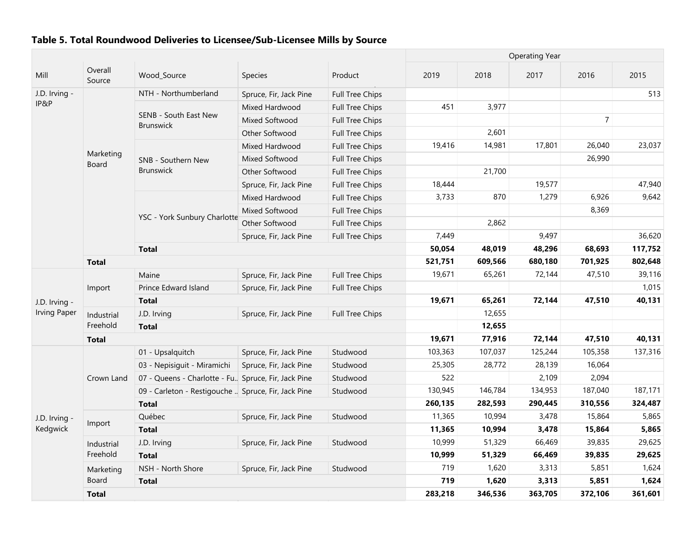|                     |                    |                                                       |                        |                        | <b>Operating Year</b> |         |         |                |         |
|---------------------|--------------------|-------------------------------------------------------|------------------------|------------------------|-----------------------|---------|---------|----------------|---------|
| Mill                | Overall<br>Source  | Wood_Source                                           | Species                | Product                | 2019                  | 2018    | 2017    | 2016           | 2015    |
| J.D. Irving -       |                    | NTH - Northumberland                                  | Spruce, Fir, Jack Pine | <b>Full Tree Chips</b> |                       |         |         |                | 513     |
| IP&P                |                    |                                                       | Mixed Hardwood         | <b>Full Tree Chips</b> | 451                   | 3,977   |         |                |         |
|                     |                    | SENB - South East New<br><b>Brunswick</b>             | Mixed Softwood         | Full Tree Chips        |                       |         |         | $\overline{7}$ |         |
|                     |                    |                                                       | Other Softwood         | <b>Full Tree Chips</b> |                       | 2,601   |         |                |         |
|                     |                    |                                                       | Mixed Hardwood         | <b>Full Tree Chips</b> | 19,416                | 14,981  | 17,801  | 26,040         | 23,037  |
|                     | Marketing<br>Board | SNB - Southern New                                    | Mixed Softwood         | <b>Full Tree Chips</b> |                       |         |         | 26,990         |         |
|                     |                    | <b>Brunswick</b>                                      | Other Softwood         | <b>Full Tree Chips</b> |                       | 21,700  |         |                |         |
|                     |                    |                                                       | Spruce, Fir, Jack Pine | <b>Full Tree Chips</b> | 18,444                |         | 19,577  |                | 47,940  |
|                     |                    |                                                       | Mixed Hardwood         | Full Tree Chips        | 3,733                 | 870     | 1,279   | 6,926          | 9,642   |
|                     |                    |                                                       | Mixed Softwood         | Full Tree Chips        |                       |         |         | 8,369          |         |
|                     |                    | YSC - York Sunbury Charlotte                          | Other Softwood         | Full Tree Chips        |                       | 2,862   |         |                |         |
|                     |                    |                                                       | Spruce, Fir, Jack Pine | Full Tree Chips        | 7,449                 |         | 9,497   |                | 36,620  |
|                     |                    | <b>Total</b>                                          |                        |                        | 50,054                | 48,019  | 48,296  | 68,693         | 117,752 |
|                     | <b>Total</b>       |                                                       |                        |                        | 521,751               | 609,566 | 680,180 | 701,925        | 802,648 |
|                     |                    | Maine                                                 | Spruce, Fir, Jack Pine | <b>Full Tree Chips</b> | 19,671                | 65,261  | 72,144  | 47,510         | 39,116  |
|                     | Import             | Prince Edward Island                                  | Spruce, Fir, Jack Pine | <b>Full Tree Chips</b> |                       |         |         |                | 1,015   |
| J.D. Irving -       |                    | <b>Total</b>                                          |                        |                        | 19,671                | 65,261  | 72,144  | 47,510         | 40,131  |
| <b>Irving Paper</b> | Industrial         | J.D. Irving                                           | Spruce, Fir, Jack Pine | <b>Full Tree Chips</b> |                       | 12,655  |         |                |         |
|                     | Freehold           | <b>Total</b>                                          |                        |                        |                       | 12,655  |         |                |         |
|                     | <b>Total</b>       |                                                       |                        |                        | 19,671                | 77,916  | 72,144  | 47,510         | 40,131  |
|                     |                    | 01 - Upsalquitch                                      | Spruce, Fir, Jack Pine | Studwood               | 103,363               | 107,037 | 125,244 | 105,358        | 137,316 |
|                     |                    | 03 - Nepisiquit - Miramichi                           | Spruce, Fir, Jack Pine | Studwood               | 25,305                | 28,772  | 28,139  | 16,064         |         |
|                     | Crown Land         | 07 - Queens - Charlotte - Fu., Spruce, Fir, Jack Pine |                        | Studwood               | 522                   |         | 2,109   | 2,094          |         |
|                     |                    | 09 - Carleton - Restigouche  Spruce, Fir, Jack Pine   |                        | Studwood               | 130,945               | 146,784 | 134,953 | 187,040        | 187,171 |
|                     |                    | <b>Total</b>                                          |                        |                        | 260,135               | 282,593 | 290,445 | 310,556        | 324,487 |
| J.D. Irving -       |                    | Québec                                                | Spruce, Fir, Jack Pine | Studwood               | 11,365                | 10,994  | 3,478   | 15,864         | 5,865   |
| Kedgwick            | Import             | <b>Total</b>                                          |                        |                        | 11,365                | 10,994  | 3,478   | 15,864         | 5,865   |
|                     | Industrial         | J.D. Irving                                           | Spruce, Fir, Jack Pine | Studwood               | 10,999                | 51,329  | 66,469  | 39,835         | 29,625  |
|                     | Freehold           | <b>Total</b>                                          |                        |                        | 10,999                | 51,329  | 66,469  | 39,835         | 29,625  |
|                     | Marketing          | NSH - North Shore                                     | Spruce, Fir, Jack Pine | Studwood               | 719                   | 1,620   | 3,313   | 5,851          | 1,624   |
|                     | Board              | <b>Total</b>                                          |                        |                        | 719                   | 1,620   | 3,313   | 5,851          | 1,624   |
|                     | <b>Total</b>       |                                                       |                        |                        | 283,218               | 346,536 | 363,705 | 372,106        | 361,601 |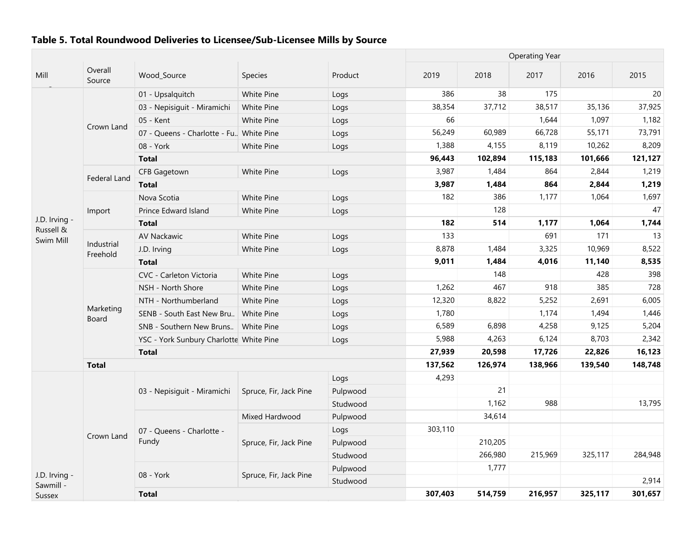|                        |                        |                                          |                        |          | <b>Operating Year</b> |         |         |         |         |
|------------------------|------------------------|------------------------------------------|------------------------|----------|-----------------------|---------|---------|---------|---------|
| Mill                   | Overall<br>Source      | Wood_Source                              | Species                | Product  | 2019                  | 2018    | 2017    | 2016    | 2015    |
|                        |                        | 01 - Upsalquitch                         | White Pine             | Logs     | 386                   | 38      | 175     |         | 20      |
|                        |                        | 03 - Nepisiguit - Miramichi              | White Pine             | Logs     | 38,354                | 37,712  | 38,517  | 35,136  | 37,925  |
|                        |                        | 05 - Kent                                | White Pine             | Logs     | 66                    |         | 1,644   | 1,097   | 1,182   |
|                        | Crown Land             | 07 - Queens - Charlotte - Fu. White Pine |                        | Logs     | 56,249                | 60,989  | 66,728  | 55,171  | 73,791  |
|                        |                        | 08 - York                                | <b>White Pine</b>      | Logs     | 1,388                 | 4,155   | 8,119   | 10,262  | 8,209   |
|                        |                        | <b>Total</b>                             |                        |          | 96,443                | 102,894 | 115,183 | 101,666 | 121,127 |
|                        |                        | CFB Gagetown                             | White Pine             | Logs     | 3,987                 | 1,484   | 864     | 2,844   | 1,219   |
|                        | Federal Land           | <b>Total</b>                             |                        |          | 3,987                 | 1,484   | 864     | 2,844   | 1,219   |
|                        |                        | Nova Scotia                              | White Pine             | Logs     | 182                   | 386     | 1,177   | 1,064   | 1,697   |
|                        | Import                 | Prince Edward Island                     | White Pine             | Logs     |                       | 128     |         |         | 47      |
| J.D. Irving -          |                        | <b>Total</b>                             |                        |          | 182                   | 514     | 1,177   | 1,064   | 1,744   |
| Russell &<br>Swim Mill |                        | AV Nackawic                              | White Pine             | Logs     | 133                   |         | 691     | 171     | 13      |
|                        | Industrial<br>Freehold | J.D. Irving                              | White Pine             | Logs     | 8,878                 | 1,484   | 3,325   | 10,969  | 8,522   |
|                        |                        | <b>Total</b>                             |                        |          | 9,011                 | 1,484   | 4,016   | 11,140  | 8,535   |
|                        |                        | CVC - Carleton Victoria                  | White Pine             | Logs     |                       | 148     |         | 428     | 398     |
|                        |                        | NSH - North Shore                        | White Pine             | Logs     | 1,262                 | 467     | 918     | 385     | 728     |
|                        |                        | NTH - Northumberland                     | <b>White Pine</b>      | Logs     | 12,320                | 8,822   | 5,252   | 2,691   | 6,005   |
|                        | Marketing<br>Board     | SENB - South East New Bru                | White Pine             | Logs     | 1,780                 |         | 1,174   | 1,494   | 1,446   |
|                        |                        | SNB - Southern New Bruns   White Pine    |                        | Logs     | 6,589                 | 6,898   | 4,258   | 9,125   | 5,204   |
|                        |                        | YSC - York Sunbury Charlotte White Pine  |                        | Logs     | 5,988                 | 4,263   | 6,124   | 8,703   | 2,342   |
|                        |                        | <b>Total</b>                             |                        |          | 27,939                | 20,598  | 17,726  | 22,826  | 16,123  |
|                        | <b>Total</b>           |                                          |                        |          | 137,562               | 126,974 | 138,966 | 139,540 | 148,748 |
|                        |                        |                                          |                        | Logs     | 4,293                 |         |         |         |         |
|                        |                        | 03 - Nepisiguit - Miramichi              | Spruce, Fir, Jack Pine | Pulpwood |                       | 21      |         |         |         |
|                        |                        |                                          |                        | Studwood |                       | 1,162   | 988     |         | 13,795  |
|                        |                        |                                          | Mixed Hardwood         | Pulpwood |                       | 34,614  |         |         |         |
|                        | Crown Land             | 07 - Queens - Charlotte -                |                        | Logs     | 303,110               |         |         |         |         |
|                        |                        | Fundy                                    | Spruce, Fir, Jack Pine | Pulpwood |                       | 210,205 |         |         |         |
|                        |                        |                                          |                        | Studwood |                       | 266,980 | 215,969 | 325,117 | 284,948 |
| J.D. Irving -          |                        | 08 - York                                | Spruce, Fir, Jack Pine | Pulpwood |                       | 1,777   |         |         |         |
| Sawmill -              |                        |                                          |                        | Studwood |                       |         |         |         | 2,914   |
| Sussex                 |                        | <b>Total</b>                             |                        |          | 307,403               | 514,759 | 216,957 | 325,117 | 301,657 |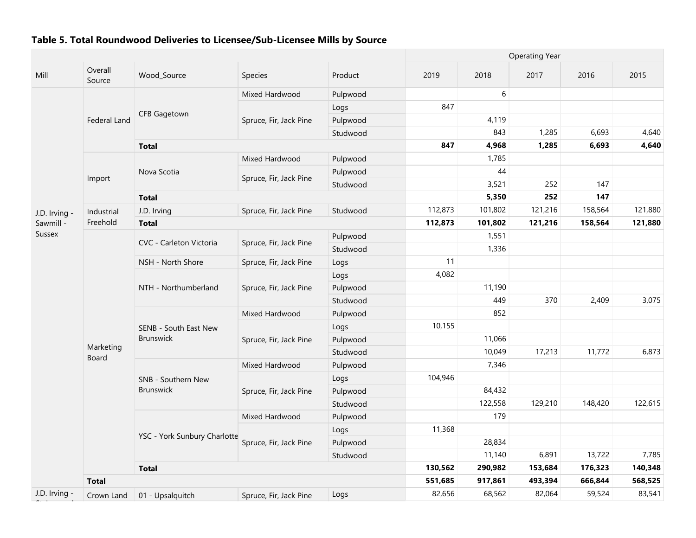|               |                           |                              |                        |          | <b>Operating Year</b> |         |         |         |         |
|---------------|---------------------------|------------------------------|------------------------|----------|-----------------------|---------|---------|---------|---------|
| Mill          | Overall<br>Source         | Wood_Source                  | Species                | Product  | 2019                  | 2018    | 2017    | 2016    | 2015    |
|               |                           |                              | Mixed Hardwood         | Pulpwood |                       | 6       |         |         |         |
|               |                           |                              |                        | Logs     | 847                   |         |         |         |         |
|               | <b>Federal Land</b>       | <b>CFB Gagetown</b>          | Spruce, Fir, Jack Pine | Pulpwood |                       | 4,119   |         |         |         |
|               |                           |                              |                        | Studwood |                       | 843     | 1,285   | 6,693   | 4,640   |
|               |                           | <b>Total</b>                 |                        |          | 847                   | 4,968   | 1,285   | 6,693   | 4,640   |
|               |                           |                              | Mixed Hardwood         | Pulpwood |                       | 1,785   |         |         |         |
|               | Import                    | Nova Scotia                  | Spruce, Fir, Jack Pine | Pulpwood |                       | 44      |         |         |         |
|               |                           |                              |                        | Studwood |                       | 3,521   | 252     | 147     |         |
|               |                           | <b>Total</b>                 |                        |          |                       | 5,350   | 252     | 147     |         |
| J.D. Irving - | Industrial                | J.D. Irving                  | Spruce, Fir, Jack Pine | Studwood | 112,873               | 101,802 | 121,216 | 158,564 | 121,880 |
| Sawmill -     | Freehold                  | <b>Total</b>                 |                        |          | 112,873               | 101,802 | 121,216 | 158,564 | 121,880 |
| <b>Sussex</b> |                           | CVC - Carleton Victoria      | Spruce, Fir, Jack Pine | Pulpwood |                       | 1,551   |         |         |         |
|               |                           |                              |                        | Studwood |                       | 1,336   |         |         |         |
|               |                           | NSH - North Shore            | Spruce, Fir, Jack Pine | Logs     | 11                    |         |         |         |         |
|               |                           |                              | Spruce, Fir, Jack Pine | Logs     | 4,082                 |         |         |         |         |
|               |                           | NTH - Northumberland         |                        | Pulpwood |                       | 11,190  |         |         |         |
|               |                           |                              |                        | Studwood |                       | 449     | 370     | 2,409   | 3,075   |
|               |                           |                              | Mixed Hardwood         | Pulpwood |                       | 852     |         |         |         |
|               |                           | SENB - South East New        |                        | Logs     | 10,155                |         |         |         |         |
|               |                           | <b>Brunswick</b>             | Spruce, Fir, Jack Pine | Pulpwood |                       | 11,066  |         |         |         |
|               | Marketing<br><b>Board</b> |                              |                        | Studwood |                       | 10,049  | 17,213  | 11,772  | 6,873   |
|               |                           |                              | Mixed Hardwood         | Pulpwood |                       | 7,346   |         |         |         |
|               |                           | SNB - Southern New           |                        | Logs     | 104,946               |         |         |         |         |
|               |                           | <b>Brunswick</b>             | Spruce, Fir, Jack Pine | Pulpwood |                       | 84,432  |         |         |         |
|               |                           |                              |                        | Studwood |                       | 122,558 | 129,210 | 148,420 | 122,615 |
|               |                           |                              | Mixed Hardwood         | Pulpwood |                       | 179     |         |         |         |
|               |                           | YSC - York Sunbury Charlotte |                        | Logs     | 11,368                |         |         |         |         |
|               |                           |                              | Spruce, Fir, Jack Pine | Pulpwood |                       | 28,834  |         |         |         |
|               |                           |                              |                        | Studwood |                       | 11,140  | 6,891   | 13,722  | 7,785   |
|               |                           | <b>Total</b>                 |                        |          | 130,562               | 290,982 | 153,684 | 176,323 | 140,348 |
|               | <b>Total</b>              |                              |                        |          | 551,685               | 917,861 | 493,394 | 666,844 | 568,525 |
| J.D. Irving   | Crown Land                | 01 - Upsalquitch             | Spruce, Fir, Jack Pine | Logs     | 82,656                | 68,562  | 82,064  | 59,524  | 83,541  |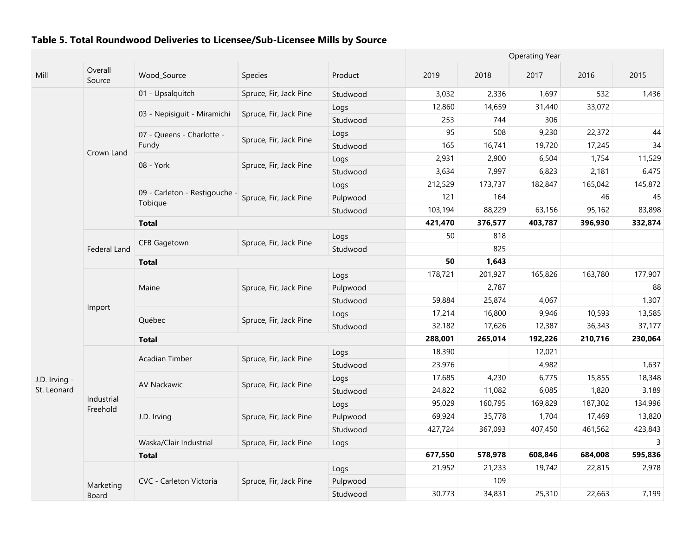|               |                     |                                          |                        |          |         |         | <b>Operating Year</b> |         |         |
|---------------|---------------------|------------------------------------------|------------------------|----------|---------|---------|-----------------------|---------|---------|
| Mill          | Overall<br>Source   | Wood_Source                              | Species                | Product  | 2019    | 2018    | 2017                  | 2016    | 2015    |
|               |                     | 01 - Upsalquitch                         | Spruce, Fir, Jack Pine | Studwood | 3,032   | 2,336   | 1,697                 | 532     | 1,436   |
|               |                     |                                          |                        | Logs     | 12,860  | 14,659  | 31,440                | 33,072  |         |
|               |                     | 03 - Nepisiguit - Miramichi              | Spruce, Fir, Jack Pine | Studwood | 253     | 744     | 306                   |         |         |
|               |                     | 07 - Queens - Charlotte -                |                        | Logs     | 95      | 508     | 9,230                 | 22,372  | 44      |
|               | Crown Land          | Fundy                                    | Spruce, Fir, Jack Pine | Studwood | 165     | 16,741  | 19,720                | 17,245  | 34      |
|               |                     | 08 - York                                | Spruce, Fir, Jack Pine | Logs     | 2,931   | 2,900   | 6,504                 | 1,754   | 11,529  |
|               |                     |                                          |                        | Studwood | 3,634   | 7,997   | 6,823                 | 2,181   | 6,475   |
|               |                     |                                          |                        | Logs     | 212,529 | 173,737 | 182,847               | 165,042 | 145,872 |
|               |                     | 09 - Carleton - Restigouche -<br>Tobique | Spruce, Fir, Jack Pine | Pulpwood | 121     | 164     |                       | 46      | 45      |
|               |                     |                                          |                        | Studwood | 103,194 | 88,229  | 63,156                | 95,162  | 83,898  |
|               |                     | <b>Total</b>                             |                        |          | 421,470 | 376,577 | 403,787               | 396,930 | 332,874 |
|               |                     | <b>CFB Gagetown</b>                      | Spruce, Fir, Jack Pine | Logs     | 50      | 818     |                       |         |         |
|               | <b>Federal Land</b> |                                          |                        | Studwood |         | 825     |                       |         |         |
|               |                     | <b>Total</b>                             |                        |          | 50      | 1,643   |                       |         |         |
|               |                     |                                          |                        | Logs     | 178,721 | 201,927 | 165,826               | 163,780 | 177,907 |
|               |                     | Maine                                    | Spruce, Fir, Jack Pine | Pulpwood |         | 2,787   |                       |         | 88      |
|               | Import              |                                          |                        | Studwood | 59,884  | 25,874  | 4,067                 |         | 1,307   |
|               |                     | Québec                                   | Spruce, Fir, Jack Pine | Logs     | 17,214  | 16,800  | 9,946                 | 10,593  | 13,585  |
|               |                     |                                          |                        | Studwood | 32,182  | 17,626  | 12,387                | 36,343  | 37,177  |
|               |                     | <b>Total</b>                             |                        |          | 288,001 | 265,014 | 192,226               | 210,716 | 230,064 |
|               |                     | <b>Acadian Timber</b>                    | Spruce, Fir, Jack Pine | Logs     | 18,390  |         | 12,021                |         |         |
|               |                     |                                          |                        | Studwood | 23,976  |         | 4,982                 |         | 1,637   |
| J.D. Irving - |                     | <b>AV Nackawic</b>                       | Spruce, Fir, Jack Pine | Logs     | 17,685  | 4,230   | 6,775                 | 15,855  | 18,348  |
| St. Leonard   | Industrial          |                                          |                        | Studwood | 24,822  | 11,082  | 6,085                 | 1,820   | 3,189   |
|               | Freehold            |                                          |                        | Logs     | 95,029  | 160,795 | 169,829               | 187,302 | 134,996 |
|               |                     | J.D. Irving                              | Spruce, Fir, Jack Pine | Pulpwood | 69,924  | 35,778  | 1,704                 | 17,469  | 13,820  |
|               |                     |                                          |                        | Studwood | 427,724 | 367,093 | 407,450               | 461,562 | 423,843 |
|               |                     | Waska/Clair Industrial                   | Spruce, Fir, Jack Pine | Logs     |         |         |                       |         | 3       |
|               |                     | <b>Total</b>                             |                        |          | 677,550 | 578,978 | 608,846               | 684,008 | 595,836 |
|               |                     |                                          |                        | Logs     | 21,952  | 21,233  | 19,742                | 22,815  | 2,978   |
|               | Marketing           | CVC - Carleton Victoria                  | Spruce, Fir, Jack Pine | Pulpwood |         | 109     |                       |         |         |
|               | Board               |                                          |                        | Studwood | 30,773  | 34,831  | 25,310                | 22,663  | 7,199   |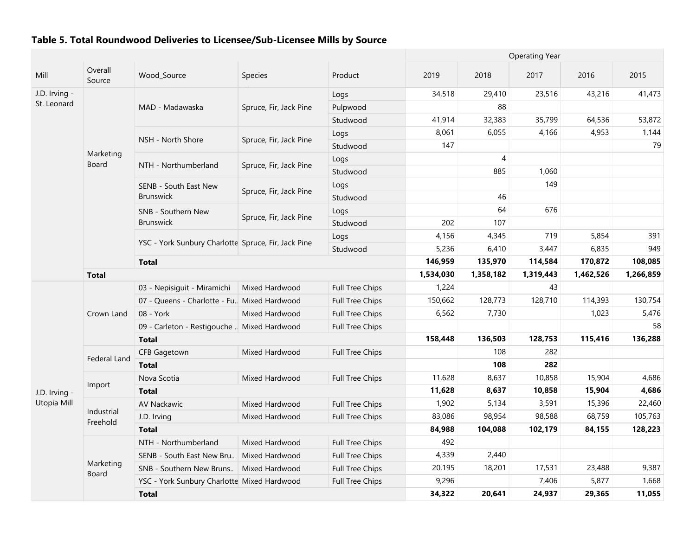|               |                           |                                                     |                        |                        |           |           | <b>Operating Year</b> |           |           |
|---------------|---------------------------|-----------------------------------------------------|------------------------|------------------------|-----------|-----------|-----------------------|-----------|-----------|
| Mill          | Overall<br>Source         | Wood_Source                                         | Species                | Product                | 2019      | 2018      | 2017                  | 2016      | 2015      |
| J.D. Irving - |                           |                                                     |                        | Logs                   | 34,518    | 29,410    | 23,516                | 43,216    | 41,473    |
| St. Leonard   |                           | MAD - Madawaska                                     | Spruce, Fir, Jack Pine | Pulpwood               |           | 88        |                       |           |           |
|               |                           |                                                     |                        | Studwood               | 41,914    | 32,383    | 35,799                | 64,536    | 53,872    |
|               |                           |                                                     |                        | Logs                   | 8,061     | 6,055     | 4,166                 | 4,953     | 1,144     |
|               |                           | NSH - North Shore                                   | Spruce, Fir, Jack Pine | Studwood               | 147       |           |                       |           | 79        |
|               | Marketing<br>Board        |                                                     |                        | Logs                   |           | 4         |                       |           |           |
|               |                           | NTH - Northumberland                                | Spruce, Fir, Jack Pine | Studwood               |           | 885       | 1,060                 |           |           |
|               |                           | SENB - South East New                               |                        | Logs                   |           |           | 149                   |           |           |
|               |                           | <b>Brunswick</b>                                    | Spruce, Fir, Jack Pine | Studwood               |           | 46        |                       |           |           |
|               |                           | SNB - Southern New                                  |                        | Logs                   |           | 64        | 676                   |           |           |
|               |                           | <b>Brunswick</b>                                    | Spruce, Fir, Jack Pine | Studwood               | 202       | 107       |                       |           |           |
|               |                           |                                                     |                        | Logs                   | 4,156     | 4,345     | 719                   | 5,854     | 391       |
|               |                           | YSC - York Sunbury Charlotte Spruce, Fir, Jack Pine |                        | Studwood               | 5,236     | 6,410     | 3,447                 | 6,835     | 949       |
|               |                           | <b>Total</b>                                        |                        |                        | 146,959   | 135,970   | 114,584               | 170,872   | 108,085   |
|               | <b>Total</b>              |                                                     |                        |                        | 1,534,030 | 1,358,182 | 1,319,443             | 1,462,526 | 1,266,859 |
|               |                           | 03 - Nepisiquit - Miramichi                         | Mixed Hardwood         | <b>Full Tree Chips</b> | 1,224     |           | 43                    |           |           |
|               |                           | 07 - Queens - Charlotte - Fu. Mixed Hardwood        |                        | <b>Full Tree Chips</b> | 150,662   | 128,773   | 128,710               | 114,393   | 130,754   |
|               | Crown Land                | 08 - York                                           | Mixed Hardwood         | <b>Full Tree Chips</b> | 6,562     | 7,730     |                       | 1,023     | 5,476     |
|               |                           | 09 - Carleton - Restigouche  Mixed Hardwood         |                        | <b>Full Tree Chips</b> |           |           |                       |           | 58        |
|               |                           | <b>Total</b>                                        |                        |                        | 158,448   | 136,503   | 128,753               | 115,416   | 136,288   |
|               | Federal Land              | CFB Gagetown                                        | Mixed Hardwood         | <b>Full Tree Chips</b> |           | 108       | 282                   |           |           |
|               |                           | <b>Total</b>                                        |                        |                        |           | 108       | 282                   |           |           |
|               | Import                    | Nova Scotia                                         | Mixed Hardwood         | <b>Full Tree Chips</b> | 11,628    | 8,637     | 10,858                | 15,904    | 4,686     |
| J.D. Irving - |                           | <b>Total</b>                                        |                        |                        | 11,628    | 8,637     | 10,858                | 15,904    | 4,686     |
| Utopia Mill   |                           | AV Nackawic                                         | Mixed Hardwood         | Full Tree Chips        | 1,902     | 5,134     | 3,591                 | 15,396    | 22,460    |
|               | Industrial<br>Freehold    | J.D. Irving                                         | Mixed Hardwood         | Full Tree Chips        | 83,086    | 98,954    | 98,588                | 68,759    | 105,763   |
|               |                           | <b>Total</b>                                        |                        |                        | 84,988    | 104,088   | 102,179               | 84,155    | 128,223   |
|               |                           | NTH - Northumberland                                | Mixed Hardwood         | Full Tree Chips        | 492       |           |                       |           |           |
|               |                           | SENB - South East New Bru                           | Mixed Hardwood         | Full Tree Chips        | 4,339     | 2,440     |                       |           |           |
|               | Marketing<br><b>Board</b> | SNB - Southern New Bruns                            | Mixed Hardwood         | Full Tree Chips        | 20,195    | 18,201    | 17,531                | 23,488    | 9,387     |
|               |                           | YSC - York Sunbury Charlotte Mixed Hardwood         |                        | Full Tree Chips        | 9,296     |           | 7,406                 | 5,877     | 1,668     |
|               |                           | <b>Total</b>                                        |                        |                        | 34,322    | 20,641    | 24,937                | 29,365    | 11,055    |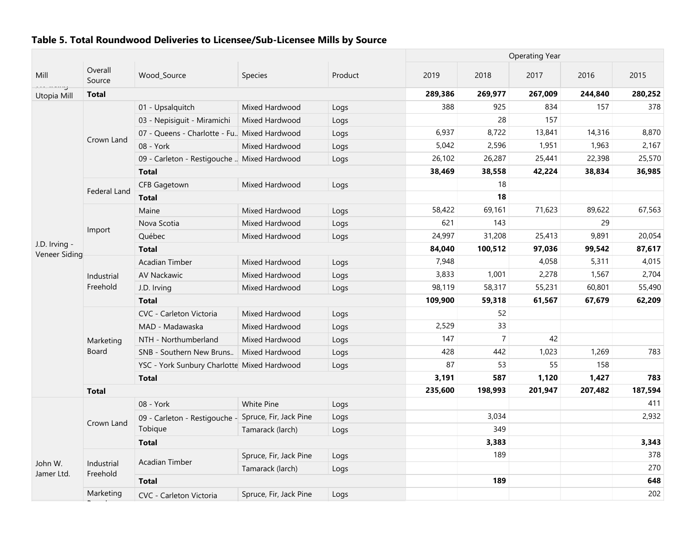|                                |                        |                                                      |                        |         |         |                | <b>Operating Year</b> |         |         |
|--------------------------------|------------------------|------------------------------------------------------|------------------------|---------|---------|----------------|-----------------------|---------|---------|
| Mill                           | Overall<br>Source      | Wood Source                                          | Species                | Product | 2019    | 2018           | 2017                  | 2016    | 2015    |
| aaa meniy<br>Utopia Mill       | <b>Total</b>           |                                                      |                        |         | 289,386 | 269,977        | 267,009               | 244,840 | 280,252 |
|                                |                        | 01 - Upsalquitch                                     | Mixed Hardwood         | Logs    | 388     | 925            | 834                   | 157     | 378     |
|                                |                        | 03 - Nepisiguit - Miramichi                          | Mixed Hardwood         | Logs    |         | 28             | 157                   |         |         |
|                                |                        | 07 - Queens - Charlotte - Fu., Mixed Hardwood        |                        | Logs    | 6,937   | 8,722          | 13,841                | 14,316  | 8,870   |
|                                | Crown Land             | 08 - York                                            | Mixed Hardwood         | Logs    | 5,042   | 2,596          | 1,951                 | 1,963   | 2,167   |
|                                |                        | 09 - Carleton - Restigouche  Mixed Hardwood          |                        | Logs    | 26,102  | 26,287         | 25,441                | 22,398  | 25,570  |
|                                |                        | <b>Total</b>                                         |                        |         | 38,469  | 38,558         | 42,224                | 38,834  | 36,985  |
|                                |                        | <b>CFB Gagetown</b>                                  | Mixed Hardwood         | Logs    |         | 18             |                       |         |         |
|                                | Federal Land           | <b>Total</b>                                         |                        |         |         | 18             |                       |         |         |
|                                |                        | Maine                                                | Mixed Hardwood         | Logs    | 58,422  | 69,161         | 71,623                | 89,622  | 67,563  |
|                                |                        | Nova Scotia                                          | Mixed Hardwood         | Logs    | 621     | 143            |                       | 29      |         |
|                                | Import                 | Québec                                               | Mixed Hardwood         | Logs    | 24,997  | 31,208         | 25,413                | 9,891   | 20,054  |
| J.D. Irving -<br>Veneer Siding |                        | <b>Total</b>                                         |                        |         | 84,040  | 100,512        | 97,036                | 99,542  | 87,617  |
|                                |                        | <b>Acadian Timber</b>                                | Mixed Hardwood         | Logs    | 7,948   |                | 4,058                 | 5,311   | 4,015   |
|                                | Industrial             | AV Nackawic                                          | Mixed Hardwood         | Logs    | 3,833   | 1,001          | 2,278                 | 1,567   | 2,704   |
|                                | Freehold               | J.D. Irving                                          | Mixed Hardwood         | Logs    | 98,119  | 58,317         | 55,231                | 60,801  | 55,490  |
|                                |                        | <b>Total</b>                                         |                        |         | 109,900 | 59,318         | 61,567                | 67,679  | 62,209  |
|                                |                        | CVC - Carleton Victoria                              | Mixed Hardwood         | Logs    |         | 52             |                       |         |         |
|                                |                        | MAD - Madawaska                                      | Mixed Hardwood         | Logs    | 2,529   | 33             |                       |         |         |
|                                | Marketing              | NTH - Northumberland                                 | Mixed Hardwood         | Logs    | 147     | $\overline{7}$ | 42                    |         |         |
|                                | Board                  | SNB - Southern New Bruns                             | Mixed Hardwood         | Logs    | 428     | 442            | 1,023                 | 1,269   | 783     |
|                                |                        | YSC - York Sunbury Charlotte Mixed Hardwood          |                        | Logs    | 87      | 53             | 55                    | 158     |         |
|                                |                        | <b>Total</b>                                         |                        |         | 3,191   | 587            | 1,120                 | 1,427   | 783     |
|                                | <b>Total</b>           |                                                      |                        |         | 235,600 | 198,993        | 201,947               | 207,482 | 187,594 |
|                                |                        | 08 - York                                            | White Pine             | Logs    |         |                |                       |         | 411     |
|                                |                        | 09 - Carleton - Restigouche - Spruce, Fir, Jack Pine |                        | Logs    |         | 3,034          |                       |         | 2,932   |
|                                | Crown Land             | Tobique                                              | Tamarack (larch)       | Logs    |         | 349            |                       |         |         |
|                                |                        | <b>Total</b>                                         |                        |         |         | 3,383          |                       |         | 3,343   |
|                                |                        |                                                      | Spruce, Fir, Jack Pine | Logs    |         | 189            |                       |         | 378     |
| John W.<br>Jamer Ltd.          | Industrial<br>Freehold | <b>Acadian Timber</b>                                | Tamarack (larch)       | Logs    |         |                |                       |         | 270     |
|                                |                        | <b>Total</b>                                         |                        |         |         | 189            |                       |         | 648     |
|                                | Marketing              | CVC - Carleton Victoria                              | Spruce, Fir, Jack Pine | Logs    |         |                |                       |         | 202     |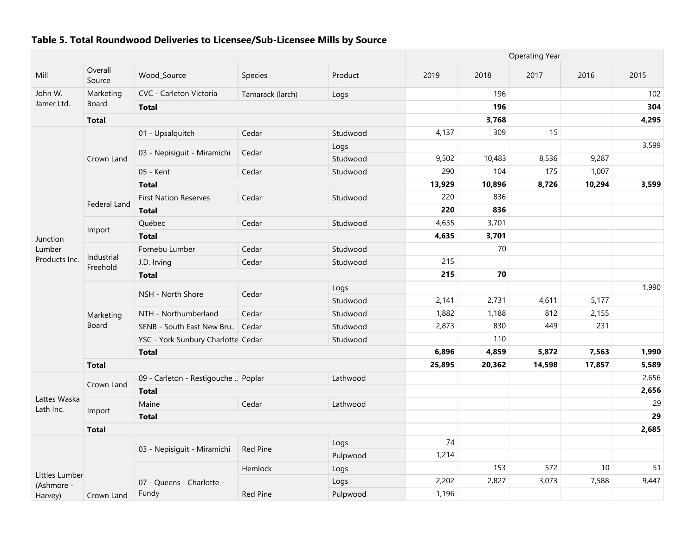|                           |                        |                                     |                  |          |        |        | <b>Operating Year</b> |        |       |
|---------------------------|------------------------|-------------------------------------|------------------|----------|--------|--------|-----------------------|--------|-------|
| Mill                      | Overall<br>Source      | Wood_Source                         | Species          | Product  | 2019   | 2018   | 2017                  | 2016   | 2015  |
| John W.                   | Marketing              | CVC - Carleton Victoria             | Tamarack (larch) | Logs     |        | 196    |                       |        | 102   |
| Jamer Ltd.                | Board                  | <b>Total</b>                        |                  |          |        | 196    |                       |        | 304   |
|                           | <b>Total</b>           |                                     |                  |          |        | 3,768  |                       |        | 4,295 |
|                           |                        | 01 - Upsalquitch                    | Cedar            | Studwood | 4,137  | 309    | 15                    |        |       |
|                           |                        |                                     |                  | Logs     |        |        |                       |        | 3,599 |
|                           | Crown Land             | 03 - Nepisiguit - Miramichi         | Cedar            | Studwood | 9,502  | 10,483 | 8,536                 | 9,287  |       |
|                           |                        | 05 - Kent                           | Cedar            | Studwood | 290    | 104    | 175                   | 1,007  |       |
|                           |                        | <b>Total</b>                        |                  |          | 13,929 | 10,896 | 8,726                 | 10,294 | 3,599 |
|                           |                        | <b>First Nation Reserves</b>        | Cedar            | Studwood | 220    | 836    |                       |        |       |
|                           | Federal Land           | <b>Total</b>                        |                  |          | 220    | 836    |                       |        |       |
|                           |                        | Québec                              | Cedar            | Studwood | 4,635  | 3,701  |                       |        |       |
| Junction                  | Import                 | <b>Total</b>                        |                  |          | 4,635  | 3,701  |                       |        |       |
| Lumber<br>Products Inc.   |                        | Fornebu Lumber                      | Cedar            | Studwood |        | 70     |                       |        |       |
|                           | Industrial<br>Freehold | J.D. Irving                         | Cedar            | Studwood | 215    |        |                       |        |       |
|                           |                        | <b>Total</b>                        |                  |          | 215    | 70     |                       |        |       |
|                           |                        | NSH - North Shore                   | Cedar            | Logs     |        |        |                       |        | 1,990 |
|                           |                        |                                     |                  | Studwood | 2,141  | 2,731  | 4,611                 | 5,177  |       |
|                           | Marketing              | NTH - Northumberland                | Cedar            | Studwood | 1,882  | 1,188  | 812                   | 2,155  |       |
|                           | Board                  | SENB - South East New Bru.          | Cedar            | Studwood | 2,873  | 830    | 449                   | 231    |       |
|                           |                        | YSC - York Sunbury Charlotte Cedar  |                  | Studwood |        | 110    |                       |        |       |
|                           |                        | <b>Total</b>                        |                  |          | 6,896  | 4,859  | 5,872                 | 7,563  | 1,990 |
|                           | <b>Total</b>           |                                     |                  |          | 25,895 | 20,362 | 14,598                | 17,857 | 5,589 |
|                           | Crown Land             | 09 - Carleton - Restigouche  Poplar |                  | Lathwood |        |        |                       |        | 2,656 |
|                           |                        | <b>Total</b>                        |                  |          |        |        |                       |        | 2,656 |
| Lattes Waska<br>Lath Inc. |                        | Maine                               | Cedar            | Lathwood |        |        |                       |        | 29    |
|                           | Import                 | <b>Total</b>                        |                  |          |        |        |                       |        | 29    |
|                           | <b>Total</b>           |                                     |                  |          |        |        |                       |        | 2,685 |
|                           |                        | 03 - Nepisiguit - Miramichi         | <b>Red Pine</b>  | Logs     | 74     |        |                       |        |       |
|                           |                        |                                     |                  | Pulpwood | 1,214  |        |                       |        |       |
| Littles Lumber            |                        |                                     | Hemlock          | Logs     |        | 153    | 572                   | 10     | 51    |
| (Ashmore -                |                        | 07 - Queens - Charlotte -           |                  | Logs     | 2,202  | 2,827  | 3,073                 | 7,588  | 9,447 |
| Harvey)                   | Crown Land             | Fundy                               | Red Pine         | Pulpwood | 1,196  |        |                       |        |       |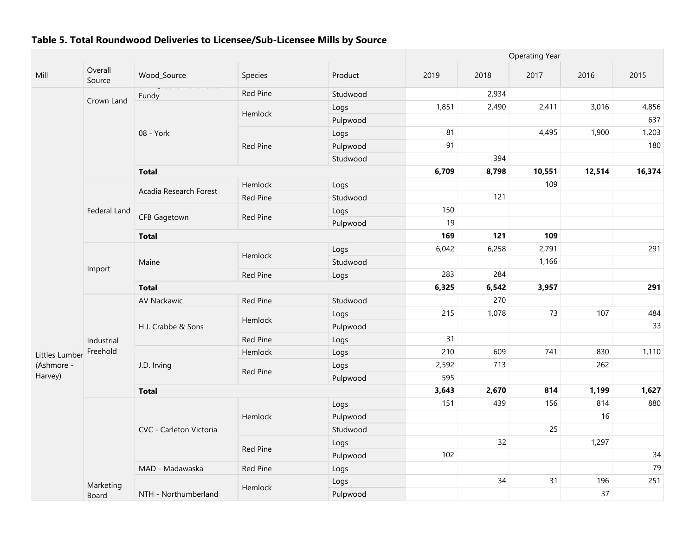|                |                     |                            |          |          | <b>Operating Year</b> |       |        |        |        |
|----------------|---------------------|----------------------------|----------|----------|-----------------------|-------|--------|--------|--------|
| Mill           | Overall<br>Source   | Wood_Source                | Species  | Product  | 2019                  | 2018  | 2017   | 2016   | 2015   |
|                |                     | or goccho chanouc<br>Fundy | Red Pine | Studwood |                       | 2,934 |        |        |        |
|                | Crown Land          |                            |          | Logs     | 1,851                 | 2,490 | 2,411  | 3,016  | 4,856  |
|                |                     |                            | Hemlock  | Pulpwood |                       |       |        |        | 637    |
|                |                     | 08 - York                  |          | Logs     | 81                    |       | 4,495  | 1,900  | 1,203  |
|                |                     |                            | Red Pine | Pulpwood | 91                    |       |        |        | 180    |
|                |                     |                            |          | Studwood |                       | 394   |        |        |        |
|                |                     | <b>Total</b>               |          |          | 6,709                 | 8,798 | 10,551 | 12,514 | 16,374 |
|                |                     |                            | Hemlock  | Logs     |                       |       | 109    |        |        |
|                |                     | Acadia Research Forest     | Red Pine | Studwood |                       | 121   |        |        |        |
|                | <b>Federal Land</b> |                            |          | Logs     | 150                   |       |        |        |        |
|                |                     | <b>CFB Gagetown</b>        | Red Pine | Pulpwood | 19                    |       |        |        |        |
|                |                     | <b>Total</b>               |          |          | 169                   | 121   | 109    |        |        |
|                |                     |                            |          | Logs     | 6,042                 | 6,258 | 2,791  |        | 291    |
|                |                     | Maine                      | Hemlock  | Studwood |                       |       | 1,166  |        |        |
|                | Import              |                            | Red Pine | Logs     | 283                   | 284   |        |        |        |
|                |                     | <b>Total</b>               |          |          | 6,325                 | 6,542 | 3,957  |        | 291    |
|                |                     | AV Nackawic                | Red Pine | Studwood |                       | 270   |        |        |        |
|                |                     |                            |          | Logs     | 215                   | 1,078 | 73     | 107    | 484    |
|                |                     | H.J. Crabbe & Sons         | Hemlock  | Pulpwood |                       |       |        |        | 33     |
|                | Industrial          |                            | Red Pine | Logs     | 31                    |       |        |        |        |
| Littles Lumber | Freehold            |                            | Hemlock  | Logs     | 210                   | 609   | 741    | 830    | 1,110  |
| (Ashmore -     |                     | J.D. Irving                |          | Logs     | 2,592                 | 713   |        | 262    |        |
| Harvey)        |                     |                            | Red Pine | Pulpwood | 595                   |       |        |        |        |
|                |                     | <b>Total</b>               |          |          | 3,643                 | 2,670 | 814    | 1,199  | 1,627  |
|                |                     |                            |          | Logs     | 151                   | 439   | 156    | 814    | 880    |
|                |                     |                            | Hemlock  | Pulpwood |                       |       |        | 16     |        |
|                |                     | CVC - Carleton Victoria    |          | Studwood |                       |       | 25     |        |        |
|                |                     |                            |          | Logs     |                       | 32    |        | 1,297  |        |
|                |                     |                            | Red Pine | Pulpwood | 102                   |       |        |        | 34     |
|                |                     | MAD - Madawaska            | Red Pine | Logs     |                       |       |        |        | 79     |
|                | Marketing           |                            |          | Logs     |                       | 34    | 31     | 196    | 251    |
|                | Board               | NTH - Northumberland       | Hemlock  | Pulpwood |                       |       |        | 37     |        |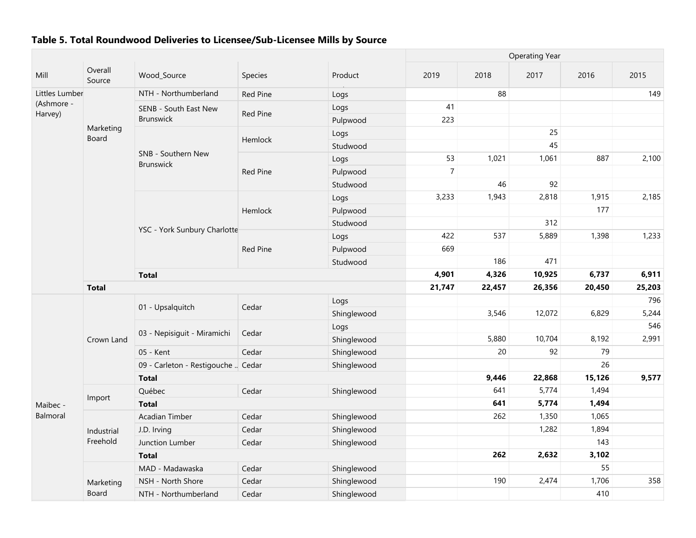|                      |                    |                                        |                 |             |                |        | <b>Operating Year</b> |        |       |
|----------------------|--------------------|----------------------------------------|-----------------|-------------|----------------|--------|-----------------------|--------|-------|
| Mill                 | Overall<br>Source  | Wood Source                            | Species         | Product     | 2019           | 2018   | 2017                  | 2016   | 2015  |
| Littles Lumber       |                    | NTH - Northumberland                   | Red Pine        | Logs        |                | 88     |                       |        | 149   |
| (Ashmore -           |                    | SENB - South East New                  | Red Pine        | Logs        | 41             |        |                       |        |       |
| Harvey)              |                    | <b>Brunswick</b>                       |                 | Pulpwood    | 223            |        |                       |        |       |
|                      | Marketing<br>Board |                                        | Hemlock         | Logs        |                |        | 25                    |        |       |
|                      |                    |                                        |                 | Studwood    |                |        | 45                    |        |       |
|                      |                    | SNB - Southern New<br><b>Brunswick</b> |                 | Logs        | 53             | 1,021  | 1,061                 | 887    | 2,100 |
|                      |                    |                                        | <b>Red Pine</b> | Pulpwood    | $\overline{7}$ |        |                       |        |       |
|                      |                    |                                        |                 | Studwood    |                | 46     | 92                    |        |       |
|                      |                    |                                        |                 | Logs        | 3,233          | 1,943  | 2,818                 | 1,915  | 2,185 |
|                      |                    |                                        | Hemlock         | Pulpwood    |                |        |                       | 177    |       |
|                      |                    | YSC - York Sunbury Charlotte           |                 | Studwood    |                |        | 312                   |        |       |
|                      |                    |                                        |                 | Logs        | 422            | 537    | 5,889                 | 1,398  | 1,233 |
|                      |                    |                                        | Red Pine        | Pulpwood    | 669            |        |                       |        |       |
|                      |                    |                                        |                 | Studwood    |                | 186    | 471                   |        |       |
|                      |                    | <b>Total</b>                           |                 | 4,901       | 4,326          | 10,925 | 6,737                 | 6,911  |       |
|                      | <b>Total</b>       |                                        |                 | 21,747      | 22,457         | 26,356 | 20,450                | 25,203 |       |
|                      |                    | 01 - Upsalquitch                       | Cedar           | Logs        |                |        |                       |        | 796   |
|                      |                    |                                        |                 | Shinglewood |                | 3,546  | 12,072                | 6,829  | 5,244 |
|                      |                    | 03 - Nepisiguit - Miramichi            | Cedar           | Logs        |                |        |                       |        | 546   |
|                      | Crown Land         |                                        |                 | Shinglewood |                | 5,880  | 10,704                | 8,192  | 2,991 |
|                      |                    | 05 - Kent                              | Cedar           | Shinglewood |                | 20     | 92                    | 79     |       |
|                      |                    | 09 - Carleton - Restigouche  Cedar     |                 | Shinglewood |                |        |                       | 26     |       |
|                      |                    | <b>Total</b>                           |                 |             |                | 9,446  | 22,868                | 15,126 | 9,577 |
|                      | Import             | Québec                                 | Cedar           | Shinglewood |                | 641    | 5,774                 | 1,494  |       |
| Maibec -<br>Balmoral |                    | <b>Total</b>                           |                 |             |                | 641    | 5,774                 | 1,494  |       |
|                      |                    | Acadian Timber                         | Cedar           | Shinglewood |                | 262    | 1,350                 | 1,065  |       |
|                      | Industrial         | J.D. Irving                            | Cedar           | Shinglewood |                |        | 1,282                 | 1,894  |       |
|                      | Freehold           | Junction Lumber                        | Cedar           | Shinglewood |                |        |                       | 143    |       |
|                      |                    | <b>Total</b>                           |                 |             |                | 262    | 2,632                 | 3,102  |       |
|                      |                    | MAD - Madawaska                        | Cedar           | Shinglewood |                |        |                       | 55     |       |
|                      | Marketing          | NSH - North Shore                      | Cedar           | Shinglewood |                | 190    | 2,474                 | 1,706  | 358   |
|                      | Board              | NTH - Northumberland                   | Cedar           | Shinglewood |                |        |                       | 410    |       |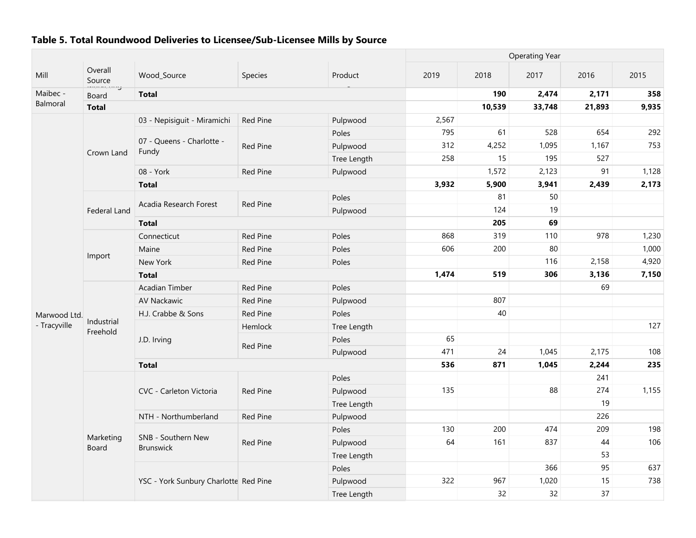|              |                        |                                        |                 |             | <b>Operating Year</b> |        |        |        |       |  |
|--------------|------------------------|----------------------------------------|-----------------|-------------|-----------------------|--------|--------|--------|-------|--|
| Mill         | Overall<br>Source      | Wood_Source                            | Species         | Product     | 2019                  | 2018   | 2017   | 2016   | 2015  |  |
| Maibec -     | Board                  | <b>Total</b>                           |                 |             |                       | 190    | 2,474  | 2,171  | 358   |  |
| Balmoral     | <b>Total</b>           |                                        |                 |             |                       | 10,539 | 33,748 | 21,893 | 9,935 |  |
|              |                        | 03 - Nepisiguit - Miramichi            | Red Pine        | Pulpwood    | 2,567                 |        |        |        |       |  |
|              |                        |                                        |                 | Poles       | 795                   | 61     | 528    | 654    | 292   |  |
|              | Crown Land             | 07 - Queens - Charlotte -<br>Fundy     | Red Pine        | Pulpwood    | 312                   | 4,252  | 1,095  | 1,167  | 753   |  |
|              |                        |                                        |                 | Tree Length | 258                   | 15     | 195    | 527    |       |  |
|              |                        | 08 - York                              | Red Pine        | Pulpwood    |                       | 1,572  | 2,123  | 91     | 1,128 |  |
|              |                        | <b>Total</b>                           |                 |             | 3,932                 | 5,900  | 3,941  | 2,439  | 2,173 |  |
|              |                        | Acadia Research Forest                 | Red Pine        | Poles       |                       | 81     | 50     |        |       |  |
|              | <b>Federal Land</b>    |                                        |                 | Pulpwood    |                       | 124    | 19     |        |       |  |
|              |                        | <b>Total</b>                           |                 |             |                       | 205    | 69     |        |       |  |
|              |                        | Connecticut                            | Red Pine        | Poles       | 868                   | 319    | 110    | 978    | 1,230 |  |
|              |                        | Maine                                  | Red Pine        | Poles       | 606                   | 200    | 80     |        | 1,000 |  |
|              | Import                 | New York                               | Red Pine        | Poles       |                       |        | 116    | 2,158  | 4,920 |  |
|              |                        | <b>Total</b>                           |                 |             | 1,474                 | 519    | 306    | 3,136  | 7,150 |  |
|              |                        | Acadian Timber                         | Red Pine        | Poles       |                       |        |        | 69     |       |  |
|              |                        | AV Nackawic                            | Red Pine        | Pulpwood    |                       | 807    |        |        |       |  |
| Marwood Ltd. |                        | H.J. Crabbe & Sons                     | Red Pine        | Poles       |                       | 40     |        |        |       |  |
| - Tracyville | Industrial<br>Freehold |                                        | Hemlock         | Tree Length |                       |        |        |        | 127   |  |
|              |                        | J.D. Irving                            | <b>Red Pine</b> | Poles       | 65                    |        |        |        |       |  |
|              |                        |                                        |                 | Pulpwood    | 471                   | 24     | 1,045  | 2,175  | 108   |  |
|              |                        | <b>Total</b>                           |                 |             | 536                   | 871    | 1,045  | 2,244  | 235   |  |
|              |                        |                                        |                 | Poles       |                       |        |        | 241    |       |  |
|              |                        | CVC - Carleton Victoria                | <b>Red Pine</b> | Pulpwood    | 135                   |        | 88     | 274    | 1,155 |  |
|              |                        |                                        |                 | Tree Length |                       |        |        | 19     |       |  |
|              |                        | NTH - Northumberland                   | Red Pine        | Pulpwood    |                       |        |        | 226    |       |  |
|              |                        |                                        |                 | Poles       | 130                   | 200    | 474    | 209    | 198   |  |
|              | Marketing<br>Board     | SNB - Southern New<br><b>Brunswick</b> | Red Pine        | Pulpwood    | 64                    | 161    | 837    | 44     | 106   |  |
|              |                        |                                        |                 | Tree Length |                       |        |        | 53     |       |  |
|              |                        |                                        |                 | Poles       |                       |        | 366    | 95     | 637   |  |
|              |                        | YSC - York Sunbury Charlotte Red Pine  |                 | Pulpwood    | 322                   | 967    | 1,020  | 15     | 738   |  |
|              |                        |                                        |                 | Tree Length |                       | 32     | 32     | 37     |       |  |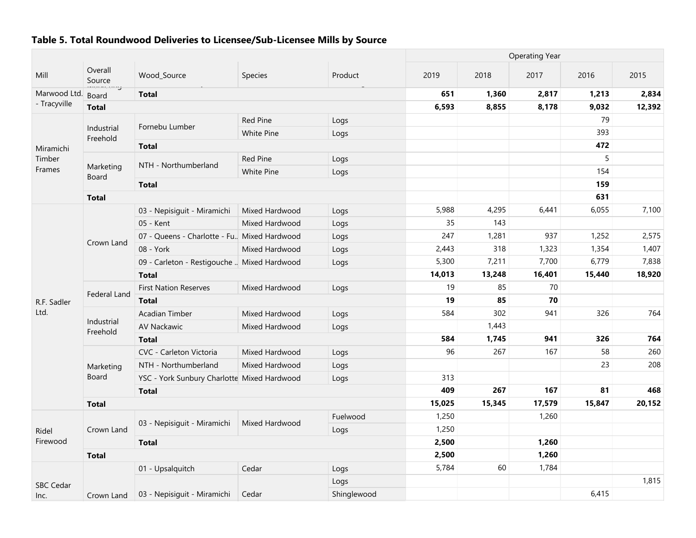| <b>Operating Year</b> |                                                            |                                              |                   |             |        |        |        |        |        |
|-----------------------|------------------------------------------------------------|----------------------------------------------|-------------------|-------------|--------|--------|--------|--------|--------|
| Mill                  | Overall<br>Source<br>-------------<br>-------------------- | Wood_Source                                  | Species           | Product     | 2019   | 2018   | 2017   | 2016   | 2015   |
| Marwood Ltd.          | <b>Board</b>                                               | <b>Total</b>                                 |                   |             | 651    | 1,360  | 2,817  | 1,213  | 2,834  |
| - Tracyville          | <b>Total</b>                                               |                                              |                   |             | 6,593  | 8,855  | 8,178  | 9,032  | 12,392 |
|                       |                                                            |                                              | <b>Red Pine</b>   | Logs        |        |        |        | 79     |        |
|                       | Industrial<br>Freehold                                     | Fornebu Lumber                               | <b>White Pine</b> | Logs        |        |        |        | 393    |        |
| Miramichi             |                                                            | <b>Total</b>                                 |                   |             |        |        |        | 472    |        |
| Timber                |                                                            |                                              | <b>Red Pine</b>   | Logs        |        |        |        | 5      |        |
| Frames                | Marketing<br>Board                                         | NTH - Northumberland                         | <b>White Pine</b> | Logs        |        |        |        | 154    |        |
|                       |                                                            | <b>Total</b>                                 |                   |             |        |        |        | 159    |        |
|                       | <b>Total</b>                                               |                                              |                   |             |        |        |        | 631    |        |
|                       |                                                            | 03 - Nepisiguit - Miramichi                  | Mixed Hardwood    | Logs        | 5,988  | 4,295  | 6,441  | 6,055  | 7,100  |
|                       |                                                            | 05 - Kent                                    | Mixed Hardwood    | Logs        | 35     | 143    |        |        |        |
|                       |                                                            | 07 - Queens - Charlotte - Fu. Mixed Hardwood |                   | Logs        | 247    | 1,281  | 937    | 1,252  | 2,575  |
|                       | Crown Land                                                 | 08 - York                                    | Mixed Hardwood    | Logs        | 2,443  | 318    | 1,323  | 1,354  | 1,407  |
|                       |                                                            | 09 - Carleton - Restigouche  Mixed Hardwood  |                   | Logs        | 5,300  | 7,211  | 7,700  | 6,779  | 7,838  |
|                       |                                                            | <b>Total</b>                                 |                   |             | 14,013 | 13,248 | 16,401 | 15,440 | 18,920 |
|                       | Federal Land                                               | <b>First Nation Reserves</b>                 | Mixed Hardwood    | Logs        | 19     | 85     | 70     |        |        |
| R.F. Sadler           |                                                            | <b>Total</b>                                 |                   |             | 19     | 85     | 70     |        |        |
| Ltd.                  |                                                            | <b>Acadian Timber</b>                        | Mixed Hardwood    | Logs        | 584    | 302    | 941    | 326    | 764    |
|                       | Industrial<br>Freehold                                     | AV Nackawic                                  | Mixed Hardwood    | Logs        |        | 1,443  |        |        |        |
|                       |                                                            | <b>Total</b>                                 |                   |             | 584    | 1,745  | 941    | 326    | 764    |
|                       |                                                            | CVC - Carleton Victoria                      | Mixed Hardwood    | Logs        | 96     | 267    | 167    | 58     | 260    |
|                       | Marketing                                                  | NTH - Northumberland                         | Mixed Hardwood    | Logs        |        |        |        | 23     | 208    |
|                       | Board                                                      | YSC - York Sunbury Charlotte Mixed Hardwood  |                   | Logs        | 313    |        |        |        |        |
|                       |                                                            | <b>Total</b>                                 |                   |             | 409    | 267    | 167    | 81     | 468    |
|                       | <b>Total</b>                                               |                                              |                   |             | 15,025 | 15,345 | 17,579 | 15,847 | 20,152 |
|                       |                                                            | 03 - Nepisiguit - Miramichi                  | Mixed Hardwood    | Fuelwood    | 1,250  |        | 1,260  |        |        |
| Ridel                 | Crown Land                                                 |                                              |                   | Logs        | 1,250  |        |        |        |        |
| Firewood              |                                                            | <b>Total</b>                                 |                   |             | 2,500  |        | 1,260  |        |        |
|                       | <b>Total</b>                                               |                                              |                   |             | 2,500  |        | 1,260  |        |        |
|                       |                                                            | 01 - Upsalquitch                             | Cedar             | Logs        | 5,784  | 60     | 1,784  |        |        |
| <b>SBC Cedar</b>      |                                                            |                                              |                   | Logs        |        |        |        |        | 1,815  |
| Inc.                  | Crown Land                                                 | 03 - Nepisiguit - Miramichi                  | Cedar             | Shinglewood |        |        |        | 6,415  |        |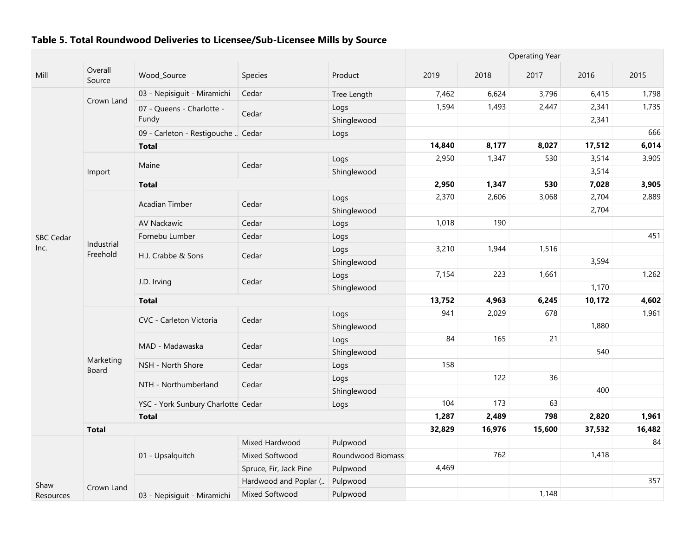|                          |                        |                                    |                        |                   |        | <b>Operating Year</b> |        |        |        |  |  |  |
|--------------------------|------------------------|------------------------------------|------------------------|-------------------|--------|-----------------------|--------|--------|--------|--|--|--|
| Mill                     | Overall<br>Source      | Wood_Source                        | Species                | Product           | 2019   | 2018                  | 2017   | 2016   | 2015   |  |  |  |
|                          |                        | 03 - Nepisiguit - Miramichi        | Cedar                  | Tree Length       | 7,462  | 6,624                 | 3,796  | 6,415  | 1,798  |  |  |  |
|                          | Crown Land             | 07 - Queens - Charlotte -          |                        | Logs              | 1,594  | 1,493                 | 2,447  | 2,341  | 1,735  |  |  |  |
|                          |                        | Fundy                              | Cedar                  | Shinglewood       |        |                       |        | 2,341  |        |  |  |  |
|                          |                        | 09 - Carleton - Restigouche  Cedar |                        | Logs              |        |                       |        |        | 666    |  |  |  |
|                          |                        | <b>Total</b>                       |                        |                   | 14,840 | 8,177                 | 8,027  | 17,512 | 6,014  |  |  |  |
|                          |                        |                                    |                        | Logs              | 2,950  | 1,347                 | 530    | 3,514  | 3,905  |  |  |  |
|                          | Import                 | Maine                              | Cedar                  | Shinglewood       |        |                       |        | 3,514  |        |  |  |  |
|                          |                        | <b>Total</b>                       |                        |                   | 2,950  | 1,347                 | 530    | 7,028  | 3,905  |  |  |  |
|                          |                        |                                    |                        | Logs              | 2,370  | 2,606                 | 3,068  | 2,704  | 2,889  |  |  |  |
|                          |                        | Acadian Timber                     | Cedar                  | Shinglewood       |        |                       |        | 2,704  |        |  |  |  |
|                          |                        | AV Nackawic                        | Cedar                  | Logs              | 1,018  | 190                   |        |        |        |  |  |  |
| <b>SBC Cedar</b><br>Inc. |                        | Fornebu Lumber                     | Cedar                  | Logs              |        |                       |        |        | 451    |  |  |  |
|                          | Industrial<br>Freehold |                                    |                        | Logs              | 3,210  | 1,944                 | 1,516  |        |        |  |  |  |
|                          |                        | H.J. Crabbe & Sons                 | Cedar                  | Shinglewood       |        |                       |        | 3,594  |        |  |  |  |
|                          |                        |                                    |                        | Logs              | 7,154  | 223                   | 1,661  |        | 1,262  |  |  |  |
|                          |                        | J.D. Irving                        | Cedar                  | Shinglewood       |        |                       |        | 1,170  |        |  |  |  |
|                          |                        | <b>Total</b>                       |                        | 13,752            | 4,963  | 6,245                 | 10,172 | 4,602  |        |  |  |  |
|                          |                        |                                    |                        | Logs              | 941    | 2,029                 | 678    |        | 1,961  |  |  |  |
|                          |                        | CVC - Carleton Victoria            | Cedar                  | Shinglewood       |        |                       |        | 1,880  |        |  |  |  |
|                          |                        |                                    |                        | Logs              | 84     | 165                   | 21     |        |        |  |  |  |
|                          |                        | MAD - Madawaska                    | Cedar                  | Shinglewood       |        |                       |        | 540    |        |  |  |  |
|                          | Marketing<br>Board     | NSH - North Shore                  | Cedar                  | Logs              | 158    |                       |        |        |        |  |  |  |
|                          |                        | NTH - Northumberland               | Cedar                  | Logs              |        | 122                   | 36     |        |        |  |  |  |
|                          |                        |                                    |                        | Shinglewood       |        |                       |        | 400    |        |  |  |  |
|                          |                        | YSC - York Sunbury Charlotte Cedar |                        | Logs              | 104    | 173                   | 63     |        |        |  |  |  |
|                          |                        | <b>Total</b>                       |                        |                   | 1,287  | 2,489                 | 798    | 2,820  | 1,961  |  |  |  |
|                          | <b>Total</b>           |                                    |                        |                   | 32,829 | 16,976                | 15,600 | 37,532 | 16,482 |  |  |  |
|                          |                        |                                    | Mixed Hardwood         | Pulpwood          |        |                       |        |        | 84     |  |  |  |
|                          |                        | 01 - Upsalquitch                   | Mixed Softwood         | Roundwood Biomass |        | 762                   |        | 1,418  |        |  |  |  |
|                          |                        |                                    | Spruce, Fir, Jack Pine | Pulpwood          | 4,469  |                       |        |        |        |  |  |  |
| Shaw                     |                        |                                    | Hardwood and Poplar (  | Pulpwood          |        |                       |        |        | 357    |  |  |  |
| Resources                | Crown Land             | 03 - Nepisiguit - Miramichi        | Mixed Softwood         | Pulpwood          |        |                       | 1,148  |        |        |  |  |  |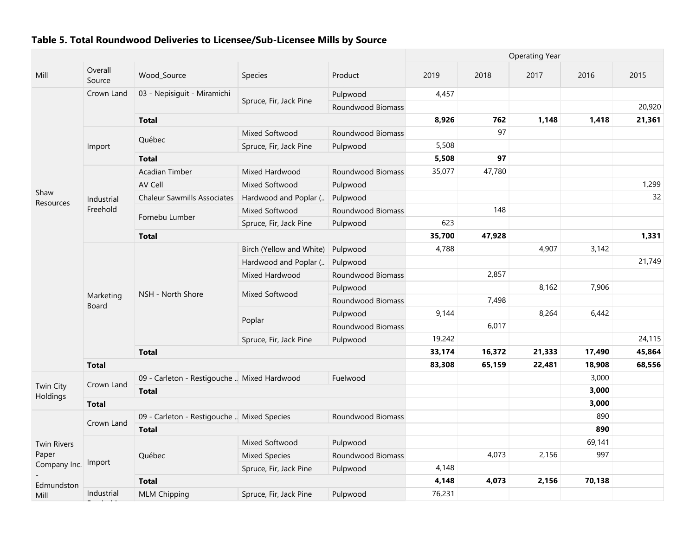|                             |                    |                                             |                          |                   |        |        | <b>Operating Year</b> |        |        |
|-----------------------------|--------------------|---------------------------------------------|--------------------------|-------------------|--------|--------|-----------------------|--------|--------|
| Mill                        | Overall<br>Source  | Wood_Source                                 | Species                  | Product           | 2019   | 2018   | 2017                  | 2016   | 2015   |
|                             | Crown Land         | 03 - Nepisiguit - Miramichi                 |                          | Pulpwood          | 4,457  |        |                       |        |        |
|                             |                    |                                             | Spruce, Fir, Jack Pine   | Roundwood Biomass |        |        |                       |        | 20,920 |
|                             |                    | <b>Total</b>                                |                          |                   | 8,926  | 762    | 1,148                 | 1,418  | 21,361 |
|                             |                    |                                             | Mixed Softwood           | Roundwood Biomass |        | 97     |                       |        |        |
|                             | Import             | Québec                                      | Spruce, Fir, Jack Pine   | Pulpwood          | 5,508  |        |                       |        |        |
|                             |                    | <b>Total</b>                                |                          |                   | 5,508  | 97     |                       |        |        |
|                             |                    | Acadian Timber                              | Mixed Hardwood           | Roundwood Biomass | 35,077 | 47,780 |                       |        |        |
|                             |                    | AV Cell                                     | Mixed Softwood           | Pulpwood          |        |        |                       |        | 1,299  |
| Shaw<br>Resources           | Industrial         | <b>Chaleur Sawmills Associates</b>          | Hardwood and Poplar (    | Pulpwood          |        |        |                       |        | 32     |
|                             | Freehold           |                                             | Mixed Softwood           | Roundwood Biomass |        | 148    |                       |        |        |
|                             |                    | Fornebu Lumber                              | Spruce, Fir, Jack Pine   | Pulpwood          | 623    |        |                       |        |        |
|                             |                    | <b>Total</b>                                |                          |                   | 35,700 | 47,928 |                       |        | 1,331  |
|                             |                    |                                             | Birch (Yellow and White) | Pulpwood          | 4,788  |        | 4,907                 | 3,142  |        |
|                             |                    |                                             | Hardwood and Poplar (    | Pulpwood          |        |        |                       |        | 21,749 |
|                             |                    |                                             | Mixed Hardwood           | Roundwood Biomass |        | 2,857  |                       |        |        |
|                             | Marketing<br>Board | NSH - North Shore                           |                          | Pulpwood          |        |        | 8,162                 | 7,906  |        |
|                             |                    |                                             | Mixed Softwood           | Roundwood Biomass |        | 7,498  |                       |        |        |
|                             |                    |                                             |                          | Pulpwood          | 9,144  |        | 8,264                 | 6,442  |        |
|                             |                    |                                             | Poplar                   | Roundwood Biomass |        | 6,017  |                       |        |        |
|                             |                    |                                             | Spruce, Fir, Jack Pine   | Pulpwood          | 19,242 |        |                       |        | 24,115 |
|                             |                    | <b>Total</b>                                |                          |                   | 33,174 | 16,372 | 21,333                | 17,490 | 45,864 |
|                             | <b>Total</b>       |                                             |                          |                   | 83,308 | 65,159 | 22,481                | 18,908 | 68,556 |
|                             |                    | 09 - Carleton - Restigouche  Mixed Hardwood |                          | Fuelwood          |        |        |                       | 3,000  |        |
| Twin City<br>Holdings       | Crown Land         | <b>Total</b>                                |                          |                   |        |        |                       | 3,000  |        |
|                             | <b>Total</b>       |                                             |                          |                   |        |        |                       | 3,000  |        |
|                             |                    | 09 - Carleton - Restigouche  Mixed Species  |                          | Roundwood Biomass |        |        |                       | 890    |        |
| <b>Twin Rivers</b><br>Paper | Crown Land         | <b>Total</b>                                |                          |                   |        |        |                       | 890    |        |
|                             |                    |                                             | Mixed Softwood           | Pulpwood          |        |        |                       | 69,141 |        |
|                             |                    | Québec                                      | <b>Mixed Species</b>     | Roundwood Biomass |        | 4,073  | 2,156                 | 997    |        |
| Company Inc.                | Import             |                                             | Spruce, Fir, Jack Pine   | Pulpwood          | 4,148  |        |                       |        |        |
| Edmundston                  |                    | <b>Total</b>                                |                          |                   | 4,148  | 4,073  | 2,156                 | 70,138 |        |
| Mill                        | Industrial         | <b>MLM Chipping</b>                         | Spruce, Fir, Jack Pine   | Pulpwood          | 76,231 |        |                       |        |        |

Freehold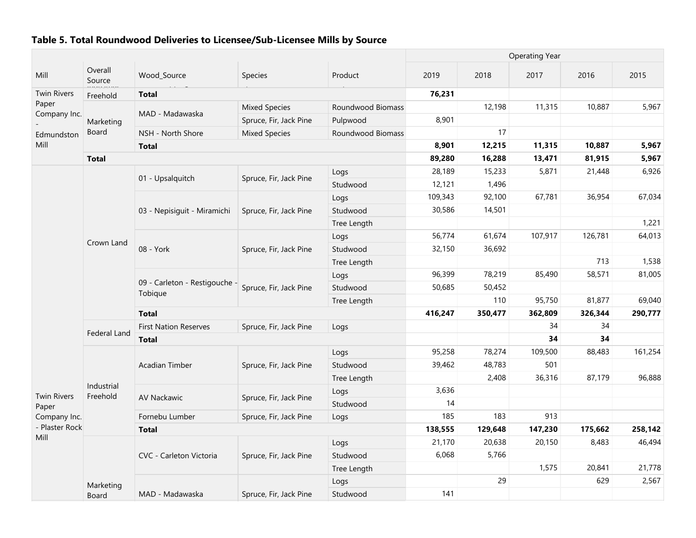|                        |                        |                                          |                        |                   | <b>Operating Year</b> |         |         |         |         |  |
|------------------------|------------------------|------------------------------------------|------------------------|-------------------|-----------------------|---------|---------|---------|---------|--|
| Mill                   | Overall<br>Source      | Wood_Source                              | Species                | Product           | 2019                  | 2018    | 2017    | 2016    | 2015    |  |
| <b>Twin Rivers</b>     | Freehold               | <b>Total</b>                             |                        |                   | 76,231                |         |         |         |         |  |
| Paper<br>Company Inc.  |                        | MAD - Madawaska                          | <b>Mixed Species</b>   | Roundwood Biomass |                       | 12,198  | 11,315  | 10,887  | 5,967   |  |
|                        | Marketing              |                                          | Spruce, Fir, Jack Pine | Pulpwood          | 8,901                 |         |         |         |         |  |
| Edmundston             | Board                  | NSH - North Shore                        | <b>Mixed Species</b>   | Roundwood Biomass |                       | 17      |         |         |         |  |
| Mill                   |                        | <b>Total</b>                             |                        |                   | 8,901                 | 12,215  | 11,315  | 10,887  | 5,967   |  |
|                        | <b>Total</b>           |                                          |                        |                   | 89,280                | 16,288  | 13,471  | 81,915  | 5,967   |  |
|                        |                        | 01 - Upsalquitch                         | Spruce, Fir, Jack Pine | Logs              | 28,189                | 15,233  | 5,871   | 21,448  | 6,926   |  |
|                        |                        |                                          |                        | Studwood          | 12,121                | 1,496   |         |         |         |  |
|                        |                        |                                          |                        | Logs              | 109,343               | 92,100  | 67,781  | 36,954  | 67,034  |  |
|                        |                        | 03 - Nepisiguit - Miramichi              | Spruce, Fir, Jack Pine | Studwood          | 30,586                | 14,501  |         |         |         |  |
|                        |                        |                                          |                        | Tree Length       |                       |         |         |         | 1,221   |  |
|                        |                        |                                          |                        | Logs              | 56,774                | 61,674  | 107,917 | 126,781 | 64,013  |  |
|                        | Crown Land             | 08 - York                                | Spruce, Fir, Jack Pine | Studwood          | 32,150                | 36,692  |         |         |         |  |
|                        |                        |                                          |                        | Tree Length       |                       |         |         | 713     | 1,538   |  |
|                        |                        |                                          |                        | Logs              | 96,399                | 78,219  | 85,490  | 58,571  | 81,005  |  |
|                        |                        | 09 - Carleton - Restigouche -<br>Tobigue | Spruce, Fir, Jack Pine | Studwood          | 50,685                | 50,452  |         |         |         |  |
|                        |                        |                                          |                        | Tree Length       |                       | 110     | 95,750  | 81,877  | 69,040  |  |
|                        |                        | <b>Total</b>                             |                        |                   |                       |         | 362,809 | 326,344 | 290,777 |  |
|                        |                        | <b>First Nation Reserves</b>             | Spruce, Fir, Jack Pine | Logs              |                       |         | 34      | 34      |         |  |
|                        | Federal Land           | <b>Total</b>                             |                        |                   |                       |         | 34      | 34      |         |  |
|                        |                        |                                          |                        | Logs              | 95,258                | 78,274  | 109,500 | 88,483  | 161,254 |  |
|                        |                        | <b>Acadian Timber</b>                    | Spruce, Fir, Jack Pine | Studwood          | 39,462                | 48,783  | 501     |         |         |  |
|                        |                        |                                          |                        | Tree Length       |                       | 2,408   | 36,316  | 87,179  | 96,888  |  |
| <b>Twin Rivers</b>     | Industrial<br>Freehold |                                          |                        | Logs              | 3,636                 |         |         |         |         |  |
| Paper                  |                        | AV Nackawic                              | Spruce, Fir, Jack Pine | Studwood          | 14                    |         |         |         |         |  |
| Company Inc.           |                        | Fornebu Lumber                           | Spruce, Fir, Jack Pine | Logs              | 185                   | 183     | 913     |         |         |  |
| - Plaster Rock<br>Mill |                        | <b>Total</b>                             |                        |                   | 138,555               | 129,648 | 147,230 | 175,662 | 258,142 |  |
|                        |                        |                                          |                        | Logs              | 21,170                | 20,638  | 20,150  | 8,483   | 46,494  |  |
|                        |                        | CVC - Carleton Victoria                  | Spruce, Fir, Jack Pine | Studwood          | 6,068                 | 5,766   |         |         |         |  |
|                        |                        |                                          |                        | Tree Length       |                       |         | 1,575   | 20,841  | 21,778  |  |
|                        |                        |                                          |                        | Logs              |                       | 29      |         | 629     | 2,567   |  |
|                        | Marketing<br>Board     | MAD - Madawaska                          | Spruce, Fir, Jack Pine | Studwood          | 141                   |         |         |         |         |  |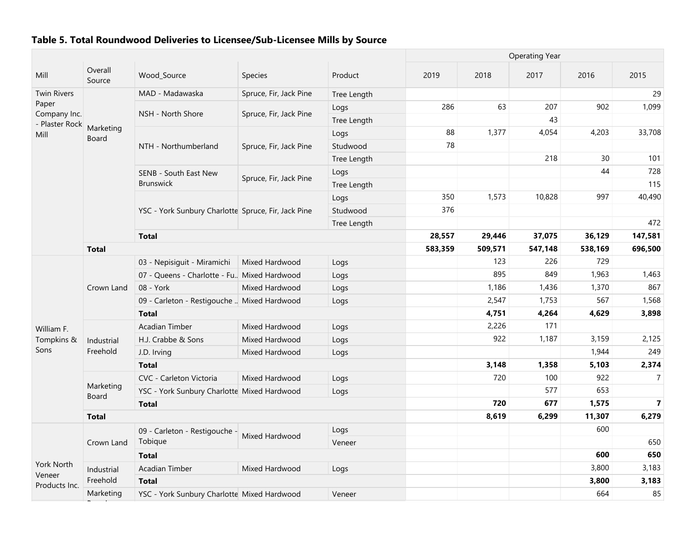|                                |                    |                                                     |                        |             |         |         | <b>Operating Year</b> |         |                |
|--------------------------------|--------------------|-----------------------------------------------------|------------------------|-------------|---------|---------|-----------------------|---------|----------------|
| Mill                           | Overall<br>Source  | Wood_Source                                         | Species                | Product     | 2019    | 2018    | 2017                  | 2016    | 2015           |
| <b>Twin Rivers</b>             |                    | MAD - Madawaska                                     | Spruce, Fir, Jack Pine | Tree Length |         |         |                       |         | 29             |
| Paper                          |                    |                                                     |                        | Logs        | 286     | 63      | 207                   | 902     | 1,099          |
| Company Inc.<br>- Plaster Rock |                    | NSH - North Shore                                   | Spruce, Fir, Jack Pine | Tree Length |         |         | 43                    |         |                |
| Mill                           | Marketing<br>Board |                                                     |                        | Logs        | 88      | 1,377   | 4,054                 | 4,203   | 33,708         |
|                                |                    | NTH - Northumberland                                | Spruce, Fir, Jack Pine | Studwood    | 78      |         |                       |         |                |
|                                |                    |                                                     |                        | Tree Length |         |         | 218                   | 30      | 101            |
|                                |                    | SENB - South East New                               | Spruce, Fir, Jack Pine | Logs        |         |         |                       | 44      | 728            |
|                                |                    | <b>Brunswick</b>                                    |                        | Tree Length |         |         |                       |         | 115            |
|                                |                    |                                                     |                        | Logs        | 350     | 1,573   | 10,828                | 997     | 40,490         |
|                                |                    | YSC - York Sunbury Charlotte Spruce, Fir, Jack Pine |                        | Studwood    | 376     |         |                       |         |                |
|                                |                    |                                                     |                        | Tree Length |         |         |                       |         | 472            |
|                                |                    | <b>Total</b>                                        |                        | 28,557      | 29,446  | 37,075  | 36,129                | 147,581 |                |
|                                | <b>Total</b>       |                                                     |                        | 583,359     | 509,571 | 547,148 | 538,169               | 696,500 |                |
|                                |                    | 03 - Nepisiguit - Miramichi                         | Mixed Hardwood         | Logs        |         | 123     | 226                   | 729     |                |
|                                | Crown Land         | 07 - Queens - Charlotte - Fu., Mixed Hardwood       |                        | Logs        |         | 895     | 849                   | 1,963   | 1,463          |
|                                |                    | 08 - York                                           | Mixed Hardwood         | Logs        |         | 1,186   | 1,436                 | 1,370   | 867            |
|                                |                    | 09 - Carleton - Restigouche  Mixed Hardwood         |                        | Logs        |         | 2,547   | 1,753                 | 567     | 1,568          |
|                                |                    | <b>Total</b>                                        |                        | 4,751       | 4,264   | 4,629   | 3,898                 |         |                |
| William F.                     |                    | <b>Acadian Timber</b>                               | Mixed Hardwood         | Logs        |         | 2,226   | 171                   |         |                |
| Tompkins &                     | Industrial         | H.J. Crabbe & Sons                                  | Mixed Hardwood         | Logs        |         | 922     | 1,187                 | 3,159   | 2,125          |
| Sons                           | Freehold           | J.D. Irving                                         | Mixed Hardwood         | Logs        |         |         |                       | 1,944   | 249            |
|                                |                    | <b>Total</b>                                        |                        |             |         | 3,148   | 1,358                 | 5,103   | 2,374          |
|                                |                    | CVC - Carleton Victoria                             | Mixed Hardwood         | Logs        |         | 720     | 100                   | 922     | $\overline{7}$ |
|                                | Marketing<br>Board | YSC - York Sunbury Charlotte Mixed Hardwood         |                        | Logs        |         |         | 577                   | 653     |                |
|                                |                    | <b>Total</b>                                        |                        |             |         | 720     | 677                   | 1,575   | $\overline{7}$ |
|                                | <b>Total</b>       |                                                     |                        |             |         | 8,619   | 6,299                 | 11,307  | 6,279          |
|                                |                    | 09 - Carleton - Restigouche -                       | Mixed Hardwood         | Logs        |         |         |                       | 600     |                |
|                                | Crown Land         | Tobique                                             |                        | Veneer      |         |         |                       |         | 650            |
|                                |                    | <b>Total</b>                                        |                        |             |         |         |                       | 600     | 650            |
| <b>York North</b><br>Veneer    | Industrial         | Acadian Timber                                      | Mixed Hardwood         | Logs        |         |         |                       | 3,800   | 3,183          |
| Products Inc.                  | Freehold           | <b>Total</b>                                        |                        |             |         |         |                       | 3,800   | 3,183          |
|                                | Marketing          | YSC - York Sunbury Charlotte Mixed Hardwood         |                        | Veneer      |         |         |                       | 664     | 85             |

 $\mathcal{B}$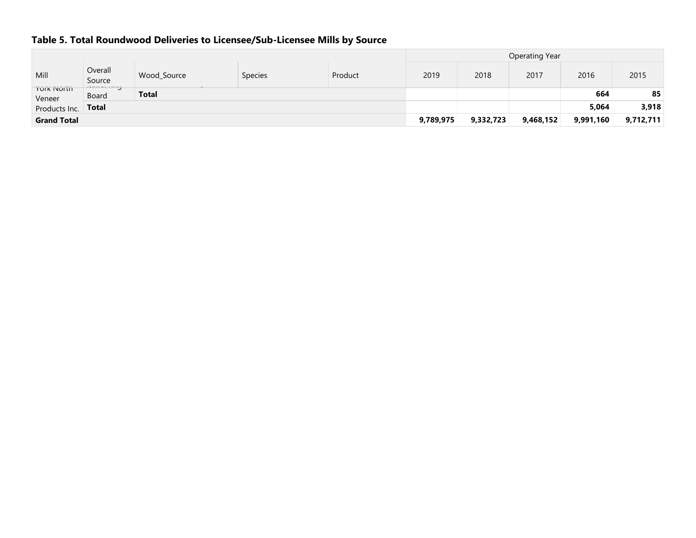|                                     |                        |             |                |         | <b>Operating Year</b> |           |           |           |           |  |  |  |
|-------------------------------------|------------------------|-------------|----------------|---------|-----------------------|-----------|-----------|-----------|-----------|--|--|--|
| Mill                                | Overall<br>Source      | Wood_Source | <b>Species</b> | Product | 2019                  | 2018      | 2017      | 2016      | 2015      |  |  |  |
| <b><i>TOIK INOITH</i></b><br>Veneer | arasa musa ng<br>Board | Total       |                |         |                       |           |           | 664       | 85        |  |  |  |
| Products Inc.                       | Total                  |             |                |         |                       |           |           | 5,064     | 3,918     |  |  |  |
| <b>Grand Total</b>                  |                        |             |                |         | 9,789,975             | 9,332,723 | 9,468,152 | 9,991,160 | 9,712,711 |  |  |  |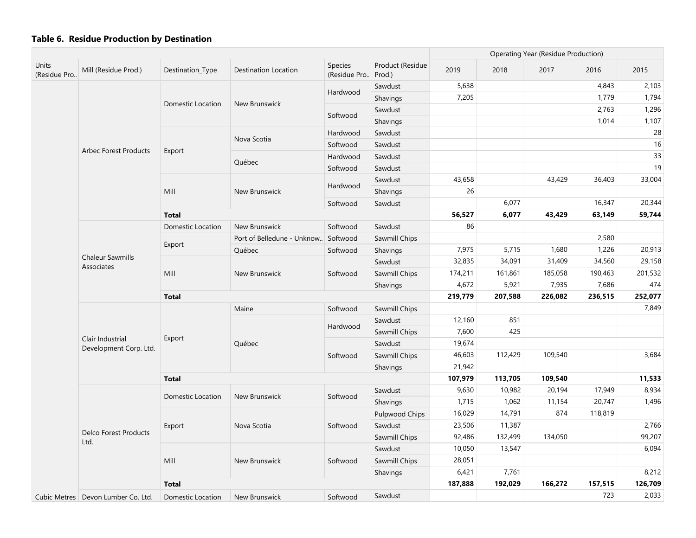|                       |                                            |                   |                             |                                |                            | Operating Year (Residue Production) |         |         |         |         |
|-----------------------|--------------------------------------------|-------------------|-----------------------------|--------------------------------|----------------------------|-------------------------------------|---------|---------|---------|---------|
| Units<br>(Residue Pro | Mill (Residue Prod.)                       | Destination_Type  | <b>Destination Location</b> | <b>Species</b><br>(Residue Pro | Product (Residue<br>Prod.) | 2019                                | 2018    | 2017    | 2016    | 2015    |
|                       |                                            |                   |                             |                                | Sawdust                    | 5,638                               |         |         | 4,843   | 2,103   |
|                       |                                            |                   |                             | Hardwood                       | Shavings                   | 7,205                               |         |         | 1,779   | 1,794   |
|                       |                                            | Domestic Location | New Brunswick               |                                | Sawdust                    |                                     |         |         | 2,763   | 1,296   |
|                       |                                            |                   |                             | Softwood                       | Shavings                   |                                     |         |         | 1,014   | 1,107   |
|                       |                                            |                   |                             | Hardwood                       | Sawdust                    |                                     |         |         |         | 28      |
|                       | <b>Arbec Forest Products</b>               |                   | Nova Scotia                 | Softwood                       | Sawdust                    |                                     |         |         |         | 16      |
|                       |                                            | Export            |                             | Hardwood                       | Sawdust                    |                                     |         |         |         | 33      |
|                       |                                            |                   | Québec                      | Softwood                       | Sawdust                    |                                     |         |         |         | 19      |
|                       |                                            |                   |                             |                                | Sawdust                    | 43,658                              |         | 43,429  | 36,403  | 33,004  |
|                       |                                            | Mill              | New Brunswick               | Hardwood                       | Shavings                   | 26                                  |         |         |         |         |
|                       |                                            |                   |                             | Softwood                       | Sawdust                    |                                     | 6,077   |         | 16,347  | 20,344  |
|                       |                                            | <b>Total</b>      |                             |                                |                            | 56,527                              | 6,077   | 43,429  | 63,149  | 59,744  |
|                       |                                            | Domestic Location | New Brunswick               | Softwood                       | Sawdust                    | 86                                  |         |         |         |         |
|                       |                                            |                   | Port of Belledune - Unknow  | Softwood                       | Sawmill Chips              |                                     |         |         | 2,580   |         |
|                       |                                            | Export            | Québec                      | Softwood                       | Shavings                   | 7,975                               | 5,715   | 1,680   | 1,226   | 20,913  |
|                       | <b>Chaleur Sawmills</b><br>Associates      |                   |                             |                                | Sawdust                    | 32,835                              | 34,091  | 31,409  | 34,560  | 29,158  |
|                       |                                            | Mill              | New Brunswick               | Softwood                       | Sawmill Chips              | 174,211                             | 161,861 | 185,058 | 190,463 | 201,532 |
|                       |                                            |                   |                             |                                | Shavings                   | 4,672                               | 5,921   | 7,935   | 7,686   | 474     |
|                       |                                            | <b>Total</b>      |                             |                                |                            |                                     | 207,588 | 226,082 | 236,515 | 252,077 |
|                       |                                            |                   | Maine                       | Softwood                       | Sawmill Chips              |                                     |         |         |         | 7,849   |
|                       |                                            |                   |                             | Hardwood                       | Sawdust                    | 12,160                              | 851     |         |         |         |
|                       |                                            |                   |                             |                                | Sawmill Chips              | 7,600                               | 425     |         |         |         |
|                       | Clair Industrial<br>Development Corp. Ltd. | Export            | Québec                      |                                | Sawdust                    | 19,674                              |         |         |         |         |
|                       |                                            |                   |                             | Softwood                       | Sawmill Chips              | 46,603                              | 112,429 | 109,540 |         | 3,684   |
|                       |                                            |                   |                             |                                | Shavings                   | 21,942                              |         |         |         |         |
|                       |                                            | <b>Total</b>      |                             |                                |                            | 107,979                             | 113,705 | 109,540 |         | 11,533  |
|                       |                                            |                   | New Brunswick               |                                | Sawdust                    | 9,630                               | 10,982  | 20,194  | 17,949  | 8,934   |
|                       |                                            | Domestic Location |                             | Softwood                       | Shavings                   | 1,715                               | 1,062   | 11,154  | 20,747  | 1,496   |
|                       |                                            |                   |                             |                                | <b>Pulpwood Chips</b>      | 16,029                              | 14,791  | 874     | 118,819 |         |
|                       |                                            | Export            | Nova Scotia                 | Softwood                       | Sawdust                    | 23,506                              | 11,387  |         |         | 2,766   |
|                       | <b>Delco Forest Products</b><br>Ltd.       |                   |                             |                                | Sawmill Chips              | 92,486                              | 132,499 | 134,050 |         | 99,207  |
|                       |                                            |                   |                             |                                | Sawdust                    | 10,050                              | 13,547  |         |         | 6,094   |
|                       |                                            | Mill              | <b>New Brunswick</b>        | Softwood                       | Sawmill Chips              | 28,051                              |         |         |         |         |
|                       |                                            |                   |                             |                                | Shavings                   | 6,421                               | 7,761   |         |         | 8,212   |
|                       |                                            | <b>Total</b>      |                             |                                |                            | 187,888                             | 192,029 | 166,272 | 157,515 | 126,709 |
|                       | Cubic Metres   Devon Lumber Co. Ltd.       | Domestic Location | New Brunswick               | Softwood                       | Sawdust                    |                                     |         |         | 723     | 2,033   |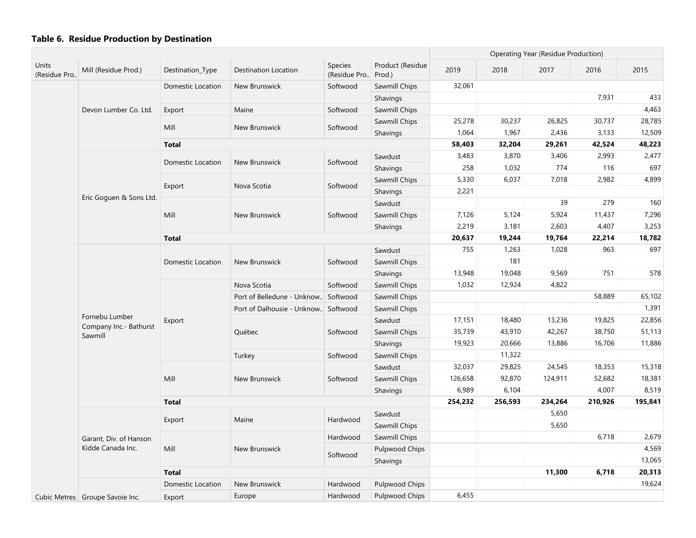|                       |                                          |                          |                                      |                                 |                            |         |         | <b>Operating Year (Residue Production)</b> |         |         |
|-----------------------|------------------------------------------|--------------------------|--------------------------------------|---------------------------------|----------------------------|---------|---------|--------------------------------------------|---------|---------|
| Units<br>(Residue Pro | Mill (Residue Prod.)                     | Destination_Type         | <b>Destination Location</b>          | <b>Species</b><br>(Residue Pro) | Product (Residue<br>Prod.) | 2019    | 2018    | 2017                                       | 2016    | 2015    |
|                       |                                          | Domestic Location        | New Brunswick                        | Softwood                        | Sawmill Chips              | 32,061  |         |                                            |         |         |
|                       |                                          |                          |                                      |                                 | Shavings                   |         |         |                                            | 7,931   | 433     |
|                       | Devon Lumber Co. Ltd.                    | Export                   | Maine                                | Softwood                        | Sawmill Chips              |         |         |                                            |         | 4,463   |
|                       |                                          | Mill                     | New Brunswick                        | Softwood                        | Sawmill Chips              | 25,278  | 30,237  | 26,825                                     | 30,737  | 28,785  |
|                       |                                          |                          |                                      |                                 | Shavings                   | 1,064   | 1,967   | 2,436                                      | 3,133   | 12,509  |
|                       |                                          | <b>Total</b>             |                                      |                                 |                            | 58,403  | 32,204  | 29,261                                     | 42,524  | 48,223  |
|                       |                                          | Domestic Location        | New Brunswick                        | Softwood                        | Sawdust                    | 3,483   | 3,870   | 3,406                                      | 2,993   | 2,477   |
|                       |                                          |                          |                                      |                                 | Shavings                   | 258     | 1,032   | 774                                        | 116     | 697     |
|                       |                                          |                          | Nova Scotia                          |                                 | Sawmill Chips              | 5,330   | 6,037   | 7,018                                      | 2,982   | 4,899   |
|                       |                                          | Export                   |                                      | Softwood                        | Shavings                   | 2,221   |         |                                            |         |         |
|                       | Eric Goguen & Sons Ltd.                  |                          |                                      |                                 | Sawdust                    |         |         | 39                                         | 279     | 160     |
|                       |                                          | Mill                     | New Brunswick                        | Softwood                        | Sawmill Chips              | 7,126   | 5,124   | 5,924                                      | 11,437  | 7,296   |
|                       |                                          |                          |                                      |                                 | Shavings                   | 2,219   | 3,181   | 2,603                                      | 4,407   | 3,253   |
|                       |                                          | <b>Total</b>             |                                      |                                 |                            | 20,637  | 19,244  | 19,764                                     | 22,214  | 18,782  |
|                       |                                          |                          |                                      |                                 | Sawdust                    | 755     | 1,263   | 1,028                                      | 963     | 697     |
|                       |                                          | <b>Domestic Location</b> | New Brunswick                        | Softwood                        | Sawmill Chips              |         | 181     |                                            |         |         |
|                       |                                          |                          |                                      |                                 | Shavings                   | 13,948  | 19,048  | 9,569                                      | 751     | 578     |
|                       |                                          |                          | Nova Scotia                          | Softwood                        | Sawmill Chips              | 1,032   | 12,924  | 4,822                                      |         |         |
|                       |                                          |                          | Port of Belledune - Unknow           | Softwood                        | Sawmill Chips              |         |         |                                            | 58,889  | 65,102  |
|                       |                                          |                          | Port of Dalhousie - Unknow. Softwood |                                 | Sawmill Chips              |         |         |                                            |         | 1,391   |
|                       | Fornebu Lumber<br>Company Inc.- Bathurst | Export                   |                                      |                                 | Sawdust                    | 17,151  | 18,480  | 13,236                                     | 19,825  | 22,856  |
|                       | Sawmill                                  |                          | Québec                               | Softwood                        | Sawmill Chips              | 35,739  | 43,910  | 42,267                                     | 38,750  | 51,113  |
|                       |                                          |                          |                                      |                                 | Shavings                   | 19,923  | 20,666  | 13,886                                     | 16,706  | 11,886  |
|                       |                                          |                          | Turkey                               | Softwood                        | Sawmill Chips              |         | 11,322  |                                            |         |         |
|                       |                                          |                          |                                      |                                 | Sawdust                    | 32,037  | 29,825  | 24,545                                     | 18,353  | 15,318  |
|                       |                                          | Mill                     | New Brunswick                        | Softwood                        | Sawmill Chips              | 126,658 | 92,870  | 124,911                                    | 52,682  | 18,381  |
|                       |                                          |                          |                                      |                                 | Shavings                   | 6,989   | 6,104   |                                            | 4,007   | 8,519   |
|                       |                                          | <b>Total</b>             |                                      |                                 |                            | 254,232 | 256,593 | 234,264                                    | 210,926 | 195,841 |
|                       |                                          |                          | Maine                                | Hardwood                        | Sawdust                    |         |         | 5,650                                      |         |         |
|                       |                                          | Export                   |                                      |                                 | Sawmill Chips              |         |         | 5,650                                      |         |         |
|                       | Garant, Div. of Hanson                   |                          |                                      | Hardwood                        | Sawmill Chips              |         |         |                                            | 6,718   | 2,679   |
|                       | Kidde Canada Inc.                        | Mill                     | New Brunswick                        | Softwood                        | Pulpwood Chips             |         |         |                                            |         | 4,569   |
|                       |                                          |                          |                                      |                                 | Shavings                   |         |         |                                            |         | 13,065  |
|                       |                                          | <b>Total</b>             |                                      |                                 |                            |         |         | 11,300                                     | 6,718   | 20,313  |
|                       |                                          | <b>Domestic Location</b> | New Brunswick                        | Hardwood                        | Pulpwood Chips             |         |         |                                            |         | 19,624  |
|                       | Cubic Metres   Groupe Savoie Inc.        | Export                   | Europe                               | Hardwood                        | Pulpwood Chips             | 6,455   |         |                                            |         |         |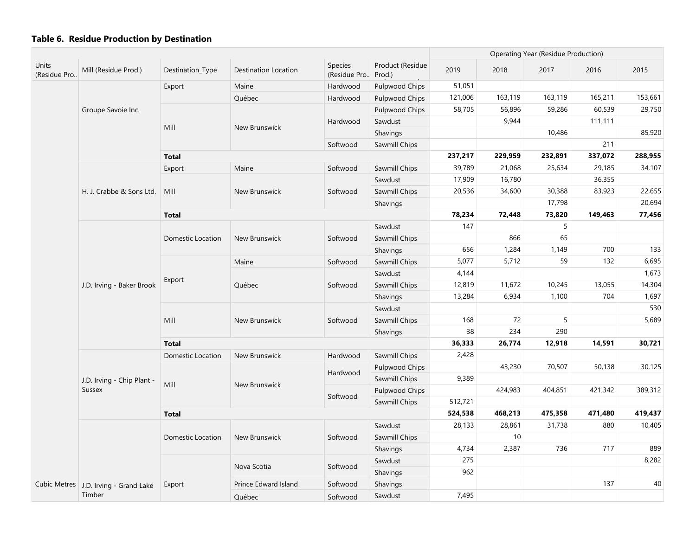|                       |                                       |                          |                      |                          |                            |         | Operating Year (Residue Production) |         |         |         |
|-----------------------|---------------------------------------|--------------------------|----------------------|--------------------------|----------------------------|---------|-------------------------------------|---------|---------|---------|
| Units<br>(Residue Pro | Mill (Residue Prod.)                  | Destination_Type         | Destination Location | Species<br>(Residue Pro) | Product (Residue<br>Prod.) | 2019    | 2018                                | 2017    | 2016    | 2015    |
|                       |                                       | Export                   | Maine                | Hardwood                 | Pulpwood Chips             | 51,051  |                                     |         |         |         |
|                       |                                       |                          | Québec               | Hardwood                 | Pulpwood Chips             | 121,006 | 163,119                             | 163,119 | 165,211 | 153,661 |
|                       | Groupe Savoie Inc.                    |                          |                      |                          | Pulpwood Chips             | 58,705  | 56,896                              | 59,286  | 60,539  | 29,750  |
|                       |                                       |                          |                      | Hardwood                 | Sawdust                    |         | 9,944                               |         | 111,111 |         |
|                       |                                       | Mill                     | New Brunswick        |                          | Shavings                   |         |                                     | 10,486  |         | 85,920  |
|                       |                                       |                          |                      | Softwood                 | Sawmill Chips              |         |                                     |         | 211     |         |
|                       |                                       | <b>Total</b>             |                      |                          |                            | 237,217 | 229,959                             | 232,891 | 337,072 | 288,955 |
|                       |                                       | Export                   | Maine                | Softwood                 | Sawmill Chips              | 39,789  | 21,068                              | 25,634  | 29,185  | 34,107  |
|                       |                                       |                          |                      |                          | Sawdust                    | 17,909  | 16,780                              |         | 36,355  |         |
|                       | H. J. Crabbe & Sons Ltd.              | Mill                     | New Brunswick        | Softwood                 | Sawmill Chips              | 20,536  | 34,600                              | 30,388  | 83,923  | 22,655  |
|                       |                                       |                          |                      |                          | Shavings                   |         |                                     | 17,798  |         | 20,694  |
|                       |                                       | <b>Total</b>             |                      |                          |                            | 78,234  | 72,448                              | 73,820  | 149,463 | 77,456  |
|                       |                                       |                          |                      |                          | Sawdust                    | 147     |                                     | 5       |         |         |
|                       |                                       | Domestic Location        | New Brunswick        | Softwood                 | Sawmill Chips              |         | 866                                 | 65      |         |         |
|                       |                                       |                          |                      |                          | Shavings                   | 656     | 1,284                               | 1,149   | 700     | 133     |
|                       |                                       |                          | Maine                | Softwood                 | Sawmill Chips              | 5,077   | 5,712                               | 59      | 132     | 6,695   |
|                       |                                       |                          |                      |                          | Sawdust                    | 4,144   |                                     |         |         | 1,673   |
|                       | J.D. Irving - Baker Brook             | Export                   | Québec               | Softwood                 | Sawmill Chips              | 12,819  | 11,672                              | 10,245  | 13,055  | 14,304  |
|                       |                                       |                          |                      |                          | Shavings                   | 13,284  | 6,934                               | 1,100   | 704     | 1,697   |
|                       |                                       |                          | New Brunswick        |                          | Sawdust                    |         |                                     |         |         | 530     |
|                       |                                       | Mill                     |                      | Softwood                 | Sawmill Chips              | 168     | 72                                  | 5       |         | 5,689   |
|                       |                                       |                          |                      |                          | Shavings                   | 38      | 234                                 | 290     |         |         |
|                       |                                       | <b>Total</b>             |                      |                          |                            | 36,333  | 26,774                              | 12,918  | 14,591  | 30,721  |
|                       |                                       | <b>Domestic Location</b> | New Brunswick        | Hardwood                 | Sawmill Chips              | 2,428   |                                     |         |         |         |
|                       |                                       |                          |                      |                          | Pulpwood Chips             |         | 43,230                              | 70,507  | 50,138  | 30,125  |
|                       | J.D. Irving - Chip Plant -            |                          |                      | Hardwood                 | Sawmill Chips              | 9,389   |                                     |         |         |         |
|                       | <b>Sussex</b>                         | Mill                     | New Brunswick        |                          | Pulpwood Chips             |         | 424,983                             | 404,851 | 421,342 | 389,312 |
|                       |                                       |                          |                      | Softwood                 | Sawmill Chips              | 512,721 |                                     |         |         |         |
|                       |                                       | <b>Total</b>             |                      |                          |                            | 524,538 | 468,213                             | 475,358 | 471,480 | 419,437 |
|                       |                                       |                          |                      |                          | Sawdust                    | 28,133  | 28,861                              | 31,738  | 880     | 10,405  |
|                       |                                       | Domestic Location        | New Brunswick        | Softwood                 | Sawmill Chips              |         | 10                                  |         |         |         |
|                       |                                       |                          |                      |                          | Shavings                   | 4,734   | 2,387                               | 736     | 717     | 889     |
|                       |                                       |                          |                      |                          | Sawdust                    | 275     |                                     |         |         | 8,282   |
|                       |                                       |                          | Nova Scotia          | Softwood                 | Shavings                   | 962     |                                     |         |         |         |
|                       | Cubic Metres J.D. Irving - Grand Lake | Export                   | Prince Edward Island | Softwood                 | Shavings                   |         |                                     |         | 137     | 40      |
|                       | Timber                                |                          | Québec               | Softwood                 | Sawdust                    | 7,495   |                                     |         |         |         |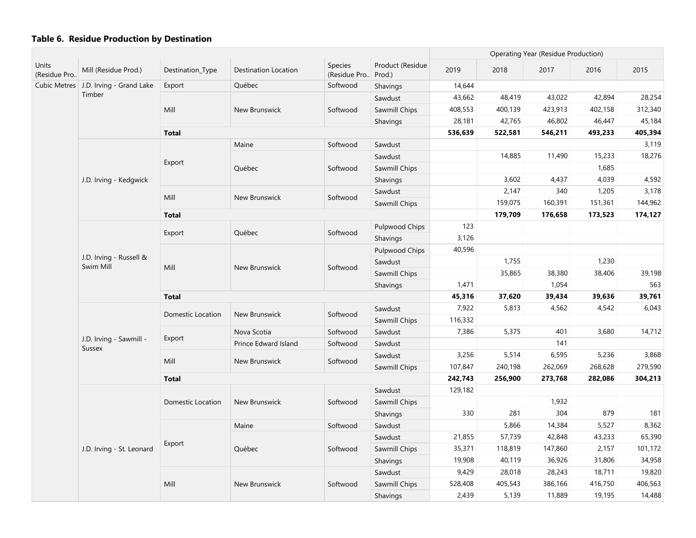|                       |                                         |                          |                             |                          |                            |         |         | Operating Year (Residue Production) |         |         |
|-----------------------|-----------------------------------------|--------------------------|-----------------------------|--------------------------|----------------------------|---------|---------|-------------------------------------|---------|---------|
| Units<br>(Residue Pro | Mill (Residue Prod.)                    | Destination_Type         | <b>Destination Location</b> | Species<br>(Residue Pro) | Product (Residue<br>Prod.) | 2019    | 2018    | 2017                                | 2016    | 2015    |
|                       | Cubic Metres   J.D. Irving - Grand Lake | Export                   | Québec                      | Softwood                 | Shavings                   | 14,644  |         |                                     |         |         |
|                       | Timber                                  |                          |                             |                          | Sawdust                    | 43,662  | 48,419  | 43,022                              | 42,894  | 28,254  |
|                       |                                         | Mill                     | New Brunswick               | Softwood                 | Sawmill Chips              | 408,553 | 400,139 | 423,913                             | 402,158 | 312,340 |
|                       |                                         |                          |                             |                          | Shavings                   | 28,181  | 42,765  | 46,802                              | 46,447  | 45,184  |
|                       |                                         | <b>Total</b>             |                             |                          |                            | 536,639 | 522,581 | 546,211                             | 493,233 | 405,394 |
|                       |                                         |                          | Maine                       | Softwood                 | Sawdust                    |         |         |                                     |         | 3,119   |
|                       |                                         |                          |                             |                          | Sawdust                    |         | 14,885  | 11,490                              | 15,233  | 18,276  |
|                       |                                         | Export                   | Québec                      | Softwood                 | Sawmill Chips              |         |         |                                     | 1,685   |         |
|                       | J.D. Irving - Kedgwick                  |                          |                             |                          | Shavings                   |         | 3,602   | 4,437                               | 4,039   | 4,592   |
|                       |                                         |                          |                             |                          | Sawdust                    |         | 2,147   | 340                                 | 1,205   | 3,178   |
|                       |                                         | Mill                     | New Brunswick               | Softwood                 | Sawmill Chips              |         | 159,075 | 160,391                             | 151,361 | 144,962 |
|                       |                                         | <b>Total</b>             |                             |                          |                            |         | 179,709 | 176,658                             | 173,523 | 174,127 |
|                       |                                         |                          |                             |                          | Pulpwood Chips             | 123     |         |                                     |         |         |
|                       |                                         | Export                   | Québec                      | Softwood                 | Shavings                   | 3,126   |         |                                     |         |         |
|                       |                                         |                          |                             |                          | Pulpwood Chips             | 40,596  |         |                                     |         |         |
|                       | J.D. Irving - Russell &<br>Swim Mill    |                          |                             |                          | Sawdust                    |         | 1,755   |                                     | 1,230   |         |
|                       |                                         | Mill                     | New Brunswick               | Softwood                 | Sawmill Chips              |         | 35,865  | 38,380                              | 38,406  | 39,198  |
|                       |                                         |                          |                             |                          | Shavings                   | 1,471   |         | 1,054                               |         | 563     |
|                       |                                         | <b>Total</b>             |                             |                          |                            |         | 37,620  | 39,434                              | 39,636  | 39,761  |
|                       |                                         |                          |                             | Softwood                 | Sawdust                    | 7,922   | 5,813   | 4,562                               | 4,542   | 6,043   |
|                       |                                         | Domestic Location        | New Brunswick               |                          | Sawmill Chips              | 116,332 |         |                                     |         |         |
|                       |                                         |                          | Nova Scotia                 | Softwood                 | Sawdust                    | 7,386   | 5,375   | 401                                 | 3,680   | 14,712  |
|                       | J.D. Irving - Sawmill -<br>Sussex       | Export                   | Prince Edward Island        | Softwood                 | Sawdust                    |         |         | 141                                 |         |         |
|                       |                                         | Mill                     | New Brunswick               | Softwood                 | Sawdust                    | 3,256   | 5,514   | 6,595                               | 5,236   | 3,868   |
|                       |                                         |                          |                             |                          | Sawmill Chips              | 107,847 | 240,198 | 262,069                             | 268,628 | 279,590 |
|                       |                                         | <b>Total</b>             |                             |                          |                            | 242,743 | 256,900 | 273,768                             | 282,086 | 304,213 |
|                       |                                         |                          |                             |                          | Sawdust                    | 129,182 |         |                                     |         |         |
|                       |                                         | <b>Domestic Location</b> | New Brunswick               | Softwood                 | Sawmill Chips              |         |         | 1,932                               |         |         |
|                       |                                         |                          |                             |                          | Shavings                   | 330     | 281     | 304                                 | 879     | 181     |
|                       |                                         |                          | Maine                       | Softwood                 | Sawdust                    |         | 5,866   | 14,384                              | 5,527   | 8,362   |
|                       |                                         |                          |                             |                          | Sawdust                    | 21,855  | 57,739  | 42,848                              | 43,233  | 65,390  |
|                       | J.D. Irving - St. Leonard               | Export                   | Québec                      | Softwood                 | Sawmill Chips              | 35,371  | 118,819 | 147,860                             | 2,157   | 101,172 |
|                       |                                         |                          |                             |                          | Shavings                   | 19,908  | 40,119  | 36,926                              | 31,806  | 34,958  |
|                       |                                         |                          |                             |                          | Sawdust                    | 9,429   | 28,018  | 28,243                              | 18,711  | 19,820  |
|                       |                                         | Mill<br>New Brunswick    |                             | Softwood                 | Sawmill Chips              | 528,408 | 405,543 | 386,166                             | 416,750 | 406,563 |
|                       |                                         |                          |                             |                          | Shavings                   | 2,439   | 5,139   | 11,889                              | 19,195  | 14,488  |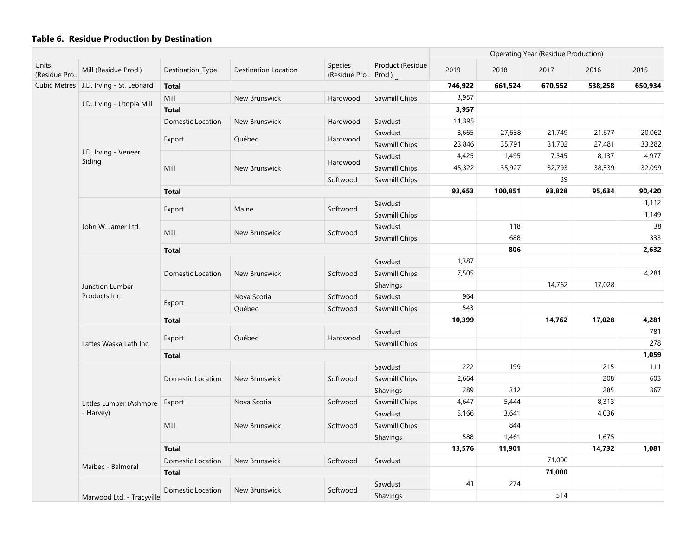|                       |                                          |                   |                      |                                | <b>Operating Year (Residue Production)</b> |         |         |         |         |         |
|-----------------------|------------------------------------------|-------------------|----------------------|--------------------------------|--------------------------------------------|---------|---------|---------|---------|---------|
| Units<br>(Residue Pro | Mill (Residue Prod.)                     | Destination_Type  | Destination Location | Species<br>(Residue Pro Prod.) | Product (Residue                           | 2019    | 2018    | 2017    | 2016    | 2015    |
|                       | Cubic Metres   J.D. Irving - St. Leonard | <b>Total</b>      |                      |                                |                                            | 746,922 | 661,524 | 670,552 | 538,258 | 650,934 |
|                       |                                          | Mill              | New Brunswick        | Hardwood                       | Sawmill Chips                              | 3,957   |         |         |         |         |
|                       | J.D. Irving - Utopia Mill                | <b>Total</b>      |                      |                                |                                            | 3,957   |         |         |         |         |
|                       |                                          | Domestic Location | New Brunswick        | Hardwood                       | Sawdust                                    | 11,395  |         |         |         |         |
|                       |                                          |                   |                      |                                | Sawdust                                    | 8,665   | 27,638  | 21,749  | 21,677  | 20,062  |
|                       |                                          | Export            | Québec               | Hardwood                       | Sawmill Chips                              | 23,846  | 35,791  | 31,702  | 27,481  | 33,282  |
|                       | J.D. Irving - Veneer<br>Siding           |                   |                      |                                | Sawdust                                    | 4,425   | 1,495   | 7,545   | 8,137   | 4,977   |
|                       |                                          | Mill              | New Brunswick        | Hardwood                       | Sawmill Chips                              | 45,322  | 35,927  | 32,793  | 38,339  | 32,099  |
|                       |                                          |                   |                      | Softwood                       | Sawmill Chips                              |         |         | 39      |         |         |
|                       |                                          | <b>Total</b>      |                      |                                |                                            | 93,653  | 100,851 | 93,828  | 95,634  | 90,420  |
|                       |                                          |                   |                      |                                | Sawdust                                    |         |         |         |         | 1,112   |
|                       |                                          | Export            | Maine                | Softwood                       | Sawmill Chips                              |         |         |         |         | 1,149   |
|                       | John W. Jamer Ltd.                       |                   |                      |                                | Sawdust                                    |         | 118     |         |         | 38      |
|                       |                                          | Mill              | New Brunswick        | Softwood                       | Sawmill Chips                              |         | 688     |         |         | 333     |
|                       |                                          | <b>Total</b>      |                      |                                |                                            |         | 806     |         |         | 2,632   |
|                       | Junction Lumber<br>Products Inc.         |                   |                      |                                | Sawdust                                    | 1,387   |         |         |         |         |
|                       |                                          | Domestic Location | New Brunswick        | Softwood                       | Sawmill Chips                              | 7,505   |         |         |         | 4,281   |
|                       |                                          |                   |                      |                                | Shavings                                   |         |         | 14,762  | 17,028  |         |
|                       |                                          |                   | Nova Scotia          | Softwood                       | Sawdust                                    | 964     |         |         |         |         |
|                       |                                          | Export            | Québec               | Softwood                       | Sawmill Chips                              | 543     |         |         |         |         |
|                       |                                          | <b>Total</b>      |                      |                                |                                            | 10,399  |         | 14,762  | 17,028  | 4,281   |
|                       |                                          |                   |                      |                                | Sawdust                                    |         |         |         |         | 781     |
|                       | Lattes Waska Lath Inc.                   | Export            | Québec               | Hardwood                       | Sawmill Chips                              |         |         |         |         | 278     |
|                       |                                          | <b>Total</b>      |                      |                                |                                            |         |         |         |         | 1,059   |
|                       |                                          |                   |                      |                                | Sawdust                                    | 222     | 199     |         | 215     | 111     |
|                       |                                          | Domestic Location | New Brunswick        | Softwood                       | Sawmill Chips                              | 2,664   |         |         | 208     | 603     |
|                       |                                          |                   |                      |                                | Shavings                                   | 289     | 312     |         | 285     | 367     |
|                       | Littles Lumber (Ashmore                  | Export            | Nova Scotia          | Softwood                       | Sawmill Chips                              | 4,647   | 5,444   |         | 8,313   |         |
|                       | - Harvey)                                |                   |                      |                                | Sawdust                                    | 5,166   | 3,641   |         | 4,036   |         |
|                       |                                          | Mill              | New Brunswick        | Softwood                       | Sawmill Chips                              |         | 844     |         |         |         |
|                       |                                          |                   |                      |                                | Shavings                                   | 588     | 1,461   |         | 1,675   |         |
|                       |                                          | <b>Total</b>      |                      |                                |                                            | 13,576  | 11,901  |         | 14,732  | 1,081   |
|                       |                                          | Domestic Location | New Brunswick        | Softwood                       | Sawdust                                    |         |         | 71,000  |         |         |
|                       | Maibec - Balmoral                        | <b>Total</b>      |                      |                                |                                            |         |         | 71,000  |         |         |
|                       |                                          |                   |                      |                                | Sawdust                                    | 41      | 274     |         |         |         |
|                       | Marwood Ltd. - Tracyville                | Domestic Location | New Brunswick        | Softwood                       | Shavings                                   |         |         | 514     |         |         |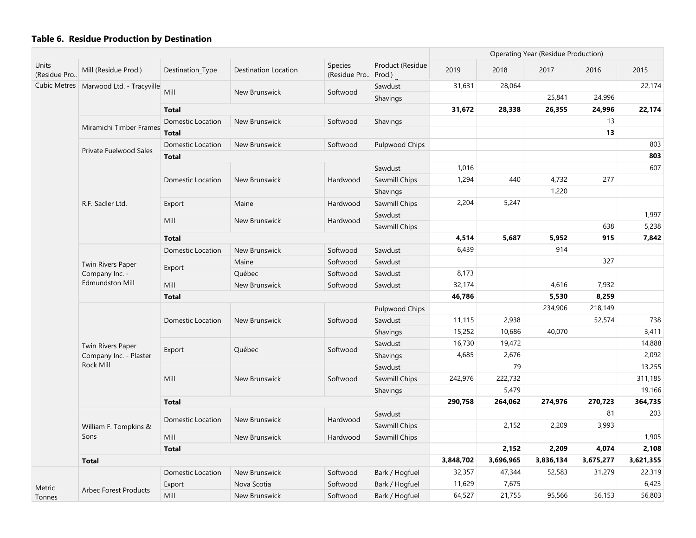|                       |                                          |                          |                      |                                |                            |           |           | Operating Year (Residue Production) |         |         |
|-----------------------|------------------------------------------|--------------------------|----------------------|--------------------------------|----------------------------|-----------|-----------|-------------------------------------|---------|---------|
| Units<br>(Residue Pro | Mill (Residue Prod.)                     | Destination_Type         | Destination Location | <b>Species</b><br>(Residue Pro | Product (Residue<br>Prod.) | 2019      | 2018      | 2017                                | 2016    | 2015    |
|                       | Cubic Metres   Marwood Ltd. - Tracyville |                          |                      |                                | Sawdust                    | 31,631    | 28,064    |                                     |         | 22,174  |
|                       |                                          | Mill                     | New Brunswick        | Softwood                       | Shavings                   |           |           | 25,841                              | 24,996  |         |
|                       |                                          | <b>Total</b>             |                      |                                |                            | 31,672    | 28,338    | 26,355                              | 24,996  | 22,174  |
|                       |                                          | Domestic Location        | New Brunswick        | Softwood                       | Shavings                   |           |           |                                     | 13      |         |
|                       | Miramichi Timber Frames                  | <b>Total</b>             |                      |                                |                            |           |           |                                     | 13      |         |
|                       | <b>Private Fuelwood Sales</b>            | Domestic Location        | New Brunswick        | Softwood                       | Pulpwood Chips             |           |           |                                     |         | 803     |
|                       |                                          | <b>Total</b>             |                      |                                |                            |           |           |                                     |         | 803     |
|                       |                                          |                          |                      |                                | Sawdust                    | 1,016     |           |                                     |         | 607     |
|                       |                                          | Domestic Location        | New Brunswick        | Hardwood                       | Sawmill Chips              | 1,294     | 440       | 4,732                               | 277     |         |
|                       |                                          |                          |                      |                                | Shavings                   |           |           | 1,220                               |         |         |
|                       | R.F. Sadler Ltd.                         | Export                   | Maine                | Hardwood                       | Sawmill Chips              | 2,204     | 5,247     |                                     |         |         |
|                       |                                          |                          |                      |                                | Sawdust                    |           |           |                                     |         | 1,997   |
|                       |                                          | Mill                     | New Brunswick        | Hardwood                       | Sawmill Chips              |           |           |                                     | 638     | 5,238   |
|                       |                                          | <b>Total</b>             |                      |                                |                            | 4,514     | 5,687     | 5,952                               | 915     | 7,842   |
|                       |                                          | <b>Domestic Location</b> | New Brunswick        | Softwood                       | Sawdust                    | 6,439     |           | 914                                 |         |         |
|                       | Twin Rivers Paper                        |                          | Maine                | Softwood                       | Sawdust                    |           |           |                                     | 327     |         |
|                       | Company Inc. -<br><b>Edmundston Mill</b> | Export                   | Québec               | Softwood                       | Sawdust                    | 8,173     |           |                                     |         |         |
|                       |                                          | Mill                     | New Brunswick        | Softwood                       | Sawdust                    | 32,174    |           | 4,616                               | 7,932   |         |
|                       |                                          | <b>Total</b>             |                      | 46,786                         |                            | 5,530     | 8,259     |                                     |         |         |
|                       |                                          |                          | New Brunswick        |                                | Pulpwood Chips             |           |           | 234,906                             | 218,149 |         |
|                       |                                          | Domestic Location        |                      | Softwood                       | Sawdust                    | 11,115    | 2,938     |                                     | 52,574  | 738     |
|                       |                                          |                          |                      |                                | Shavings                   | 15,252    | 10,686    | 40,070                              |         | 3,411   |
|                       | Twin Rivers Paper                        |                          |                      |                                | Sawdust                    | 16,730    | 19,472    |                                     |         | 14,888  |
|                       | Company Inc. - Plaster                   | Export                   | Québec               | Softwood                       | Shavings                   | 4,685     | 2,676     |                                     |         | 2,092   |
|                       | <b>Rock Mill</b>                         |                          |                      |                                | Sawdust                    |           | 79        |                                     |         | 13,255  |
|                       |                                          | Mill                     | New Brunswick        | Softwood                       | Sawmill Chips              | 242,976   | 222,732   |                                     |         | 311,185 |
|                       |                                          |                          |                      |                                | Shavings                   |           | 5,479     |                                     |         | 19,166  |
|                       |                                          | <b>Total</b>             |                      |                                |                            | 290,758   | 264,062   | 274,976                             | 270,723 | 364,735 |
|                       |                                          |                          |                      |                                | Sawdust                    |           |           |                                     | 81      | 203     |
|                       | William F. Tompkins &                    | <b>Domestic Location</b> | New Brunswick        | Hardwood                       | Sawmill Chips              |           | 2,152     | 2,209                               | 3,993   |         |
|                       | Sons                                     | Mill                     | New Brunswick        | Hardwood                       | Sawmill Chips              |           |           |                                     |         | 1,905   |
|                       |                                          | <b>Total</b>             |                      |                                |                            |           | 2,152     | 2,209                               | 4,074   | 2,108   |
|                       | <b>Total</b>                             |                          |                      | 3,848,702                      | 3,696,965                  | 3,836,134 | 3,675,277 | 3,621,355                           |         |         |
|                       |                                          | <b>Domestic Location</b> | New Brunswick        | Softwood                       | Bark / Hogfuel             | 32,357    | 47,344    | 52,583                              | 31,279  | 22,319  |
| Metric                |                                          | Export                   | Nova Scotia          | Softwood                       | Bark / Hogfuel             | 11,629    | 7,675     |                                     |         | 6,423   |
| Tonnes                | <b>Arbec Forest Products</b>             | Mill                     | New Brunswick        | Softwood                       | Bark / Hogfuel             | 64,527    | 21,755    | 95,566                              | 56,153  | 56,803  |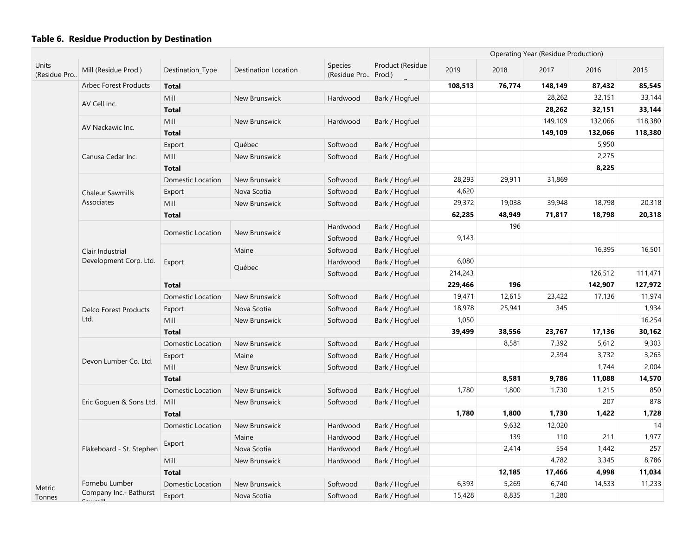|                       |                                    |                          |                      |                                       |                  |         |        | Operating Year (Residue Production) |         |         |
|-----------------------|------------------------------------|--------------------------|----------------------|---------------------------------------|------------------|---------|--------|-------------------------------------|---------|---------|
| Units<br>(Residue Pro | Mill (Residue Prod.)               | Destination_Type         | Destination Location | <b>Species</b><br>(Residue Pro Prod.) | Product (Residue | 2019    | 2018   | 2017                                | 2016    | 2015    |
|                       | <b>Arbec Forest Products</b>       | <b>Total</b>             |                      |                                       |                  | 108,513 | 76,774 | 148,149                             | 87,432  | 85,545  |
|                       |                                    | Mill                     | New Brunswick        | Hardwood                              | Bark / Hogfuel   |         |        | 28,262                              | 32,151  | 33,144  |
|                       | AV Cell Inc.                       | <b>Total</b>             |                      |                                       |                  |         |        | 28,262                              | 32,151  | 33,144  |
|                       | AV Nackawic Inc.                   | Mill                     | New Brunswick        | Hardwood                              | Bark / Hogfuel   |         |        | 149,109                             | 132,066 | 118,380 |
|                       |                                    | <b>Total</b>             |                      |                                       |                  |         |        | 149,109                             | 132,066 | 118,380 |
|                       |                                    | Export                   | Québec               | Softwood                              | Bark / Hogfuel   |         |        |                                     | 5,950   |         |
|                       | Canusa Cedar Inc.                  | Mill                     | New Brunswick        | Softwood                              | Bark / Hogfuel   |         |        |                                     | 2,275   |         |
|                       |                                    | <b>Total</b>             |                      |                                       |                  |         |        |                                     | 8,225   |         |
|                       |                                    | <b>Domestic Location</b> | New Brunswick        | Softwood                              | Bark / Hogfuel   | 28,293  | 29,911 | 31,869                              |         |         |
|                       | <b>Chaleur Sawmills</b>            | Export                   | Nova Scotia          | Softwood                              | Bark / Hogfuel   | 4,620   |        |                                     |         |         |
|                       | Associates                         | Mill                     | New Brunswick        | Softwood                              | Bark / Hogfuel   | 29,372  | 19,038 | 39,948                              | 18,798  | 20,318  |
|                       |                                    | <b>Total</b>             |                      |                                       |                  | 62,285  | 48,949 | 71,817                              | 18,798  | 20,318  |
|                       |                                    | Domestic Location        | New Brunswick        | Hardwood                              | Bark / Hogfuel   |         | 196    |                                     |         |         |
|                       |                                    |                          |                      | Softwood                              | Bark / Hogfuel   | 9,143   |        |                                     |         |         |
|                       | Clair Industrial                   |                          | Maine                | Softwood                              | Bark / Hogfuel   |         |        |                                     | 16,395  | 16,501  |
|                       | Development Corp. Ltd.             | Export                   | Québec               | Hardwood                              | Bark / Hogfuel   | 6,080   |        |                                     |         |         |
|                       |                                    |                          |                      | Softwood                              | Bark / Hogfuel   | 214,243 |        |                                     | 126,512 | 111,471 |
|                       |                                    | <b>Total</b>             |                      |                                       |                  | 229,466 | 196    |                                     | 142,907 | 127,972 |
|                       |                                    | Domestic Location        | New Brunswick        | Softwood                              | Bark / Hogfuel   | 19,471  | 12,615 | 23,422                              | 17,136  | 11,974  |
|                       | <b>Delco Forest Products</b>       | Export                   | Nova Scotia          | Softwood                              | Bark / Hogfuel   | 18,978  | 25,941 | 345                                 |         | 1,934   |
|                       | Ltd.                               | Mill                     | New Brunswick        | Softwood                              | Bark / Hogfuel   | 1,050   |        |                                     |         | 16,254  |
|                       |                                    | <b>Total</b>             |                      |                                       |                  | 39,499  | 38,556 | 23,767                              | 17,136  | 30,162  |
|                       |                                    | Domestic Location        | New Brunswick        | Softwood                              | Bark / Hogfuel   |         | 8,581  | 7,392                               | 5,612   | 9,303   |
|                       | Devon Lumber Co. Ltd.              | Export                   | Maine                | Softwood                              | Bark / Hogfuel   |         |        | 2,394                               | 3,732   | 3,263   |
|                       |                                    | Mill                     | New Brunswick        | Softwood                              | Bark / Hogfuel   |         |        |                                     | 1,744   | 2,004   |
|                       |                                    | <b>Total</b>             |                      |                                       |                  |         | 8,581  | 9,786                               | 11,088  | 14,570  |
|                       |                                    | Domestic Location        | New Brunswick        | Softwood                              | Bark / Hogfuel   | 1,780   | 1,800  | 1,730                               | 1,215   | 850     |
|                       | Eric Goguen & Sons Ltd.            | Mill                     | New Brunswick        | Softwood                              | Bark / Hogfuel   |         |        |                                     | 207     | 878     |
|                       |                                    | <b>Total</b>             |                      |                                       |                  | 1,780   | 1,800  | 1,730                               | 1,422   | 1,728   |
|                       |                                    | Domestic Location        | New Brunswick        | Hardwood                              | Bark / Hogfuel   |         | 9,632  | 12,020                              |         | 14      |
|                       |                                    | Export                   | Maine                | Hardwood                              | Bark / Hogfuel   |         | 139    | 110                                 | 211     | 1,977   |
|                       | Flakeboard - St. Stephen           |                          | Nova Scotia          | Hardwood                              | Bark / Hogfuel   |         | 2,414  | 554                                 | 1,442   | 257     |
|                       |                                    | Mill                     | New Brunswick        | Hardwood                              | Bark / Hogfuel   |         |        | 4,782                               | 3,345   | 8,786   |
|                       |                                    | <b>Total</b>             |                      |                                       |                  |         | 12,185 | 17,466                              | 4,998   | 11,034  |
| Metric                | Fornebu Lumber                     | Domestic Location        | New Brunswick        | Softwood                              | Bark / Hogfuel   | 6,393   | 5,269  | 6,740                               | 14,533  | 11,233  |
| Tonnes                | Company Inc.- Bathurst<br>Countill | Export                   | Nova Scotia          | Softwood                              | Bark / Hogfuel   | 15,428  | 8,835  | 1,280                               |         |         |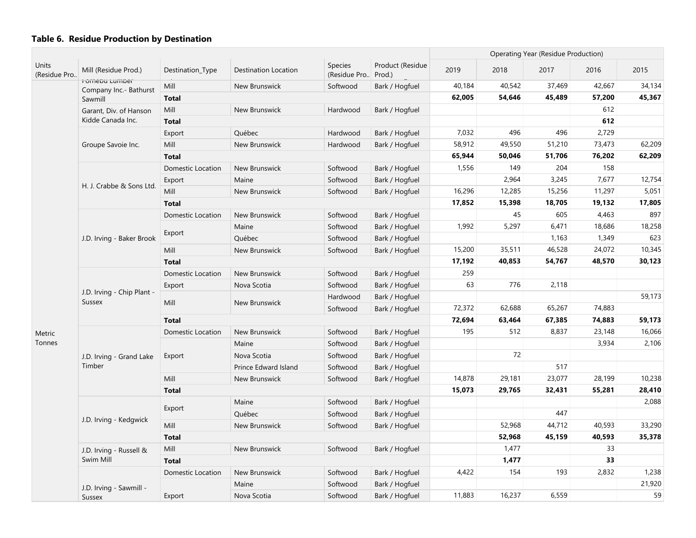|                       |                                          |                          |                      |                                |                            |        |        | <b>Operating Year (Residue Production)</b> |        |        |
|-----------------------|------------------------------------------|--------------------------|----------------------|--------------------------------|----------------------------|--------|--------|--------------------------------------------|--------|--------|
| Units<br>(Residue Pro | Mill (Residue Prod.)                     | Destination_Type         | Destination Location | <b>Species</b><br>(Residue Pro | Product (Residue<br>Prod.) | 2019   | 2018   | 2017                                       | 2016   | 2015   |
|                       | Fornebu Lumber<br>Company Inc.- Bathurst | Mill                     | New Brunswick        | Softwood                       | Bark / Hogfuel             | 40,184 | 40,542 | 37,469                                     | 42,667 | 34,134 |
|                       | Sawmill                                  | <b>Total</b>             |                      |                                |                            | 62,005 | 54,646 | 45,489                                     | 57,200 | 45,367 |
|                       | Garant, Div. of Hanson                   | Mill                     | New Brunswick        | Hardwood                       | Bark / Hogfuel             |        |        |                                            | 612    |        |
|                       | Kidde Canada Inc.                        | <b>Total</b>             |                      |                                |                            |        |        |                                            | 612    |        |
|                       |                                          | Export                   | Québec               | Hardwood                       | Bark / Hogfuel             | 7,032  | 496    | 496                                        | 2,729  |        |
|                       | Groupe Savoie Inc.                       | Mill                     | New Brunswick        | Hardwood                       | Bark / Hogfuel             | 58,912 | 49,550 | 51,210                                     | 73,473 | 62,209 |
|                       |                                          | <b>Total</b>             |                      |                                |                            | 65,944 | 50,046 | 51,706                                     | 76,202 | 62,209 |
|                       |                                          | <b>Domestic Location</b> | New Brunswick        | Softwood                       | Bark / Hogfuel             | 1,556  | 149    | 204                                        | 158    |        |
|                       |                                          | Export                   | Maine                | Softwood                       | Bark / Hogfuel             |        | 2,964  | 3,245                                      | 7,677  | 12,754 |
|                       | H. J. Crabbe & Sons Ltd.                 | Mill                     | New Brunswick        | Softwood                       | Bark / Hogfuel             | 16,296 | 12,285 | 15,256                                     | 11,297 | 5,051  |
|                       |                                          | <b>Total</b>             |                      |                                |                            | 17,852 | 15,398 | 18,705                                     | 19,132 | 17,805 |
|                       |                                          | <b>Domestic Location</b> | New Brunswick        | Softwood                       | Bark / Hogfuel             |        | 45     | 605                                        | 4,463  | 897    |
|                       |                                          |                          | Maine                | Softwood                       | Bark / Hogfuel             | 1,992  | 5,297  | 6,471                                      | 18,686 | 18,258 |
|                       | J.D. Irving - Baker Brook                | Export                   | Québec               | Softwood                       | Bark / Hogfuel             |        |        | 1,163                                      | 1,349  | 623    |
|                       |                                          | Mill                     | New Brunswick        | Softwood                       | Bark / Hogfuel             | 15,200 | 35,511 | 46,528                                     | 24,072 | 10,345 |
|                       |                                          | <b>Total</b>             |                      |                                |                            | 17,192 | 40,853 | 54,767                                     | 48,570 | 30,123 |
|                       |                                          | Domestic Location        | New Brunswick        | Softwood                       | Bark / Hogfuel             | 259    |        |                                            |        |        |
|                       |                                          | Export                   | Nova Scotia          | Softwood                       | Bark / Hogfuel             | 63     | 776    | 2,118                                      |        |        |
|                       | J.D. Irving - Chip Plant -<br>Sussex     | Mill                     | New Brunswick        | Hardwood                       | Bark / Hogfuel             |        |        |                                            |        | 59,173 |
|                       |                                          |                          |                      | Softwood                       | Bark / Hogfuel             | 72,372 | 62,688 | 65,267                                     | 74,883 |        |
|                       |                                          | <b>Total</b>             |                      |                                |                            | 72,694 | 63,464 | 67,385                                     | 74,883 | 59,173 |
| Metric                |                                          | Domestic Location        | New Brunswick        | Softwood                       | Bark / Hogfuel             | 195    | 512    | 8,837                                      | 23,148 | 16,066 |
| Tonnes                |                                          |                          | Maine                | Softwood                       | Bark / Hogfuel             |        |        |                                            | 3,934  | 2,106  |
|                       | J.D. Irving - Grand Lake                 | Export                   | Nova Scotia          | Softwood                       | Bark / Hogfuel             |        | 72     |                                            |        |        |
|                       | Timber                                   |                          | Prince Edward Island | Softwood                       | Bark / Hogfuel             |        |        | 517                                        |        |        |
|                       |                                          | Mill                     | New Brunswick        | Softwood                       | Bark / Hogfuel             | 14,878 | 29,181 | 23,077                                     | 28,199 | 10,238 |
|                       |                                          | <b>Total</b>             |                      |                                |                            | 15,073 | 29,765 | 32,431                                     | 55,281 | 28,410 |
|                       |                                          |                          | Maine                | Softwood                       | Bark / Hogfuel             |        |        |                                            |        | 2,088  |
|                       | J.D. Irving - Kedgwick                   | Export                   | Québec               | Softwood                       | Bark / Hogfuel             |        |        | 447                                        |        |        |
|                       |                                          | Mill                     | New Brunswick        | Softwood                       | Bark / Hogfuel             |        | 52,968 | 44,712                                     | 40,593 | 33,290 |
|                       |                                          | <b>Total</b>             |                      |                                |                            |        | 52,968 | 45,159                                     | 40,593 | 35,378 |
|                       | J.D. Irving - Russell &                  | Mill                     | New Brunswick        | Softwood                       | Bark / Hogfuel             |        | 1,477  |                                            | 33     |        |
|                       | Swim Mill                                | <b>Total</b>             |                      |                                |                            |        | 1,477  |                                            | 33     |        |
|                       |                                          | <b>Domestic Location</b> | New Brunswick        | Softwood                       | Bark / Hogfuel             | 4,422  | 154    | 193                                        | 2,832  | 1,238  |
|                       | J.D. Irving - Sawmill -                  |                          | Maine                | Softwood                       | Bark / Hogfuel             |        |        |                                            |        | 21,920 |
|                       | Sussex                                   | Export                   | Nova Scotia          | Softwood                       | Bark / Hogfuel             | 11,883 | 16,237 | 6,559                                      |        | 59     |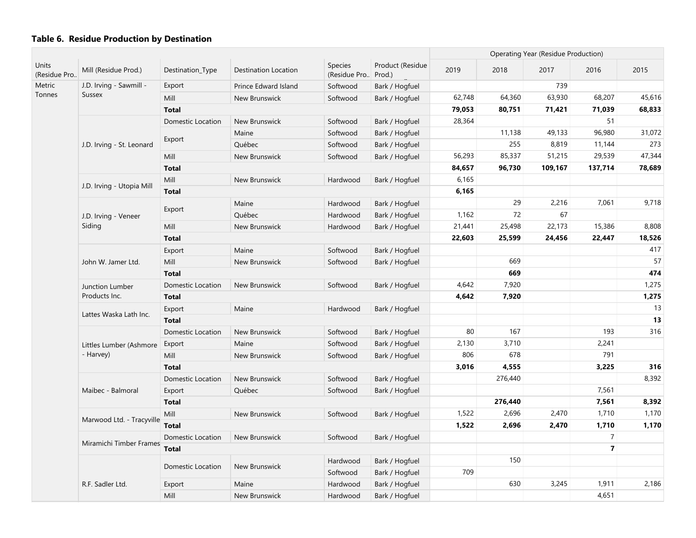|                              |                           |                          |                      | Operating Year (Residue Production) |                            |        |         |         |                |        |
|------------------------------|---------------------------|--------------------------|----------------------|-------------------------------------|----------------------------|--------|---------|---------|----------------|--------|
| <b>Units</b><br>(Residue Pro | Mill (Residue Prod.)      | Destination_Type         | Destination Location | Species<br>(Residue Pro             | Product (Residue<br>Prod.) | 2019   | 2018    | 2017    | 2016           | 2015   |
| Metric                       | J.D. Irving - Sawmill -   | Export                   | Prince Edward Island | Softwood                            | Bark / Hogfuel             |        |         | 739     |                |        |
| Tonnes                       | <b>Sussex</b>             | Mill                     | New Brunswick        | Softwood                            | Bark / Hogfuel             | 62,748 | 64,360  | 63,930  | 68,207         | 45,616 |
|                              |                           | <b>Total</b>             |                      |                                     |                            | 79,053 | 80,751  | 71,421  | 71,039         | 68,833 |
|                              |                           | <b>Domestic Location</b> | New Brunswick        | Softwood                            | Bark / Hogfuel             | 28,364 |         |         | 51             |        |
|                              |                           |                          | Maine                | Softwood                            | Bark / Hogfuel             |        | 11,138  | 49,133  | 96,980         | 31,072 |
|                              | J.D. Irving - St. Leonard | Export                   | Québec               | Softwood                            | Bark / Hogfuel             |        | 255     | 8,819   | 11,144         | 273    |
|                              |                           | Mill                     | New Brunswick        | Softwood                            | Bark / Hogfuel             | 56,293 | 85,337  | 51,215  | 29,539         | 47,344 |
|                              |                           | <b>Total</b>             |                      |                                     |                            | 84,657 | 96,730  | 109,167 | 137,714        | 78,689 |
|                              |                           | Mill                     | New Brunswick        | Hardwood                            | Bark / Hogfuel             | 6,165  |         |         |                |        |
|                              | J.D. Irving - Utopia Mill | <b>Total</b>             |                      |                                     |                            | 6,165  |         |         |                |        |
|                              |                           |                          | Maine                | Hardwood                            | Bark / Hogfuel             |        | 29      | 2,216   | 7,061          | 9,718  |
|                              | J.D. Irving - Veneer      | Export                   | Québec               | Hardwood                            | Bark / Hogfuel             | 1,162  | 72      | 67      |                |        |
|                              | Siding                    | Mill                     | New Brunswick        | Hardwood                            | Bark / Hogfuel             | 21,441 | 25,498  | 22,173  | 15,386         | 8,808  |
|                              |                           | <b>Total</b>             |                      |                                     |                            | 22,603 | 25,599  | 24,456  | 22,447         | 18,526 |
|                              |                           | Export                   | Maine                | Softwood                            | Bark / Hogfuel             |        |         |         |                | 417    |
|                              | John W. Jamer Ltd.        | Mill                     | New Brunswick        | Softwood                            | Bark / Hogfuel             |        | 669     |         |                | 57     |
|                              |                           | <b>Total</b>             |                      |                                     |                            |        | 669     |         |                | 474    |
|                              | Junction Lumber           | <b>Domestic Location</b> | New Brunswick        | Softwood                            | Bark / Hogfuel             | 4,642  | 7,920   |         |                | 1,275  |
|                              | Products Inc.             | <b>Total</b>             |                      |                                     |                            | 4,642  | 7,920   |         |                | 1,275  |
|                              |                           | Export                   | Maine                | Hardwood                            | Bark / Hogfuel             |        |         |         |                | 13     |
|                              | Lattes Waska Lath Inc.    | <b>Total</b>             |                      |                                     |                            |        |         |         |                | 13     |
|                              |                           | <b>Domestic Location</b> | New Brunswick        | Softwood                            | Bark / Hogfuel             | 80     | 167     |         | 193            | 316    |
|                              | Littles Lumber (Ashmore   | Export                   | Maine                | Softwood                            | Bark / Hogfuel             | 2,130  | 3,710   |         | 2,241          |        |
|                              | - Harvey)                 | Mill                     | New Brunswick        | Softwood                            | Bark / Hogfuel             | 806    | 678     |         | 791            |        |
|                              |                           | <b>Total</b>             |                      |                                     |                            | 3,016  | 4,555   |         | 3,225          | 316    |
|                              |                           | Domestic Location        | New Brunswick        | Softwood                            | Bark / Hogfuel             |        | 276,440 |         |                | 8,392  |
|                              | Maibec - Balmoral         | Export                   | Québec               | Softwood                            | Bark / Hogfuel             |        |         |         | 7,561          |        |
|                              |                           | <b>Total</b>             |                      |                                     |                            |        | 276,440 |         | 7,561          | 8,392  |
|                              |                           | Mill                     | New Brunswick        | Softwood                            | Bark / Hogfuel             | 1,522  | 2,696   | 2,470   | 1,710          | 1,170  |
|                              | Marwood Ltd. - Tracyville | Total                    |                      |                                     |                            | 1,522  | 2,696   | 2,470   | 1,710          | 1,170  |
|                              |                           | Domestic Location        | New Brunswick        | Softwood                            | Bark / Hogfuel             |        |         |         | $\overline{7}$ |        |
|                              | Miramichi Timber Frames   | <b>Total</b>             |                      |                                     |                            |        |         |         | $\bf 7$        |        |
|                              |                           |                          |                      | Hardwood                            | Bark / Hogfuel             |        | 150     |         |                |        |
|                              |                           | Domestic Location        | New Brunswick        | Softwood                            | Bark / Hogfuel             | 709    |         |         |                |        |
|                              | R.F. Sadler Ltd.          | Export                   | Maine                | Hardwood                            | Bark / Hogfuel             |        | 630     | 3,245   | 1,911          | 2,186  |
|                              |                           | Mill                     | New Brunswick        | Hardwood                            | Bark / Hogfuel             |        |         |         | 4,651          |        |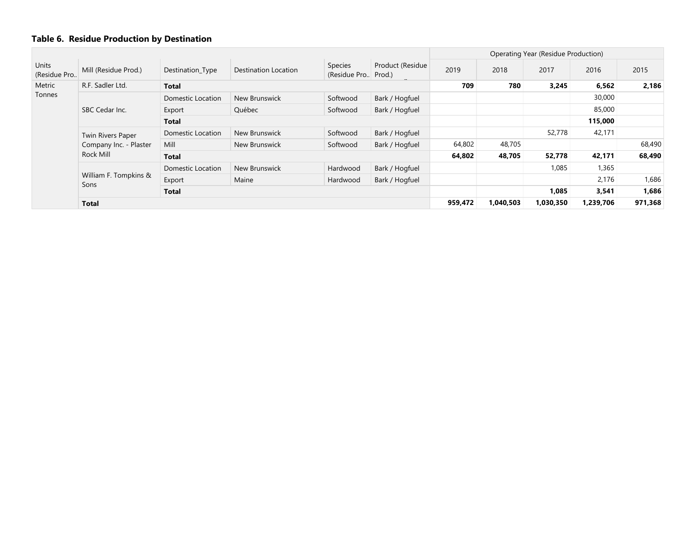|                       |                               |                   |                      |                                  |                  |         |           | Operating Year (Residue Production) |           |         |
|-----------------------|-------------------------------|-------------------|----------------------|----------------------------------|------------------|---------|-----------|-------------------------------------|-----------|---------|
| Units<br>(Residue Pro | Mill (Residue Prod.)          | Destination_Type  | Destination Location | Species<br>(Residue Pro., Prod.) | Product (Residue | 2019    | 2018      | 2017                                | 2016      | 2015    |
| Metric                | R.F. Sadler Ltd.              | <b>Total</b>      |                      |                                  |                  | 709     | 780       | 3,245                               | 6,562     | 2,186   |
| Tonnes                |                               | Domestic Location | New Brunswick        | Softwood                         | Bark / Hogfuel   |         |           |                                     | 30,000    |         |
|                       | SBC Cedar Inc.                | Export            | Québec               | Softwood                         | Bark / Hogfuel   |         |           |                                     | 85,000    |         |
|                       |                               | <b>Total</b>      |                      |                                  |                  |         |           |                                     | 115,000   |         |
|                       | Twin Rivers Paper             | Domestic Location | New Brunswick        | Softwood                         | Bark / Hogfuel   |         |           | 52,778                              | 42,171    |         |
|                       | Company Inc. - Plaster        | Mill              | New Brunswick        | Softwood                         | Bark / Hogfuel   | 64,802  | 48,705    |                                     |           | 68,490  |
|                       | Rock Mill                     | Total             |                      |                                  |                  |         | 48,705    | 52,778                              | 42,171    | 68,490  |
|                       |                               | Domestic Location | New Brunswick        | Hardwood                         | Bark / Hogfuel   |         |           | 1,085                               | 1,365     |         |
|                       | William F. Tompkins &<br>Sons | Export            | Maine                | Hardwood                         | Bark / Hogfuel   |         |           |                                     | 2,176     | 1,686   |
|                       |                               | <b>Total</b>      |                      |                                  |                  |         |           | 1,085                               | 3,541     | 1,686   |
|                       | <b>Total</b>                  |                   |                      |                                  |                  | 959,472 | 1,040,503 | 1,030,350                           | 1,239,706 | 971,368 |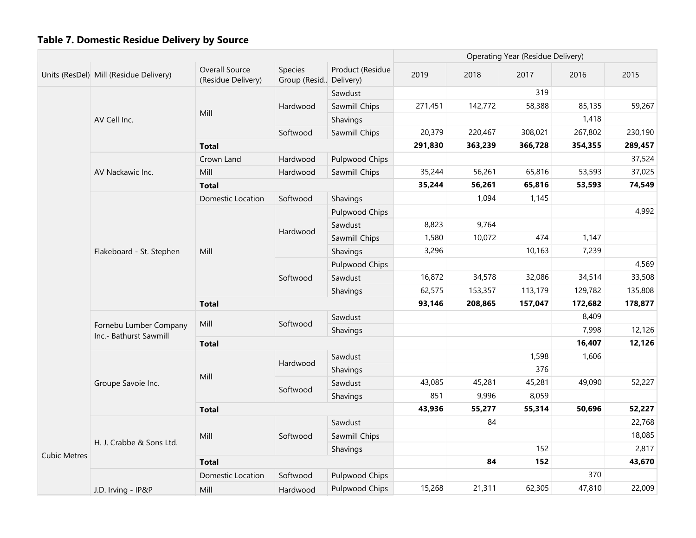|                     |                                                  |                                      |                                     |                  | Operating Year (Residue Delivery) |         |         |         |         |
|---------------------|--------------------------------------------------|--------------------------------------|-------------------------------------|------------------|-----------------------------------|---------|---------|---------|---------|
|                     | Units (ResDel) Mill (Residue Delivery)           | Overall Source<br>(Residue Delivery) | Species<br>Group (Resid., Delivery) | Product (Residue | 2019                              | 2018    | 2017    | 2016    | 2015    |
|                     |                                                  |                                      |                                     | Sawdust          |                                   |         | 319     |         |         |
|                     |                                                  |                                      | Hardwood                            | Sawmill Chips    | 271,451                           | 142,772 | 58,388  | 85,135  | 59,267  |
|                     | AV Cell Inc.                                     | Mill                                 |                                     | Shavings         |                                   |         |         | 1,418   |         |
|                     |                                                  |                                      | Softwood                            | Sawmill Chips    | 20,379                            | 220,467 | 308,021 | 267,802 | 230,190 |
|                     |                                                  | <b>Total</b>                         |                                     |                  | 291,830                           | 363,239 | 366,728 | 354,355 | 289,457 |
|                     |                                                  | Crown Land                           | Hardwood                            | Pulpwood Chips   |                                   |         |         |         | 37,524  |
|                     | AV Nackawic Inc.                                 | Mill                                 | Hardwood                            | Sawmill Chips    | 35,244                            | 56,261  | 65,816  | 53,593  | 37,025  |
|                     |                                                  | <b>Total</b>                         |                                     |                  | 35,244                            | 56,261  | 65,816  | 53,593  | 74,549  |
|                     |                                                  | Domestic Location                    | Softwood                            | Shavings         |                                   | 1,094   | 1,145   |         |         |
|                     |                                                  |                                      |                                     | Pulpwood Chips   |                                   |         |         |         | 4,992   |
|                     |                                                  |                                      |                                     | Sawdust          | 8,823                             | 9,764   |         |         |         |
|                     |                                                  |                                      | Hardwood                            | Sawmill Chips    | 1,580                             | 10,072  | 474     | 1,147   |         |
|                     | Flakeboard - St. Stephen                         | Mill                                 |                                     | Shavings         | 3,296                             |         | 10,163  | 7,239   |         |
|                     |                                                  |                                      |                                     | Pulpwood Chips   |                                   |         |         |         | 4,569   |
|                     |                                                  |                                      | Softwood                            | Sawdust          | 16,872                            | 34,578  | 32,086  | 34,514  | 33,508  |
|                     |                                                  |                                      |                                     | Shavings         | 62,575                            | 153,357 | 113,179 | 129,782 | 135,808 |
|                     |                                                  | <b>Total</b>                         |                                     |                  | 93,146                            | 208,865 | 157,047 | 172,682 | 178,877 |
|                     |                                                  | Mill                                 | Softwood                            | Sawdust          |                                   |         |         | 8,409   |         |
|                     | Fornebu Lumber Company<br>Inc.- Bathurst Sawmill |                                      |                                     | Shavings         |                                   |         |         | 7,998   | 12,126  |
|                     |                                                  | <b>Total</b>                         |                                     |                  |                                   |         |         | 16,407  | 12,126  |
|                     |                                                  |                                      | Hardwood                            | Sawdust          |                                   |         | 1,598   | 1,606   |         |
|                     |                                                  | Mill                                 |                                     | Shavings         |                                   |         | 376     |         |         |
|                     | Groupe Savoie Inc.                               |                                      | Softwood                            | Sawdust          | 43,085                            | 45,281  | 45,281  | 49,090  | 52,227  |
|                     |                                                  |                                      |                                     | Shavings         | 851                               | 9,996   | 8,059   |         |         |
|                     |                                                  | <b>Total</b>                         |                                     |                  | 43,936                            | 55,277  | 55,314  | 50,696  | 52,227  |
|                     |                                                  |                                      |                                     | Sawdust          |                                   | 84      |         |         | 22,768  |
|                     | H. J. Crabbe & Sons Ltd.                         | Mill                                 | Softwood                            | Sawmill Chips    |                                   |         |         |         | 18,085  |
| <b>Cubic Metres</b> |                                                  |                                      |                                     | Shavings         |                                   |         | 152     |         | 2,817   |
|                     |                                                  | <b>Total</b>                         |                                     |                  |                                   | 84      | 152     |         | 43,670  |
|                     |                                                  | Domestic Location                    | Softwood                            | Pulpwood Chips   |                                   |         |         | 370     |         |
|                     | J.D. Irving - IP&P                               | Mill                                 | Hardwood                            | Pulpwood Chips   | 15,268                            | 21,311  | 62,305  | 47,810  | 22,009  |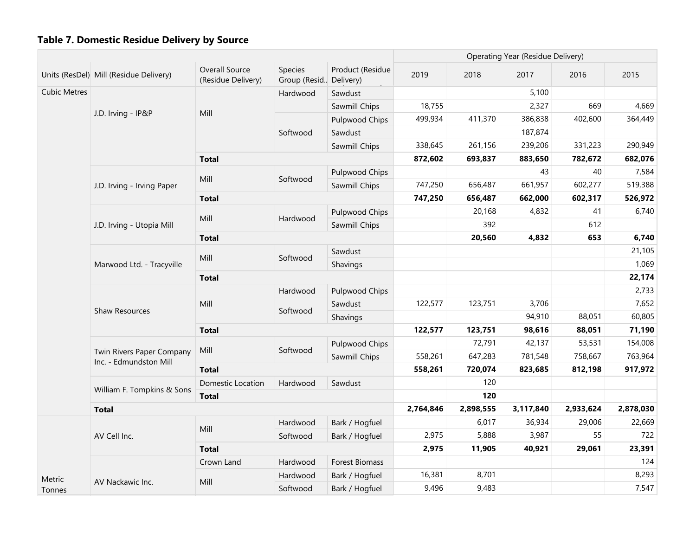|                     |                                                     |                                      |                                   |                       |           |           | Operating Year (Residue Delivery) |           |           |
|---------------------|-----------------------------------------------------|--------------------------------------|-----------------------------------|-----------------------|-----------|-----------|-----------------------------------|-----------|-----------|
|                     | Units (ResDel) Mill (Residue Delivery)              | Overall Source<br>(Residue Delivery) | Species<br>Group (Resid Delivery) | Product (Residue      | 2019      | 2018      | 2017                              | 2016      | 2015      |
| <b>Cubic Metres</b> |                                                     |                                      | Hardwood                          | Sawdust               |           |           | 5,100                             |           |           |
|                     |                                                     |                                      |                                   | Sawmill Chips         | 18,755    |           | 2,327                             | 669       | 4,669     |
|                     | J.D. Irving - IP&P                                  | Mill                                 |                                   | Pulpwood Chips        | 499,934   | 411,370   | 386,838                           | 402,600   | 364,449   |
|                     |                                                     |                                      | Softwood                          | Sawdust               |           |           | 187,874                           |           |           |
|                     |                                                     |                                      |                                   | Sawmill Chips         | 338,645   | 261,156   | 239,206                           | 331,223   | 290,949   |
|                     |                                                     | <b>Total</b>                         |                                   |                       | 872,602   | 693,837   | 883,650                           | 782,672   | 682,076   |
|                     |                                                     |                                      |                                   | Pulpwood Chips        |           |           | 43                                | 40        | 7,584     |
|                     | J.D. Irving - Irving Paper                          | Mill                                 | Softwood                          | Sawmill Chips         | 747,250   | 656,487   | 661,957                           | 602,277   | 519,388   |
|                     |                                                     | <b>Total</b>                         |                                   |                       | 747,250   | 656,487   | 662,000                           | 602,317   | 526,972   |
|                     |                                                     |                                      |                                   | Pulpwood Chips        |           | 20,168    | 4,832                             | 41        | 6,740     |
|                     | J.D. Irving - Utopia Mill                           | Mill                                 | Hardwood                          | Sawmill Chips         |           | 392       |                                   | 612       |           |
|                     |                                                     | <b>Total</b>                         |                                   |                       |           | 20,560    | 4,832                             | 653       | 6,740     |
|                     |                                                     |                                      |                                   | Sawdust               |           |           |                                   |           | 21,105    |
|                     | Marwood Ltd. - Tracyville                           | Mill                                 | Softwood                          | Shavings              |           |           |                                   |           | 1,069     |
|                     |                                                     | <b>Total</b>                         |                                   |                       |           |           |                                   |           | 22,174    |
|                     |                                                     |                                      | Hardwood                          | Pulpwood Chips        |           |           |                                   |           | 2,733     |
|                     |                                                     | Mill                                 |                                   | Sawdust               | 122,577   | 123,751   | 3,706                             |           | 7,652     |
|                     | Shaw Resources                                      |                                      | Softwood                          | Shavings              |           |           | 94,910                            | 88,051    | 60,805    |
|                     |                                                     | <b>Total</b>                         |                                   |                       | 122,577   | 123,751   | 98,616                            | 88,051    | 71,190    |
|                     |                                                     |                                      |                                   | Pulpwood Chips        |           | 72,791    | 42,137                            | 53,531    | 154,008   |
|                     | Twin Rivers Paper Company<br>Inc. - Edmundston Mill | Mill                                 | Softwood                          | Sawmill Chips         | 558,261   | 647,283   | 781,548                           | 758,667   | 763,964   |
|                     |                                                     | <b>Total</b>                         |                                   |                       | 558,261   | 720,074   | 823,685                           | 812,198   | 917,972   |
|                     |                                                     | Domestic Location                    | Hardwood                          | Sawdust               |           | 120       |                                   |           |           |
|                     | William F. Tompkins & Sons                          | <b>Total</b>                         |                                   |                       |           | 120       |                                   |           |           |
|                     | <b>Total</b>                                        |                                      |                                   |                       | 2,764,846 | 2,898,555 | 3,117,840                         | 2,933,624 | 2,878,030 |
|                     |                                                     |                                      | Hardwood                          | Bark / Hogfuel        |           | 6,017     | 36,934                            | 29,006    | 22,669    |
|                     | AV Cell Inc.                                        | Mill                                 | Softwood                          | Bark / Hogfuel        | 2,975     | 5,888     | 3,987                             | 55        | 722       |
|                     |                                                     | <b>Total</b>                         |                                   |                       | 2,975     | 11,905    | 40,921                            | 29,061    | 23,391    |
|                     |                                                     | Crown Land                           | Hardwood                          | <b>Forest Biomass</b> |           |           |                                   |           | 124       |
| Metric              |                                                     |                                      | Hardwood                          | Bark / Hogfuel        | 16,381    | 8,701     |                                   |           | 8,293     |
| Tonnes              | AV Nackawic Inc.                                    | Mill                                 | Softwood                          | Bark / Hogfuel        | 9,496     | 9,483     |                                   |           | 7,547     |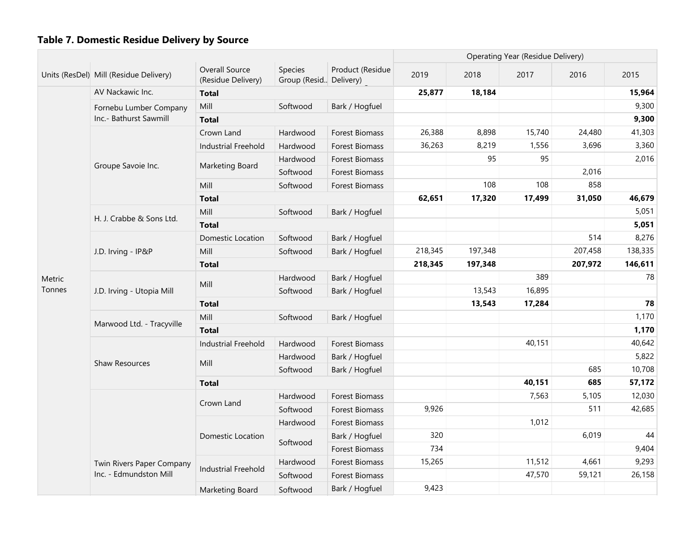|        |                                        |                                      |                                   |                       | Operating Year (Residue Delivery) |         |        |         |         |
|--------|----------------------------------------|--------------------------------------|-----------------------------------|-----------------------|-----------------------------------|---------|--------|---------|---------|
|        | Units (ResDel) Mill (Residue Delivery) | Overall Source<br>(Residue Delivery) | Species<br>Group (Resid Delivery) | Product (Residue      | 2019                              | 2018    | 2017   | 2016    | 2015    |
|        | AV Nackawic Inc.                       | <b>Total</b>                         |                                   |                       | 25,877                            | 18,184  |        |         | 15,964  |
|        | Fornebu Lumber Company                 | Mill                                 | Softwood                          | Bark / Hogfuel        |                                   |         |        |         | 9,300   |
|        | Inc.- Bathurst Sawmill                 | <b>Total</b>                         |                                   |                       |                                   |         |        |         | 9,300   |
|        |                                        | Crown Land                           | Hardwood                          | <b>Forest Biomass</b> | 26,388                            | 8,898   | 15,740 | 24,480  | 41,303  |
|        |                                        | <b>Industrial Freehold</b>           | Hardwood                          | Forest Biomass        | 36,263                            | 8,219   | 1,556  | 3,696   | 3,360   |
|        | Groupe Savoie Inc.                     | Marketing Board                      | Hardwood                          | Forest Biomass        |                                   | 95      | 95     |         | 2,016   |
|        |                                        |                                      | Softwood                          | Forest Biomass        |                                   |         |        | 2,016   |         |
|        |                                        | Mill                                 | Softwood                          | Forest Biomass        |                                   | 108     | 108    | 858     |         |
|        |                                        | <b>Total</b>                         |                                   |                       | 62,651                            | 17,320  | 17,499 | 31,050  | 46,679  |
|        | H. J. Crabbe & Sons Ltd.               | Mill                                 | Softwood                          | Bark / Hogfuel        |                                   |         |        |         | 5,051   |
|        |                                        | <b>Total</b>                         |                                   |                       |                                   |         |        |         | 5,051   |
|        |                                        | Domestic Location                    | Softwood                          | Bark / Hogfuel        |                                   |         |        | 514     | 8,276   |
|        | J.D. Irving - IP&P                     | Mill                                 | Softwood                          | Bark / Hogfuel        | 218,345                           | 197,348 |        | 207,458 | 138,335 |
|        |                                        | <b>Total</b>                         |                                   |                       | 218,345                           | 197,348 |        | 207,972 | 146,611 |
| Metric |                                        | Mill                                 | Hardwood                          | Bark / Hogfuel        |                                   |         | 389    |         | 78      |
| Tonnes | J.D. Irving - Utopia Mill              |                                      | Softwood                          | Bark / Hogfuel        |                                   | 13,543  | 16,895 |         |         |
|        |                                        | <b>Total</b>                         |                                   |                       |                                   | 13,543  | 17,284 |         | 78      |
|        | Marwood Ltd. - Tracyville              | Mill                                 | Softwood                          | Bark / Hogfuel        |                                   |         |        |         | 1,170   |
|        |                                        | <b>Total</b>                         |                                   |                       |                                   |         |        |         | 1,170   |
|        |                                        | <b>Industrial Freehold</b>           | Hardwood                          | <b>Forest Biomass</b> |                                   |         | 40,151 |         | 40,642  |
|        | Shaw Resources                         | Mill                                 | Hardwood                          | Bark / Hogfuel        |                                   |         |        |         | 5,822   |
|        |                                        |                                      | Softwood                          | Bark / Hogfuel        |                                   |         |        | 685     | 10,708  |
|        |                                        | <b>Total</b>                         |                                   |                       |                                   |         | 40,151 | 685     | 57,172  |
|        |                                        | Crown Land                           | Hardwood                          | <b>Forest Biomass</b> |                                   |         | 7,563  | 5,105   | 12,030  |
|        |                                        |                                      | Softwood                          | Forest Biomass        | 9,926                             |         |        | 511     | 42,685  |
|        |                                        |                                      | Hardwood                          | Forest Biomass        |                                   |         | 1,012  |         |         |
|        |                                        | Domestic Location                    | Softwood                          | Bark / Hogfuel        | 320                               |         |        | 6,019   | 44      |
|        |                                        |                                      |                                   | Forest Biomass        | 734                               |         |        |         | 9,404   |
|        | Twin Rivers Paper Company              | <b>Industrial Freehold</b>           | Hardwood                          | <b>Forest Biomass</b> | 15,265                            |         | 11,512 | 4,661   | 9,293   |
|        | Inc. - Edmundston Mill                 |                                      | Softwood                          | Forest Biomass        |                                   |         | 47,570 | 59,121  | 26,158  |
|        |                                        | Marketing Board                      | Softwood                          | Bark / Hogfuel        | 9,423                             |         |        |         |         |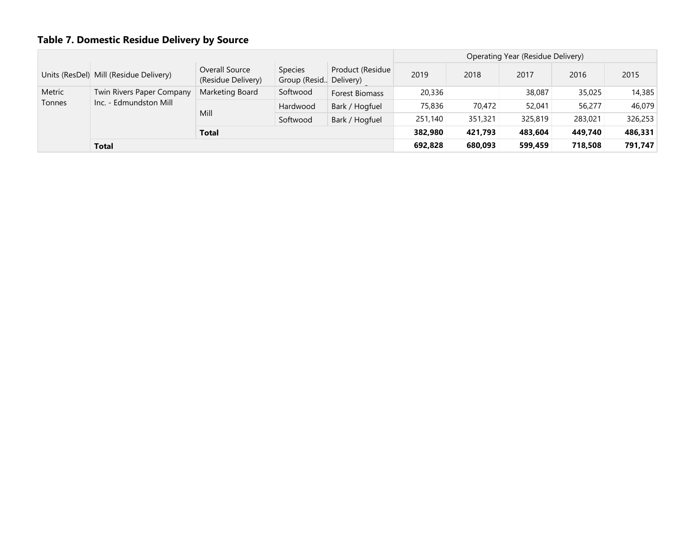|                                  |                                        |                                      |                                            |                  |         |         | Operating Year (Residue Delivery) |         |         |
|----------------------------------|----------------------------------------|--------------------------------------|--------------------------------------------|------------------|---------|---------|-----------------------------------|---------|---------|
|                                  | Units (ResDel) Mill (Residue Delivery) | Overall Source<br>(Residue Delivery) | <b>Species</b><br>Group (Resid., Delivery) | Product (Residue | 2019    | 2018    | 2017                              | 2016    | 2015    |
| Metric                           | Twin Rivers Paper Company              | Marketing Board                      | Softwood                                   | Forest Biomass   | 20,336  |         | 38,087                            | 35,025  | 14,385  |
| Inc. - Edmundston Mill<br>Tonnes |                                        |                                      | Hardwood                                   | Bark / Hogfuel   | 75,836  | 70,472  | 52,041                            | 56,277  | 46,079  |
|                                  |                                        | Mill                                 | Softwood                                   | Bark / Hogfuel   | 251,140 | 351,321 | 325,819                           | 283,021 | 326,253 |
|                                  |                                        | <b>Total</b>                         |                                            |                  | 382,980 | 421,793 | 483,604                           | 449,740 | 486,331 |
|                                  | <b>Total</b>                           |                                      |                                            |                  | 692,828 | 680,093 | 599,459                           | 718,508 | 791,747 |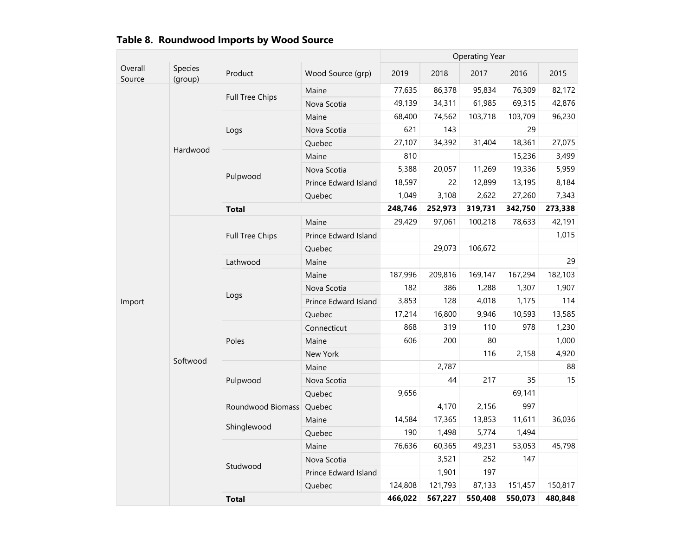|                   |                    |                        |                             |         |         | <b>Operating Year</b> |         |         |
|-------------------|--------------------|------------------------|-----------------------------|---------|---------|-----------------------|---------|---------|
| Overall<br>Source | Species<br>(group) | Product                | Wood Source (grp)           | 2019    | 2018    | 2017                  | 2016    | 2015    |
|                   |                    | <b>Full Tree Chips</b> | Maine                       | 77,635  | 86,378  | 95,834                | 76,309  | 82,172  |
|                   |                    |                        | Nova Scotia                 | 49,139  | 34,311  | 61,985                | 69,315  | 42,876  |
|                   |                    |                        | Maine                       | 68,400  | 74,562  | 103,718               | 103,709 | 96,230  |
|                   |                    | Logs                   | Nova Scotia                 | 621     | 143     |                       | 29      |         |
|                   | Hardwood           |                        | Quebec                      | 27,107  | 34,392  | 31,404                | 18,361  | 27,075  |
|                   |                    |                        | Maine                       | 810     |         |                       | 15,236  | 3,499   |
|                   |                    | Pulpwood               | Nova Scotia                 | 5,388   | 20,057  | 11,269                | 19,336  | 5,959   |
|                   |                    |                        | Prince Edward Island        | 18,597  | 22      | 12,899                | 13,195  | 8,184   |
|                   |                    |                        | Quebec                      | 1,049   | 3,108   | 2,622                 | 27,260  | 7,343   |
|                   |                    | <b>Total</b>           |                             | 248,746 | 252,973 | 319,731               | 342,750 | 273,338 |
|                   |                    |                        | Maine                       | 29,429  | 97,061  | 100,218               | 78,633  | 42,191  |
|                   |                    | Full Tree Chips        | Prince Edward Island        |         |         |                       |         | 1,015   |
|                   |                    |                        | Quebec                      |         | 29,073  | 106,672               |         |         |
|                   |                    | Lathwood               | Maine                       |         |         |                       |         | 29      |
|                   |                    |                        | Maine                       | 187,996 | 209,816 | 169,147               | 167,294 | 182,103 |
|                   |                    |                        | Nova Scotia                 | 182     | 386     | 1,288                 | 1,307   | 1,907   |
| Import            |                    | Logs                   | <b>Prince Edward Island</b> | 3,853   | 128     | 4,018                 | 1,175   | 114     |
|                   |                    |                        | Quebec                      | 17,214  | 16,800  | 9,946                 | 10,593  | 13,585  |
|                   |                    |                        | Connecticut                 | 868     | 319     | 110                   | 978     | 1,230   |
|                   |                    | Poles                  | Maine                       | 606     | 200     | 80                    |         | 1,000   |
|                   | Softwood           |                        | New York                    |         |         | 116                   | 2,158   | 4,920   |
|                   |                    |                        | Maine                       |         | 2,787   |                       |         | 88      |
|                   |                    | Pulpwood               | Nova Scotia                 |         | 44      | 217                   | 35      | 15      |
|                   |                    |                        | Quebec                      | 9,656   |         |                       | 69,141  |         |
|                   |                    | Roundwood Biomass      | Quebec                      |         | 4,170   | 2,156                 | 997     |         |
|                   |                    |                        | Maine                       | 14,584  | 17,365  | 13,853                | 11,611  | 36,036  |
|                   |                    | Shinglewood            | Quebec                      | 190     | 1,498   | 5,774                 | 1,494   |         |
|                   |                    |                        | Maine                       | 76,636  | 60,365  | 49,231                | 53,053  | 45,798  |
|                   |                    | Studwood               | Nova Scotia                 |         | 3,521   | 252                   | 147     |         |
|                   |                    |                        | Prince Edward Island        |         | 1,901   | 197                   |         |         |
|                   |                    |                        | Quebec                      | 124,808 | 121,793 | 87,133                | 151,457 | 150,817 |
|                   |                    | <b>Total</b>           |                             | 466,022 | 567,227 | 550,408               | 550,073 | 480,848 |

## Table 8. Roundwood Imports by Wood Source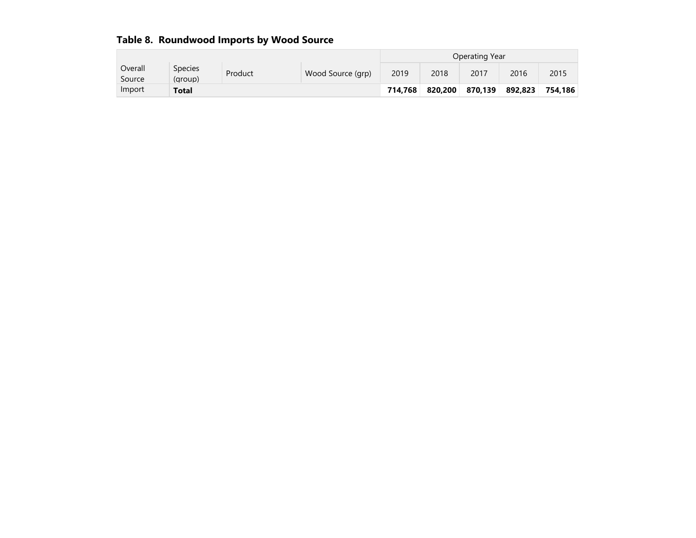|                   |                           |         |                   |         |         | Operating Year |         |         |
|-------------------|---------------------------|---------|-------------------|---------|---------|----------------|---------|---------|
| Overall<br>Source | <b>Species</b><br>(group) | Product | Wood Source (grp) | 2019    | 2018    | 2017           | 2016    | 2015    |
| Import            | <b>Total</b>              |         |                   | 714.768 | 820.200 | 870.139        | 892.823 | 754.186 |

## Table 8. Roundwood Imports by Wood Source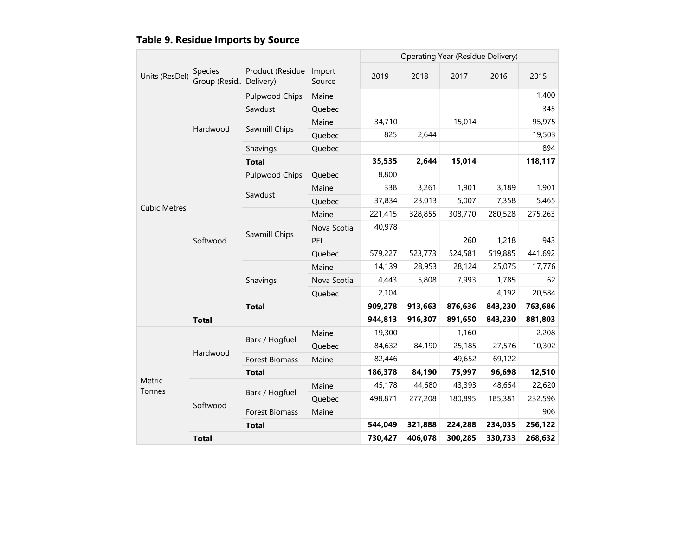| <b>Table 9. Residue Imports by Source</b> |  |  |
|-------------------------------------------|--|--|
|                                           |  |  |

|                     |                                     |                       |                  |         |         | Operating Year (Residue Delivery) |         |         |
|---------------------|-------------------------------------|-----------------------|------------------|---------|---------|-----------------------------------|---------|---------|
| Units (ResDel)      | Species<br>Group (Resid., Delivery) | Product (Residue      | Import<br>Source | 2019    | 2018    | 2017                              | 2016    | 2015    |
|                     |                                     | <b>Pulpwood Chips</b> | Maine            |         |         |                                   |         | 1,400   |
|                     |                                     | Sawdust               | Quebec           |         |         |                                   |         | 345     |
|                     | Hardwood                            | Sawmill Chips         | Maine            | 34,710  |         | 15,014                            |         | 95,975  |
|                     |                                     |                       | Quebec           | 825     | 2,644   |                                   |         | 19,503  |
|                     |                                     | Shavings              | Quebec           |         |         |                                   |         | 894     |
|                     |                                     | <b>Total</b>          |                  | 35,535  | 2,644   | 15,014                            |         | 118,117 |
|                     |                                     | Pulpwood Chips        | Quebec           | 8,800   |         |                                   |         |         |
|                     |                                     | Sawdust               | Maine            | 338     | 3,261   | 1,901                             | 3,189   | 1,901   |
|                     | Softwood                            |                       | Quebec           | 37,834  | 23,013  | 5,007                             | 7,358   | 5,465   |
| <b>Cubic Metres</b> |                                     | Sawmill Chips         | Maine            | 221,415 | 328,855 | 308,770                           | 280,528 | 275,263 |
|                     |                                     |                       | Nova Scotia      | 40,978  |         |                                   |         |         |
|                     |                                     |                       | PEI              |         |         | 260                               | 1,218   | 943     |
|                     |                                     |                       | Quebec           | 579,227 | 523,773 | 524,581                           | 519,885 | 441,692 |
|                     |                                     | Shavings              | Maine            | 14,139  | 28,953  | 28,124                            | 25,075  | 17,776  |
|                     |                                     |                       | Nova Scotia      | 4,443   | 5,808   | 7,993                             | 1,785   | 62      |
|                     |                                     |                       | Quebec           | 2,104   |         |                                   | 4,192   | 20,584  |
|                     |                                     | <b>Total</b>          | 909,278          | 913,663 | 876,636 | 843,230                           | 763,686 |         |
|                     | <b>Total</b>                        |                       |                  | 944,813 | 916,307 | 891,650                           | 843,230 | 881,803 |
|                     |                                     | Bark / Hogfuel        | Maine            | 19,300  |         | 1,160                             |         | 2,208   |
|                     | Hardwood                            |                       | Quebec           | 84,632  | 84,190  | 25,185                            | 27,576  | 10,302  |
|                     |                                     | <b>Forest Biomass</b> | Maine            | 82,446  |         | 49,652                            | 69,122  |         |
|                     |                                     | <b>Total</b>          |                  | 186,378 | 84,190  | 75,997                            | 96,698  | 12,510  |
| Metric<br>Tonnes    |                                     | Bark / Hogfuel        | Maine            | 45,178  | 44,680  | 43,393                            | 48,654  | 22,620  |
|                     | Softwood                            |                       | Quebec           | 498,871 | 277,208 | 180,895                           | 185,381 | 232,596 |
|                     |                                     | Forest Biomass        | Maine            |         |         |                                   |         | 906     |
|                     |                                     | <b>Total</b>          |                  | 544,049 | 321,888 | 224,288                           | 234,035 | 256,122 |
|                     | <b>Total</b>                        | 730,427               | 406,078          | 300,285 | 330,733 | 268,632                           |         |         |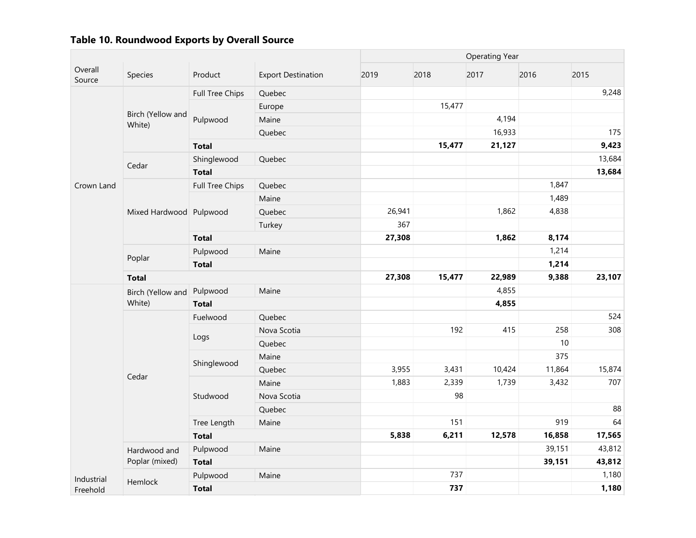|                   |                             |                        |                           |        |                  | <b>Operating Year</b> |        |        |
|-------------------|-----------------------------|------------------------|---------------------------|--------|------------------|-----------------------|--------|--------|
| Overall<br>Source | Species                     | Product                | <b>Export Destination</b> | 2019   | 2018             | 2017                  | 2016   | 2015   |
| White)            |                             | Full Tree Chips        | Quebec                    |        |                  |                       |        | 9,248  |
|                   |                             |                        | Europe                    |        | 15,477           |                       |        |        |
|                   | Birch (Yellow and           | Pulpwood               | Maine                     |        |                  | 4,194                 |        |        |
|                   |                             |                        | Quebec                    |        |                  | 16,933                |        | 175    |
|                   |                             | <b>Total</b>           |                           |        | 15,477           | 21,127                |        | 9,423  |
|                   |                             | Shinglewood            | Quebec                    |        |                  |                       |        | 13,684 |
|                   | Cedar                       | <b>Total</b>           |                           |        |                  |                       |        | 13,684 |
| Crown Land        |                             | <b>Full Tree Chips</b> | Quebec                    |        |                  |                       | 1,847  |        |
|                   |                             |                        | Maine                     |        |                  |                       | 1,489  |        |
|                   | Mixed Hardwood Pulpwood     |                        | Quebec                    | 26,941 |                  | 1,862                 | 4,838  |        |
|                   |                             |                        | Turkey                    | 367    |                  |                       |        |        |
|                   |                             | <b>Total</b>           |                           | 27,308 |                  | 1,862                 | 8,174  |        |
|                   | Poplar                      | Pulpwood               | Maine                     |        |                  |                       | 1,214  |        |
|                   |                             | <b>Total</b>           |                           |        |                  |                       | 1,214  |        |
|                   | <b>Total</b>                |                        |                           |        | 27,308<br>15,477 | 22,989                | 9,388  | 23,107 |
|                   | Birch (Yellow and<br>White) | Pulpwood               | Maine                     |        |                  | 4,855                 |        |        |
|                   |                             | <b>Total</b>           |                           |        |                  | 4,855                 |        |        |
|                   |                             | Fuelwood               | Quebec                    |        |                  |                       |        | 524    |
|                   |                             | Logs                   | Nova Scotia               |        | 192              | 415                   | 258    | 308    |
|                   |                             |                        | Quebec                    |        |                  |                       | 10     |        |
|                   |                             |                        | Maine                     |        |                  |                       | 375    |        |
|                   | Cedar                       | Shinglewood            | Quebec                    | 3,955  | 3,431            | 10,424                | 11,864 | 15,874 |
|                   |                             |                        | Maine                     | 1,883  | 2,339            | 1,739                 | 3,432  | 707    |
|                   |                             | Studwood               | Nova Scotia               |        | 98               |                       |        |        |
|                   |                             |                        | Quebec                    |        |                  |                       |        | 88     |
|                   |                             | Tree Length            | Maine                     |        | 151              |                       | 919    | 64     |
|                   |                             | <b>Total</b>           |                           | 5,838  | 6,211            | 12,578                | 16,858 | 17,565 |
|                   | Hardwood and                | Pulpwood               | Maine                     |        |                  |                       | 39,151 | 43,812 |
|                   | Poplar (mixed)              | <b>Total</b>           |                           |        |                  |                       | 39,151 | 43,812 |
| Industrial        | Hemlock                     | Pulpwood               | Maine                     |        | 737              |                       |        | 1,180  |
| Freehold          |                             | <b>Total</b>           |                           |        | 737              |                       |        | 1,180  |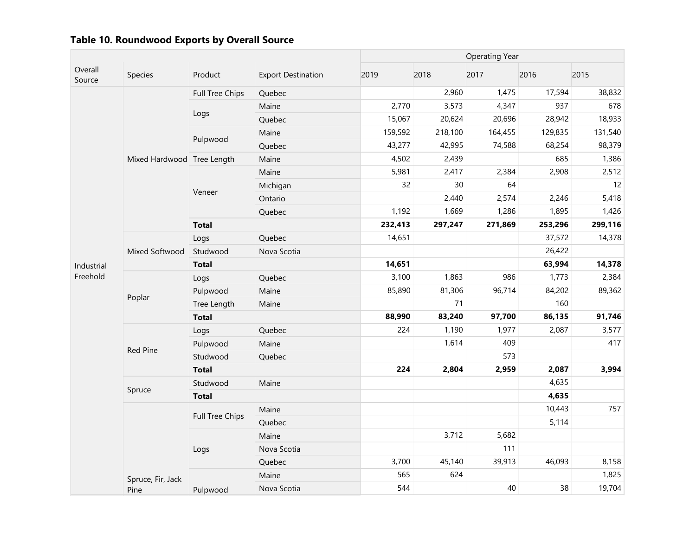|                              |                            |                           |             | <b>Operating Year</b> |         |         |         |         |  |
|------------------------------|----------------------------|---------------------------|-------------|-----------------------|---------|---------|---------|---------|--|
| Overall<br>Species<br>Source | Product                    | <b>Export Destination</b> | 2019        | 2018                  | 2017    | 2016    | 2015    |         |  |
|                              |                            | Full Tree Chips           | Quebec      |                       | 2,960   | 1,475   | 17,594  | 38,832  |  |
|                              |                            |                           | Maine       | 2,770                 | 3,573   | 4,347   | 937     | 678     |  |
|                              |                            | Logs                      | Quebec      | 15,067                | 20,624  | 20,696  | 28,942  | 18,933  |  |
|                              |                            |                           | Maine       | 159,592               | 218,100 | 164,455 | 129,835 | 131,540 |  |
|                              |                            | Pulpwood                  | Quebec      | 43,277                | 42,995  | 74,588  | 68,254  | 98,379  |  |
|                              | Mixed Hardwood Tree Length |                           | Maine       | 4,502                 | 2,439   |         | 685     | 1,386   |  |
|                              |                            |                           | Maine       | 5,981                 | 2,417   | 2,384   | 2,908   | 2,512   |  |
|                              |                            |                           | Michigan    | 32                    | 30      | 64      |         | 12      |  |
|                              |                            | Veneer                    | Ontario     |                       | 2,440   | 2,574   | 2,246   | 5,418   |  |
|                              |                            |                           | Quebec      | 1,192                 | 1,669   | 1,286   | 1,895   | 1,426   |  |
|                              |                            | <b>Total</b>              |             | 232,413               | 297,247 | 271,869 | 253,296 | 299,116 |  |
|                              |                            | Logs                      | Quebec      | 14,651                |         |         | 37,572  | 14,378  |  |
|                              | Mixed Softwood             | Studwood                  | Nova Scotia |                       |         |         | 26,422  |         |  |
| Industrial                   |                            | <b>Total</b>              |             | 14,651                |         |         | 63,994  | 14,378  |  |
| Freehold                     |                            | Logs                      | Quebec      | 3,100                 | 1,863   | 986     | 1,773   | 2,384   |  |
|                              |                            | Pulpwood                  | Maine       | 85,890                | 81,306  | 96,714  | 84,202  | 89,362  |  |
|                              | Poplar                     | Tree Length               | Maine       |                       | 71      |         | 160     |         |  |
|                              |                            | <b>Total</b>              |             | 88,990                | 83,240  | 97,700  | 86,135  | 91,746  |  |
|                              |                            | Logs                      | Quebec      | 224                   | 1,190   | 1,977   | 2,087   | 3,577   |  |
|                              | Red Pine                   | Pulpwood                  | Maine       |                       | 1,614   | 409     |         | 417     |  |
|                              |                            | Studwood                  | Quebec      |                       |         | 573     |         |         |  |
|                              |                            | <b>Total</b>              |             | 224                   | 2,804   | 2,959   | 2,087   | 3,994   |  |
|                              |                            | Studwood                  | Maine       |                       |         |         | 4,635   |         |  |
|                              | Spruce                     | <b>Total</b>              |             |                       |         |         | 4,635   |         |  |
|                              |                            |                           | Maine       |                       |         |         | 10,443  | 757     |  |
|                              |                            | Full Tree Chips           | Quebec      |                       |         |         | 5,114   |         |  |
|                              |                            |                           | Maine       |                       | 3,712   | 5,682   |         |         |  |
|                              |                            | Logs                      | Nova Scotia |                       |         | 111     |         |         |  |
|                              |                            |                           | Quebec      | 3,700                 | 45,140  | 39,913  | 46,093  | 8,158   |  |
|                              | Spruce, Fir, Jack          |                           | Maine       | 565                   | 624     |         |         | 1,825   |  |
|                              | Pine                       | Pulpwood                  | Nova Scotia | 544                   |         | 40      | 38      | 19,704  |  |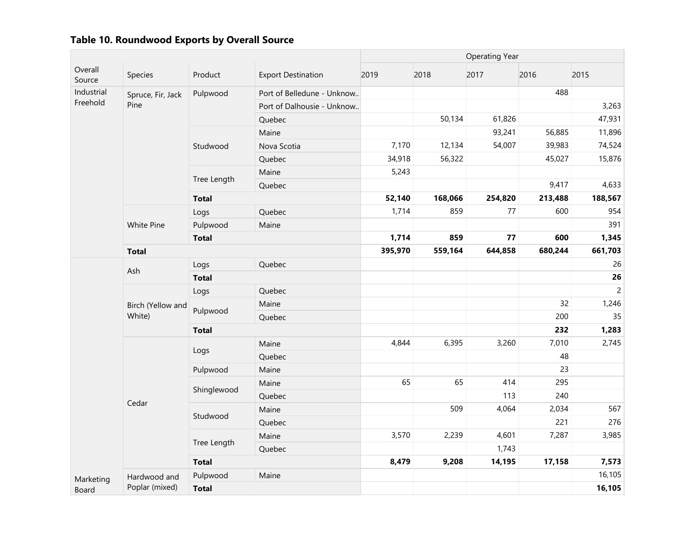|                   |                             |              |                            | <b>Operating Year</b> |         |         |         |                |  |
|-------------------|-----------------------------|--------------|----------------------------|-----------------------|---------|---------|---------|----------------|--|
| Overall<br>Source | Species                     | Product      | <b>Export Destination</b>  | 2019                  | 2018    | 2017    | 2016    | 2015           |  |
| Industrial        | Spruce, Fir, Jack           | Pulpwood     | Port of Belledune - Unknow |                       |         |         | 488     |                |  |
| Freehold          | Pine                        |              | Port of Dalhousie - Unknow |                       |         |         |         | 3,263          |  |
|                   |                             |              | Quebec                     |                       | 50,134  | 61,826  |         | 47,931         |  |
|                   |                             |              | Maine                      |                       |         | 93,241  | 56,885  | 11,896         |  |
|                   |                             | Studwood     | Nova Scotia                | 7,170                 | 12,134  | 54,007  | 39,983  | 74,524         |  |
|                   |                             |              | Quebec                     | 34,918                | 56,322  |         | 45,027  | 15,876         |  |
|                   |                             |              | Maine                      | 5,243                 |         |         |         |                |  |
|                   |                             | Tree Length  | Quebec                     |                       |         |         | 9,417   | 4,633          |  |
|                   |                             | <b>Total</b> |                            | 52,140                | 168,066 | 254,820 | 213,488 | 188,567        |  |
|                   |                             | Logs         | Quebec                     | 1,714                 | 859     | 77      | 600     | 954            |  |
|                   | White Pine                  | Pulpwood     | Maine                      |                       |         |         |         | 391            |  |
|                   |                             | <b>Total</b> |                            | 1,714                 | 859     | 77      | 600     | 1,345          |  |
|                   | <b>Total</b>                |              | 395,970                    | 559,164               | 644,858 | 680,244 | 661,703 |                |  |
|                   | Ash                         | Logs         | Quebec                     |                       |         |         |         | 26             |  |
|                   |                             | <b>Total</b> |                            |                       |         |         |         | 26             |  |
|                   | Birch (Yellow and<br>White) | Logs         | Quebec                     |                       |         |         |         | $\overline{c}$ |  |
|                   |                             | Pulpwood     | Maine                      |                       |         |         | 32      | 1,246          |  |
|                   |                             |              | Quebec                     |                       |         |         | 200     | 35             |  |
|                   |                             | <b>Total</b> |                            |                       |         |         | 232     | 1,283          |  |
|                   |                             |              | Maine                      | 4,844                 | 6,395   | 3,260   | 7,010   | 2,745          |  |
|                   |                             | Logs         | Quebec                     |                       |         |         | 48      |                |  |
|                   |                             | Pulpwood     | Maine                      |                       |         |         | 23      |                |  |
|                   |                             | Shinglewood  | Maine                      | 65                    | 65      | 414     | 295     |                |  |
|                   | Cedar                       |              | Quebec                     |                       |         | 113     | 240     |                |  |
|                   |                             | Studwood     | Maine                      |                       | 509     | 4,064   | 2,034   | 567            |  |
|                   |                             |              | Quebec                     |                       |         |         | 221     | 276            |  |
|                   |                             | Tree Length  | Maine                      | 3,570                 | 2,239   | 4,601   | 7,287   | 3,985          |  |
|                   |                             |              | Quebec                     |                       |         | 1,743   |         |                |  |
|                   |                             | <b>Total</b> |                            | 8,479                 | 9,208   | 14,195  | 17,158  | 7,573          |  |
| Marketing         | Hardwood and                | Pulpwood     | Maine                      |                       |         |         |         | 16,105         |  |
| Board             | Poplar (mixed)              | <b>Total</b> |                            |                       |         |         |         | 16,105         |  |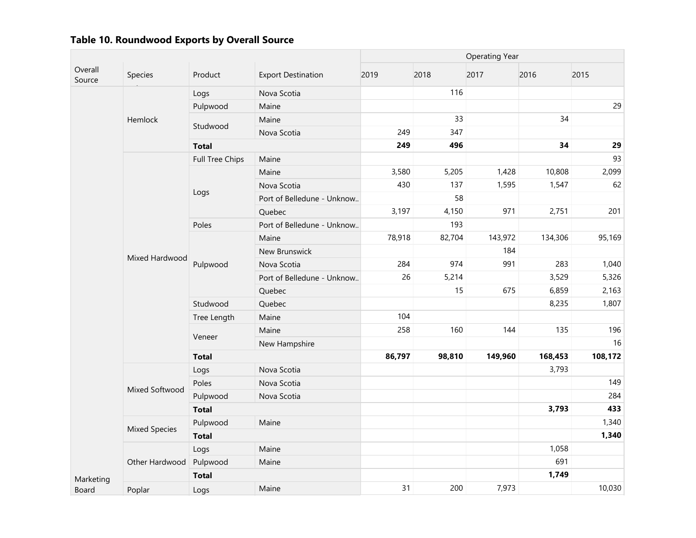|                   |                      |                 |                            | <b>Operating Year</b> |        |         |         |         |  |
|-------------------|----------------------|-----------------|----------------------------|-----------------------|--------|---------|---------|---------|--|
| Overall<br>Source | Species              | Product         | <b>Export Destination</b>  | 2019                  | 2018   | 2017    | 2016    | 2015    |  |
|                   |                      | Logs            | Nova Scotia                |                       | 116    |         |         |         |  |
|                   | Hemlock              | Pulpwood        | Maine                      |                       |        |         |         | 29      |  |
|                   |                      | Studwood        | Maine                      |                       | 33     |         | 34      |         |  |
|                   |                      |                 | Nova Scotia                | 249                   | 347    |         |         |         |  |
|                   |                      | <b>Total</b>    |                            | 249                   | 496    |         | 34      | 29      |  |
|                   |                      | Full Tree Chips | Maine                      |                       |        |         |         | 93      |  |
|                   |                      |                 | Maine                      | 3,580                 | 5,205  | 1,428   | 10,808  | 2,099   |  |
|                   |                      |                 | Nova Scotia                | 430                   | 137    | 1,595   | 1,547   | 62      |  |
|                   |                      | Logs            | Port of Belledune - Unknow |                       | 58     |         |         |         |  |
|                   |                      |                 | Quebec                     | 3,197                 | 4,150  | 971     | 2,751   | 201     |  |
|                   |                      | Poles           | Port of Belledune - Unknow |                       | 193    |         |         |         |  |
|                   | Mixed Hardwood       |                 | Maine                      | 78,918                | 82,704 | 143,972 | 134,306 | 95,169  |  |
|                   |                      | Pulpwood        | New Brunswick              |                       |        | 184     |         |         |  |
|                   |                      |                 | Nova Scotia                | 284                   | 974    | 991     | 283     | 1,040   |  |
|                   |                      |                 | Port of Belledune - Unknow | 26                    | 5,214  |         | 3,529   | 5,326   |  |
|                   |                      |                 | Quebec                     |                       | 15     | 675     | 6,859   | 2,163   |  |
|                   |                      | Studwood        | Quebec                     |                       |        |         | 8,235   | 1,807   |  |
|                   |                      | Tree Length     | Maine                      | 104                   |        |         |         |         |  |
|                   |                      | Veneer          | Maine                      | 258                   | 160    | 144     | 135     | 196     |  |
|                   |                      |                 | New Hampshire              |                       |        |         |         | 16      |  |
|                   |                      | <b>Total</b>    |                            | 86,797                | 98,810 | 149,960 | 168,453 | 108,172 |  |
|                   |                      | Logs            | Nova Scotia                |                       |        |         | 3,793   |         |  |
|                   | Mixed Softwood       | Poles           | Nova Scotia                |                       |        |         |         | 149     |  |
|                   |                      | Pulpwood        | Nova Scotia                |                       |        |         |         | 284     |  |
|                   |                      | <b>Total</b>    |                            |                       |        |         | 3,793   | 433     |  |
|                   |                      | Pulpwood        | Maine                      |                       |        |         |         | 1,340   |  |
|                   | <b>Mixed Species</b> | <b>Total</b>    |                            |                       |        |         |         | 1,340   |  |
|                   |                      | Logs            | Maine                      |                       |        |         | 1,058   |         |  |
|                   | Other Hardwood       | Pulpwood        | Maine                      |                       |        |         | 691     |         |  |
| Marketing         |                      | <b>Total</b>    |                            |                       |        |         | 1,749   |         |  |
| Board             | Poplar               | Logs            | Maine                      | 31                    | 200    | 7,973   |         | 10,030  |  |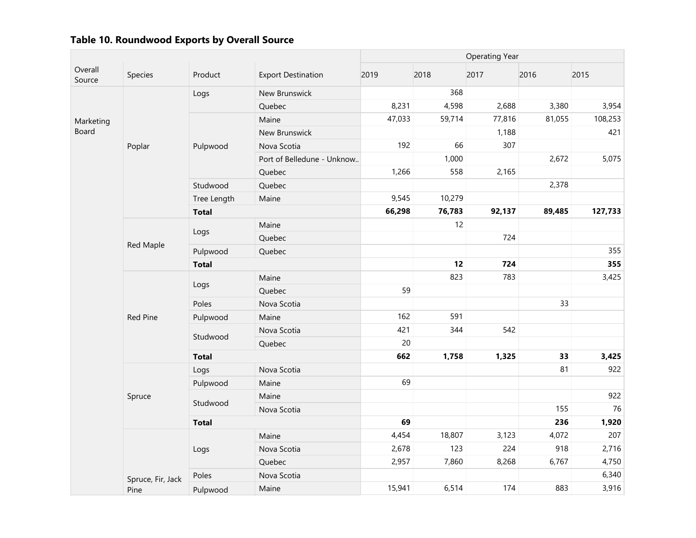|                    |                   |              |                            | <b>Operating Year</b> |        |        |        |         |  |
|--------------------|-------------------|--------------|----------------------------|-----------------------|--------|--------|--------|---------|--|
| Overall<br>Source  | Species           | Product      | <b>Export Destination</b>  | 2019                  | 2018   | 2017   | 2016   | 2015    |  |
|                    |                   | Logs         | New Brunswick              |                       | 368    |        |        |         |  |
| Marketing<br>Board |                   |              | Quebec                     | 8,231                 | 4,598  | 2,688  | 3,380  | 3,954   |  |
|                    |                   |              | Maine                      | 47,033                | 59,714 | 77,816 | 81,055 | 108,253 |  |
|                    |                   |              | New Brunswick              |                       |        | 1,188  |        | 421     |  |
|                    | Poplar            | Pulpwood     | Nova Scotia                | 192                   | 66     | 307    |        |         |  |
|                    |                   |              | Port of Belledune - Unknow |                       | 1,000  |        | 2,672  | 5,075   |  |
|                    |                   |              | Quebec                     | 1,266                 | 558    | 2,165  |        |         |  |
|                    |                   | Studwood     | Quebec                     |                       |        |        | 2,378  |         |  |
|                    |                   | Tree Length  | Maine                      | 9,545                 | 10,279 |        |        |         |  |
|                    |                   | <b>Total</b> |                            | 66,298                | 76,783 | 92,137 | 89,485 | 127,733 |  |
|                    |                   |              | Maine                      |                       | 12     |        |        |         |  |
|                    |                   | Logs         | Quebec                     |                       |        | 724    |        |         |  |
|                    | Red Maple         | Pulpwood     | Quebec                     |                       |        |        |        | 355     |  |
|                    |                   | <b>Total</b> |                            |                       | 12     | 724    |        | 355     |  |
|                    |                   | Logs         | Maine                      |                       | 823    | 783    |        | 3,425   |  |
|                    |                   |              | Quebec                     | 59                    |        |        |        |         |  |
|                    |                   | Poles        | Nova Scotia                |                       |        |        | 33     |         |  |
|                    | Red Pine          | Pulpwood     | Maine                      | 162                   | 591    |        |        |         |  |
|                    |                   | Studwood     | Nova Scotia                | 421                   | 344    | 542    |        |         |  |
|                    |                   |              | Quebec                     | 20                    |        |        |        |         |  |
|                    |                   | <b>Total</b> |                            | 662                   | 1,758  | 1,325  | 33     | 3,425   |  |
|                    |                   | Logs         | Nova Scotia                |                       |        |        | 81     | 922     |  |
|                    |                   | Pulpwood     | Maine                      | 69                    |        |        |        |         |  |
|                    | Spruce            | Studwood     | Maine                      |                       |        |        |        | 922     |  |
|                    |                   |              | Nova Scotia                |                       |        |        | 155    | 76      |  |
|                    |                   | <b>Total</b> |                            | 69                    |        |        | 236    | 1,920   |  |
|                    |                   |              | Maine                      | 4,454                 | 18,807 | 3,123  | 4,072  | 207     |  |
|                    |                   | Logs         | Nova Scotia                | 2,678                 | 123    | 224    | 918    | 2,716   |  |
|                    |                   |              | Quebec                     | 2,957                 | 7,860  | 8,268  | 6,767  | 4,750   |  |
|                    | Spruce, Fir, Jack | Poles        | Nova Scotia                |                       |        |        |        | 6,340   |  |
|                    | Pine              | Pulpwood     | Maine                      | 15,941                | 6,514  | 174    | 883    | 3,916   |  |